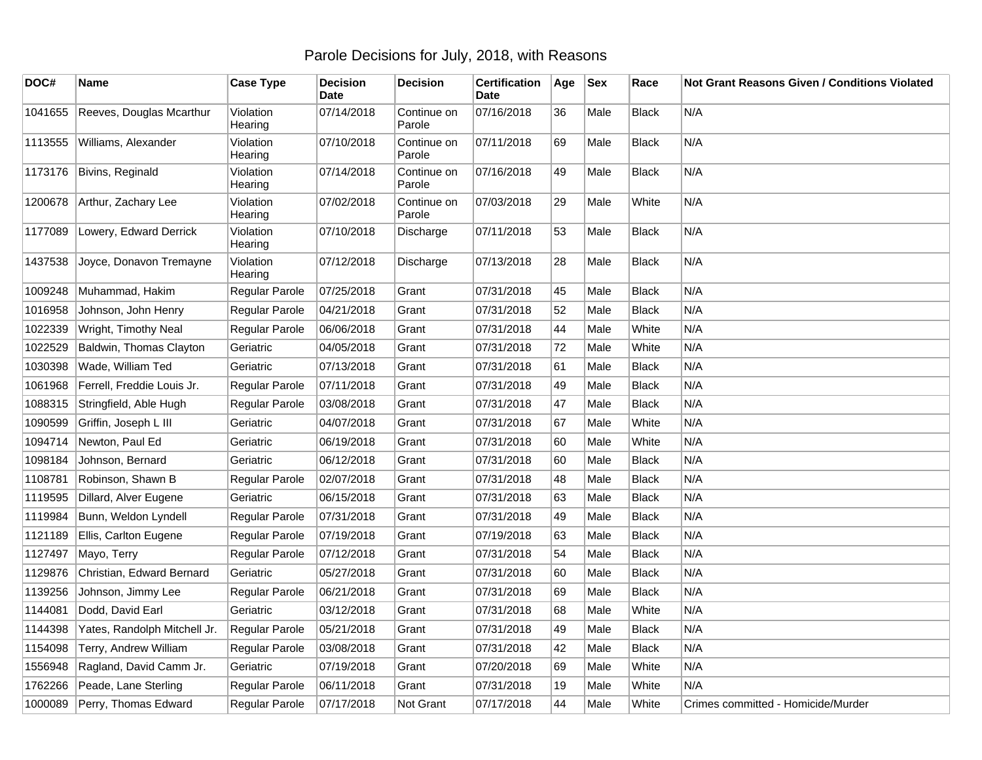## Parole Decisions for July, 2018, with Reasons

| DOC#    | Name                         | <b>Case Type</b>     | <b>Decision</b><br><b>Date</b> | <b>Decision</b>       | <b>Certification</b><br>Date | Age | <b>Sex</b> | Race         | Not Grant Reasons Given / Conditions Violated |
|---------|------------------------------|----------------------|--------------------------------|-----------------------|------------------------------|-----|------------|--------------|-----------------------------------------------|
| 1041655 | Reeves, Douglas Mcarthur     | Violation<br>Hearing | 07/14/2018                     | Continue on<br>Parole | 07/16/2018                   | 36  | Male       | <b>Black</b> | N/A                                           |
| 1113555 | Williams, Alexander          | Violation<br>Hearing | 07/10/2018                     | Continue on<br>Parole | 07/11/2018                   | 69  | Male       | <b>Black</b> | N/A                                           |
| 1173176 | Bivins, Reginald             | Violation<br>Hearing | 07/14/2018                     | Continue on<br>Parole | 07/16/2018                   | 49  | Male       | <b>Black</b> | N/A                                           |
| 1200678 | Arthur, Zachary Lee          | Violation<br>Hearing | 07/02/2018                     | Continue on<br>Parole | 07/03/2018                   | 29  | Male       | White        | N/A                                           |
| 1177089 | Lowery, Edward Derrick       | Violation<br>Hearing | 07/10/2018                     | Discharge             | 07/11/2018                   | 53  | Male       | <b>Black</b> | N/A                                           |
| 1437538 | Joyce, Donavon Tremayne      | Violation<br>Hearing | 07/12/2018                     | <b>Discharge</b>      | 07/13/2018                   | 28  | Male       | <b>Black</b> | N/A                                           |
| 1009248 | Muhammad, Hakim              | Regular Parole       | 07/25/2018                     | Grant                 | 07/31/2018                   | 45  | Male       | <b>Black</b> | N/A                                           |
| 1016958 | Johnson, John Henry          | Regular Parole       | 04/21/2018                     | Grant                 | 07/31/2018                   | 52  | Male       | <b>Black</b> | N/A                                           |
| 1022339 | Wright, Timothy Neal         | Regular Parole       | 06/06/2018                     | Grant                 | 07/31/2018                   | 44  | Male       | White        | N/A                                           |
| 1022529 | Baldwin, Thomas Clayton      | Geriatric            | 04/05/2018                     | Grant                 | 07/31/2018                   | 72  | Male       | White        | N/A                                           |
| 1030398 | Wade, William Ted            | Geriatric            | 07/13/2018                     | Grant                 | 07/31/2018                   | 61  | Male       | <b>Black</b> | N/A                                           |
| 1061968 | Ferrell, Freddie Louis Jr.   | Regular Parole       | 07/11/2018                     | Grant                 | 07/31/2018                   | 49  | Male       | <b>Black</b> | N/A                                           |
| 1088315 | Stringfield, Able Hugh       | Regular Parole       | 03/08/2018                     | Grant                 | 07/31/2018                   | 47  | Male       | <b>Black</b> | N/A                                           |
| 1090599 | Griffin, Joseph L III        | Geriatric            | 04/07/2018                     | Grant                 | 07/31/2018                   | 67  | Male       | White        | N/A                                           |
| 1094714 | Newton, Paul Ed              | Geriatric            | 06/19/2018                     | Grant                 | 07/31/2018                   | 60  | Male       | White        | N/A                                           |
| 1098184 | Johnson, Bernard             | Geriatric            | 06/12/2018                     | Grant                 | 07/31/2018                   | 60  | Male       | <b>Black</b> | N/A                                           |
| 1108781 | Robinson, Shawn B            | Regular Parole       | 02/07/2018                     | Grant                 | 07/31/2018                   | 48  | Male       | <b>Black</b> | N/A                                           |
| 1119595 | Dillard, Alver Eugene        | Geriatric            | 06/15/2018                     | Grant                 | 07/31/2018                   | 63  | Male       | <b>Black</b> | N/A                                           |
| 1119984 | Bunn, Weldon Lyndell         | Regular Parole       | 07/31/2018                     | Grant                 | 07/31/2018                   | 49  | Male       | <b>Black</b> | N/A                                           |
| 1121189 | Ellis, Carlton Eugene        | Regular Parole       | 07/19/2018                     | Grant                 | 07/19/2018                   | 63  | Male       | <b>Black</b> | N/A                                           |
| 1127497 | Mayo, Terry                  | Regular Parole       | 07/12/2018                     | Grant                 | 07/31/2018                   | 54  | Male       | <b>Black</b> | N/A                                           |
| 1129876 | Christian, Edward Bernard    | Geriatric            | 05/27/2018                     | Grant                 | 07/31/2018                   | 60  | Male       | <b>Black</b> | N/A                                           |
| 1139256 | Johnson, Jimmy Lee           | Regular Parole       | 06/21/2018                     | Grant                 | 07/31/2018                   | 69  | Male       | <b>Black</b> | N/A                                           |
| 1144081 | Dodd, David Earl             | Geriatric            | 03/12/2018                     | Grant                 | 07/31/2018                   | 68  | Male       | White        | N/A                                           |
| 1144398 | Yates, Randolph Mitchell Jr. | Regular Parole       | 05/21/2018                     | Grant                 | 07/31/2018                   | 49  | Male       | <b>Black</b> | N/A                                           |
| 1154098 | Terry, Andrew William        | Regular Parole       | 03/08/2018                     | Grant                 | 07/31/2018                   | 42  | Male       | <b>Black</b> | N/A                                           |
| 1556948 | Ragland, David Camm Jr.      | Geriatric            | 07/19/2018                     | Grant                 | 07/20/2018                   | 69  | Male       | White        | N/A                                           |
| 1762266 | Peade, Lane Sterling         | Regular Parole       | 06/11/2018                     | Grant                 | 07/31/2018                   | 19  | Male       | White        | N/A                                           |
| 1000089 | Perry, Thomas Edward         | Regular Parole       | 07/17/2018                     | Not Grant             | 07/17/2018                   | 44  | Male       | White        | Crimes committed - Homicide/Murder            |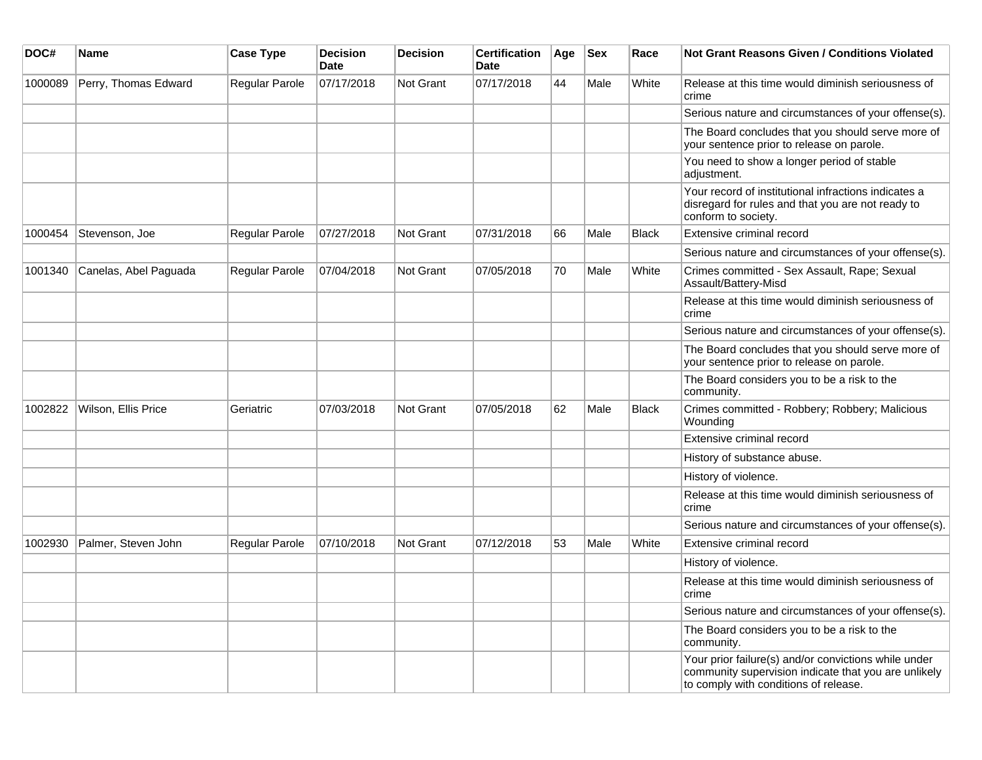| DOC#    | Name                  | <b>Case Type</b>      | <b>Decision</b><br><b>Date</b> | <b>Decision</b> | <b>Certification</b><br><b>Date</b> | Age | <b>Sex</b> | Race         | <b>Not Grant Reasons Given / Conditions Violated</b>                                                                                                  |
|---------|-----------------------|-----------------------|--------------------------------|-----------------|-------------------------------------|-----|------------|--------------|-------------------------------------------------------------------------------------------------------------------------------------------------------|
| 1000089 | Perry, Thomas Edward  | Regular Parole        | 07/17/2018                     | Not Grant       | 07/17/2018                          | 44  | Male       | White        | Release at this time would diminish seriousness of<br>crime                                                                                           |
|         |                       |                       |                                |                 |                                     |     |            |              | Serious nature and circumstances of your offense(s).                                                                                                  |
|         |                       |                       |                                |                 |                                     |     |            |              | The Board concludes that you should serve more of<br>your sentence prior to release on parole.                                                        |
|         |                       |                       |                                |                 |                                     |     |            |              | You need to show a longer period of stable<br>adjustment.                                                                                             |
|         |                       |                       |                                |                 |                                     |     |            |              | Your record of institutional infractions indicates a<br>disregard for rules and that you are not ready to<br>conform to society.                      |
| 1000454 | Stevenson, Joe        | Regular Parole        | 07/27/2018                     | Not Grant       | 07/31/2018                          | 66  | Male       | <b>Black</b> | Extensive criminal record                                                                                                                             |
|         |                       |                       |                                |                 |                                     |     |            |              | Serious nature and circumstances of your offense(s).                                                                                                  |
| 1001340 | Canelas, Abel Paguada | <b>Regular Parole</b> | 07/04/2018                     | Not Grant       | 07/05/2018                          | 70  | Male       | White        | Crimes committed - Sex Assault, Rape; Sexual<br>Assault/Battery-Misd                                                                                  |
|         |                       |                       |                                |                 |                                     |     |            |              | Release at this time would diminish seriousness of<br>crime                                                                                           |
|         |                       |                       |                                |                 |                                     |     |            |              | Serious nature and circumstances of your offense(s).                                                                                                  |
|         |                       |                       |                                |                 |                                     |     |            |              | The Board concludes that you should serve more of<br>your sentence prior to release on parole.                                                        |
|         |                       |                       |                                |                 |                                     |     |            |              | The Board considers you to be a risk to the<br>community.                                                                                             |
| 1002822 | Wilson, Ellis Price   | Geriatric             | 07/03/2018                     | Not Grant       | 07/05/2018                          | 62  | Male       | <b>Black</b> | Crimes committed - Robbery; Robbery; Malicious<br>Wounding                                                                                            |
|         |                       |                       |                                |                 |                                     |     |            |              | Extensive criminal record                                                                                                                             |
|         |                       |                       |                                |                 |                                     |     |            |              | History of substance abuse.                                                                                                                           |
|         |                       |                       |                                |                 |                                     |     |            |              | History of violence.                                                                                                                                  |
|         |                       |                       |                                |                 |                                     |     |            |              | Release at this time would diminish seriousness of<br>crime                                                                                           |
|         |                       |                       |                                |                 |                                     |     |            |              | Serious nature and circumstances of your offense(s).                                                                                                  |
| 1002930 | Palmer, Steven John   | Regular Parole        | 07/10/2018                     | Not Grant       | 07/12/2018                          | 53  | Male       | White        | Extensive criminal record                                                                                                                             |
|         |                       |                       |                                |                 |                                     |     |            |              | History of violence.                                                                                                                                  |
|         |                       |                       |                                |                 |                                     |     |            |              | Release at this time would diminish seriousness of<br>crime                                                                                           |
|         |                       |                       |                                |                 |                                     |     |            |              | Serious nature and circumstances of your offense(s).                                                                                                  |
|         |                       |                       |                                |                 |                                     |     |            |              | The Board considers you to be a risk to the<br>community.                                                                                             |
|         |                       |                       |                                |                 |                                     |     |            |              | Your prior failure(s) and/or convictions while under<br>community supervision indicate that you are unlikely<br>to comply with conditions of release. |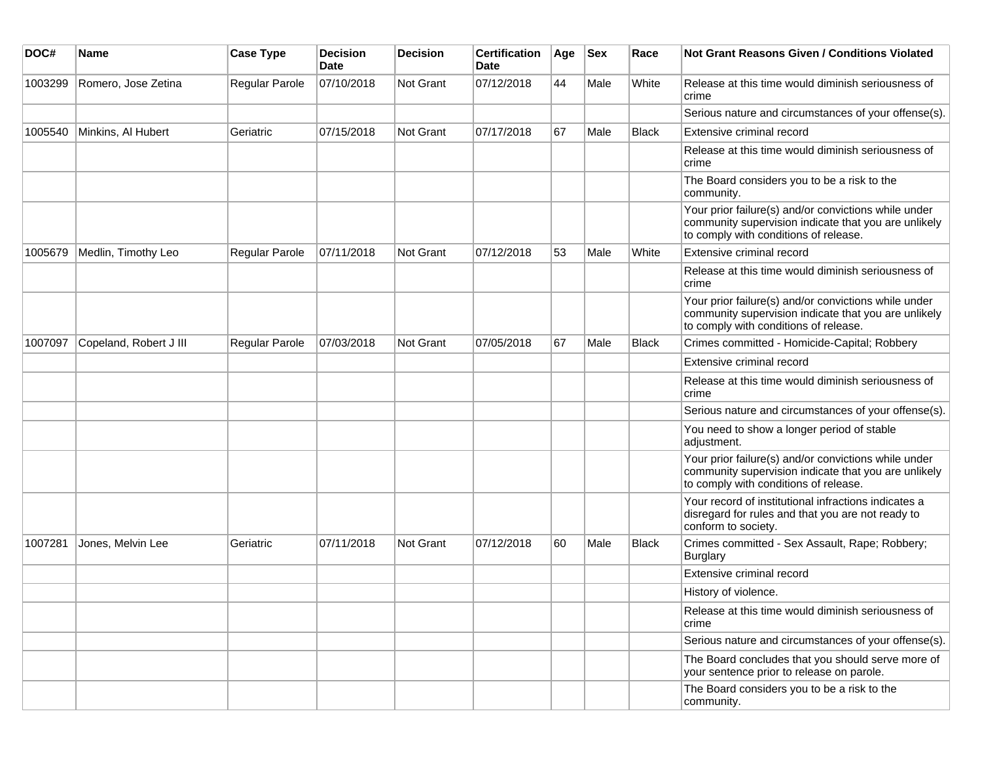| DOC#    | Name                   | <b>Case Type</b>      | <b>Decision</b><br>Date | <b>Decision</b>  | <b>Certification</b><br>Date | Age | <b>Sex</b> | Race         | Not Grant Reasons Given / Conditions Violated                                                                                                         |
|---------|------------------------|-----------------------|-------------------------|------------------|------------------------------|-----|------------|--------------|-------------------------------------------------------------------------------------------------------------------------------------------------------|
| 1003299 | Romero, Jose Zetina    | <b>Regular Parole</b> | 07/10/2018              | Not Grant        | 07/12/2018                   | 44  | Male       | White        | Release at this time would diminish seriousness of<br>crime                                                                                           |
|         |                        |                       |                         |                  |                              |     |            |              | Serious nature and circumstances of your offense(s).                                                                                                  |
| 1005540 | Minkins, Al Hubert     | Geriatric             | 07/15/2018              | Not Grant        | 07/17/2018                   | 67  | Male       | <b>Black</b> | Extensive criminal record                                                                                                                             |
|         |                        |                       |                         |                  |                              |     |            |              | Release at this time would diminish seriousness of<br>crime                                                                                           |
|         |                        |                       |                         |                  |                              |     |            |              | The Board considers you to be a risk to the<br>community.                                                                                             |
|         |                        |                       |                         |                  |                              |     |            |              | Your prior failure(s) and/or convictions while under<br>community supervision indicate that you are unlikely<br>to comply with conditions of release. |
| 1005679 | Medlin, Timothy Leo    | Regular Parole        | 07/11/2018              | <b>Not Grant</b> | 07/12/2018                   | 53  | Male       | White        | Extensive criminal record                                                                                                                             |
|         |                        |                       |                         |                  |                              |     |            |              | Release at this time would diminish seriousness of<br>crime                                                                                           |
|         |                        |                       |                         |                  |                              |     |            |              | Your prior failure(s) and/or convictions while under<br>community supervision indicate that you are unlikely<br>to comply with conditions of release. |
| 1007097 | Copeland, Robert J III | <b>Regular Parole</b> | 07/03/2018              | <b>Not Grant</b> | 07/05/2018                   | 67  | Male       | <b>Black</b> | Crimes committed - Homicide-Capital; Robbery                                                                                                          |
|         |                        |                       |                         |                  |                              |     |            |              | Extensive criminal record                                                                                                                             |
|         |                        |                       |                         |                  |                              |     |            |              | Release at this time would diminish seriousness of<br>crime                                                                                           |
|         |                        |                       |                         |                  |                              |     |            |              | Serious nature and circumstances of your offense(s).                                                                                                  |
|         |                        |                       |                         |                  |                              |     |            |              | You need to show a longer period of stable<br>adjustment.                                                                                             |
|         |                        |                       |                         |                  |                              |     |            |              | Your prior failure(s) and/or convictions while under<br>community supervision indicate that you are unlikely<br>to comply with conditions of release. |
|         |                        |                       |                         |                  |                              |     |            |              | Your record of institutional infractions indicates a<br>disregard for rules and that you are not ready to<br>conform to society.                      |
| 1007281 | Jones, Melvin Lee      | Geriatric             | 07/11/2018              | <b>Not Grant</b> | 07/12/2018                   | 60  | Male       | <b>Black</b> | Crimes committed - Sex Assault, Rape; Robbery;<br>Burglary                                                                                            |
|         |                        |                       |                         |                  |                              |     |            |              | Extensive criminal record                                                                                                                             |
|         |                        |                       |                         |                  |                              |     |            |              | History of violence.                                                                                                                                  |
|         |                        |                       |                         |                  |                              |     |            |              | Release at this time would diminish seriousness of<br>crime                                                                                           |
|         |                        |                       |                         |                  |                              |     |            |              | Serious nature and circumstances of your offense(s).                                                                                                  |
|         |                        |                       |                         |                  |                              |     |            |              | The Board concludes that you should serve more of<br>your sentence prior to release on parole.                                                        |
|         |                        |                       |                         |                  |                              |     |            |              | The Board considers you to be a risk to the<br>community.                                                                                             |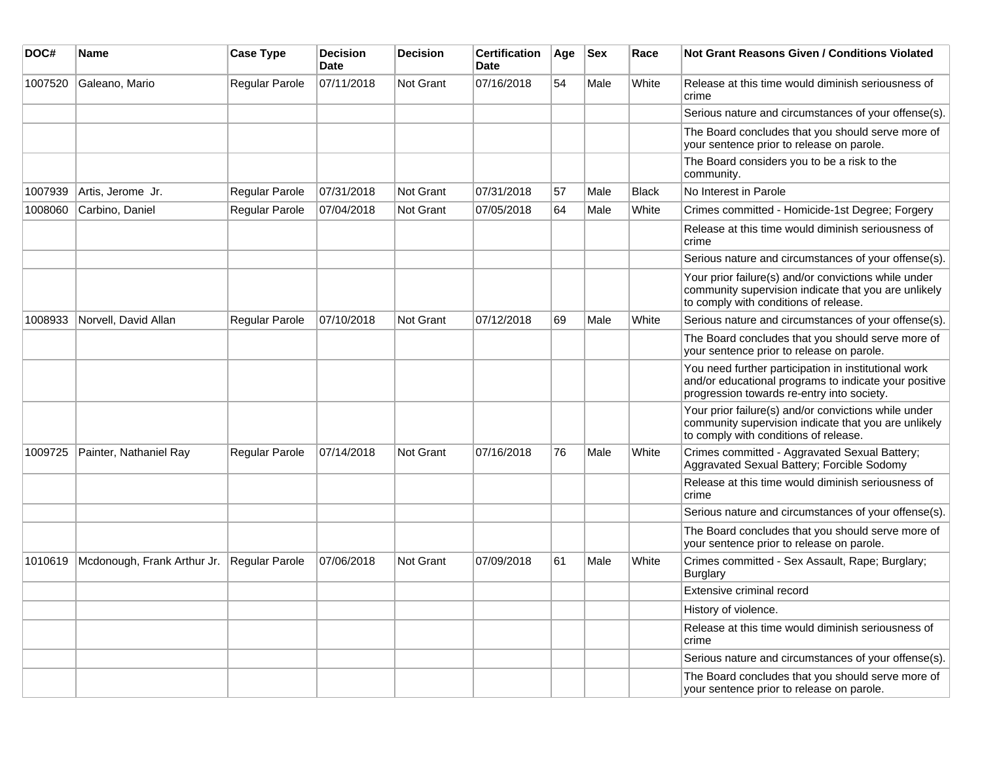| DOC#    | <b>Name</b>                 | <b>Case Type</b>      | <b>Decision</b><br>Date | <b>Decision</b> | <b>Certification</b><br>Date | Age | <b>Sex</b> | Race         | Not Grant Reasons Given / Conditions Violated                                                                                                               |
|---------|-----------------------------|-----------------------|-------------------------|-----------------|------------------------------|-----|------------|--------------|-------------------------------------------------------------------------------------------------------------------------------------------------------------|
| 1007520 | Galeano, Mario              | Regular Parole        | 07/11/2018              | Not Grant       | 07/16/2018                   | 54  | Male       | White        | Release at this time would diminish seriousness of<br>crime                                                                                                 |
|         |                             |                       |                         |                 |                              |     |            |              | Serious nature and circumstances of your offense(s).                                                                                                        |
|         |                             |                       |                         |                 |                              |     |            |              | The Board concludes that you should serve more of<br>your sentence prior to release on parole.                                                              |
|         |                             |                       |                         |                 |                              |     |            |              | The Board considers you to be a risk to the<br>community.                                                                                                   |
| 1007939 | Artis, Jerome Jr.           | Regular Parole        | 07/31/2018              | Not Grant       | 07/31/2018                   | 57  | Male       | <b>Black</b> | No Interest in Parole                                                                                                                                       |
| 1008060 | Carbino, Daniel             | Regular Parole        | 07/04/2018              | Not Grant       | 07/05/2018                   | 64  | Male       | White        | Crimes committed - Homicide-1st Degree; Forgery                                                                                                             |
|         |                             |                       |                         |                 |                              |     |            |              | Release at this time would diminish seriousness of<br>crime                                                                                                 |
|         |                             |                       |                         |                 |                              |     |            |              | Serious nature and circumstances of your offense(s).                                                                                                        |
|         |                             |                       |                         |                 |                              |     |            |              | Your prior failure(s) and/or convictions while under<br>community supervision indicate that you are unlikely<br>to comply with conditions of release.       |
| 1008933 | Norvell, David Allan        | Regular Parole        | 07/10/2018              | Not Grant       | 07/12/2018                   | 69  | Male       | White        | Serious nature and circumstances of your offense(s).                                                                                                        |
|         |                             |                       |                         |                 |                              |     |            |              | The Board concludes that you should serve more of<br>your sentence prior to release on parole.                                                              |
|         |                             |                       |                         |                 |                              |     |            |              | You need further participation in institutional work<br>and/or educational programs to indicate your positive<br>progression towards re-entry into society. |
|         |                             |                       |                         |                 |                              |     |            |              | Your prior failure(s) and/or convictions while under<br>community supervision indicate that you are unlikely<br>to comply with conditions of release.       |
| 1009725 | Painter, Nathaniel Ray      | <b>Regular Parole</b> | 07/14/2018              | Not Grant       | 07/16/2018                   | 76  | Male       | White        | Crimes committed - Aggravated Sexual Battery;<br>Aggravated Sexual Battery; Forcible Sodomy                                                                 |
|         |                             |                       |                         |                 |                              |     |            |              | Release at this time would diminish seriousness of<br>crime                                                                                                 |
|         |                             |                       |                         |                 |                              |     |            |              | Serious nature and circumstances of your offense(s).                                                                                                        |
|         |                             |                       |                         |                 |                              |     |            |              | The Board concludes that you should serve more of<br>your sentence prior to release on parole.                                                              |
| 1010619 | Mcdonough, Frank Arthur Jr. | Regular Parole        | 07/06/2018              | Not Grant       | 07/09/2018                   | 61  | Male       | White        | Crimes committed - Sex Assault, Rape; Burglary;<br>Burglary                                                                                                 |
|         |                             |                       |                         |                 |                              |     |            |              | Extensive criminal record                                                                                                                                   |
|         |                             |                       |                         |                 |                              |     |            |              | History of violence.                                                                                                                                        |
|         |                             |                       |                         |                 |                              |     |            |              | Release at this time would diminish seriousness of<br>crime                                                                                                 |
|         |                             |                       |                         |                 |                              |     |            |              | Serious nature and circumstances of your offense(s).                                                                                                        |
|         |                             |                       |                         |                 |                              |     |            |              | The Board concludes that you should serve more of<br>your sentence prior to release on parole.                                                              |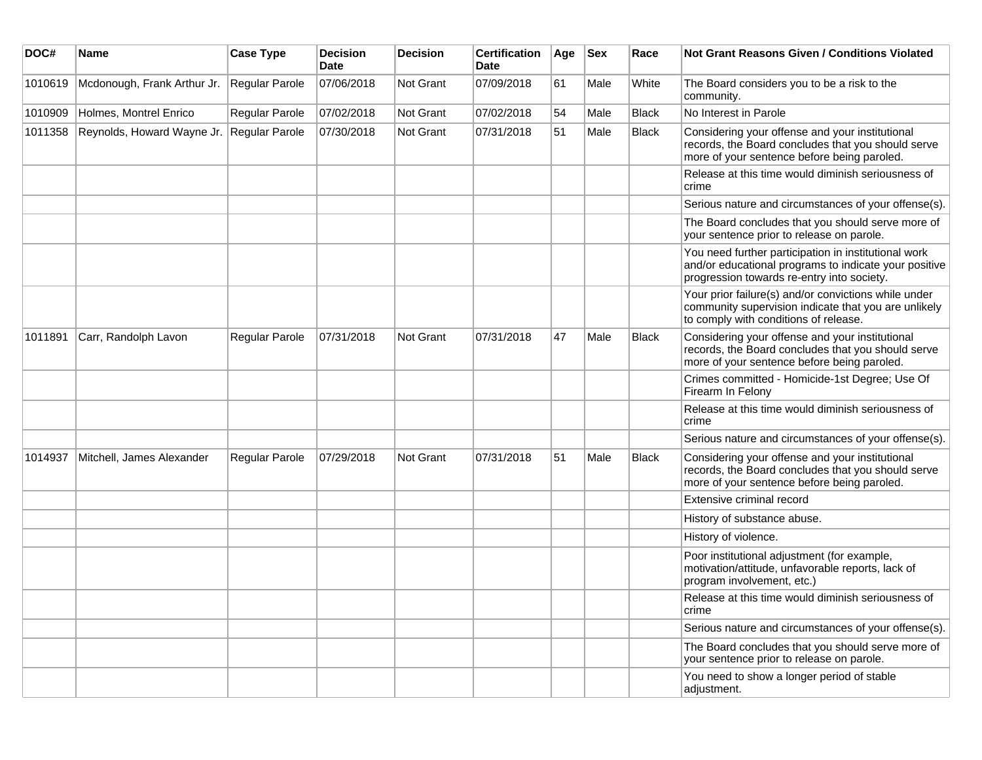| DOC#    | <b>Name</b>                 | <b>Case Type</b> | <b>Decision</b><br><b>Date</b> | Decision  | <b>Certification</b><br>Date | Age | <b>Sex</b> | Race         | Not Grant Reasons Given / Conditions Violated                                                                                                               |
|---------|-----------------------------|------------------|--------------------------------|-----------|------------------------------|-----|------------|--------------|-------------------------------------------------------------------------------------------------------------------------------------------------------------|
| 1010619 | Mcdonough, Frank Arthur Jr. | Regular Parole   | 07/06/2018                     | Not Grant | 07/09/2018                   | 61  | Male       | White        | The Board considers you to be a risk to the<br>community.                                                                                                   |
| 1010909 | Holmes, Montrel Enrico      | Regular Parole   | 07/02/2018                     | Not Grant | 07/02/2018                   | 54  | Male       | <b>Black</b> | No Interest in Parole                                                                                                                                       |
| 1011358 | Reynolds, Howard Wayne Jr.  | Regular Parole   | 07/30/2018                     | Not Grant | 07/31/2018                   | 51  | Male       | <b>Black</b> | Considering your offense and your institutional<br>records, the Board concludes that you should serve<br>more of your sentence before being paroled.        |
|         |                             |                  |                                |           |                              |     |            |              | Release at this time would diminish seriousness of<br>crime                                                                                                 |
|         |                             |                  |                                |           |                              |     |            |              | Serious nature and circumstances of your offense(s).                                                                                                        |
|         |                             |                  |                                |           |                              |     |            |              | The Board concludes that you should serve more of<br>your sentence prior to release on parole.                                                              |
|         |                             |                  |                                |           |                              |     |            |              | You need further participation in institutional work<br>and/or educational programs to indicate your positive<br>progression towards re-entry into society. |
|         |                             |                  |                                |           |                              |     |            |              | Your prior failure(s) and/or convictions while under<br>community supervision indicate that you are unlikely<br>to comply with conditions of release.       |
| 1011891 | Carr, Randolph Lavon        | Regular Parole   | 07/31/2018                     | Not Grant | 07/31/2018                   | 47  | Male       | <b>Black</b> | Considering your offense and your institutional<br>records, the Board concludes that you should serve<br>more of your sentence before being paroled.        |
|         |                             |                  |                                |           |                              |     |            |              | Crimes committed - Homicide-1st Degree; Use Of<br>Firearm In Felony                                                                                         |
|         |                             |                  |                                |           |                              |     |            |              | Release at this time would diminish seriousness of<br>crime                                                                                                 |
|         |                             |                  |                                |           |                              |     |            |              | Serious nature and circumstances of your offense(s).                                                                                                        |
| 1014937 | Mitchell, James Alexander   | Regular Parole   | 07/29/2018                     | Not Grant | 07/31/2018                   | 51  | Male       | <b>Black</b> | Considering your offense and your institutional<br>records, the Board concludes that you should serve<br>more of your sentence before being paroled.        |
|         |                             |                  |                                |           |                              |     |            |              | Extensive criminal record                                                                                                                                   |
|         |                             |                  |                                |           |                              |     |            |              | History of substance abuse.                                                                                                                                 |
|         |                             |                  |                                |           |                              |     |            |              | History of violence.                                                                                                                                        |
|         |                             |                  |                                |           |                              |     |            |              | Poor institutional adjustment (for example,<br>motivation/attitude, unfavorable reports, lack of<br>program involvement, etc.)                              |
|         |                             |                  |                                |           |                              |     |            |              | Release at this time would diminish seriousness of<br>crime                                                                                                 |
|         |                             |                  |                                |           |                              |     |            |              | Serious nature and circumstances of your offense(s).                                                                                                        |
|         |                             |                  |                                |           |                              |     |            |              | The Board concludes that you should serve more of<br>your sentence prior to release on parole.                                                              |
|         |                             |                  |                                |           |                              |     |            |              | You need to show a longer period of stable<br>adjustment.                                                                                                   |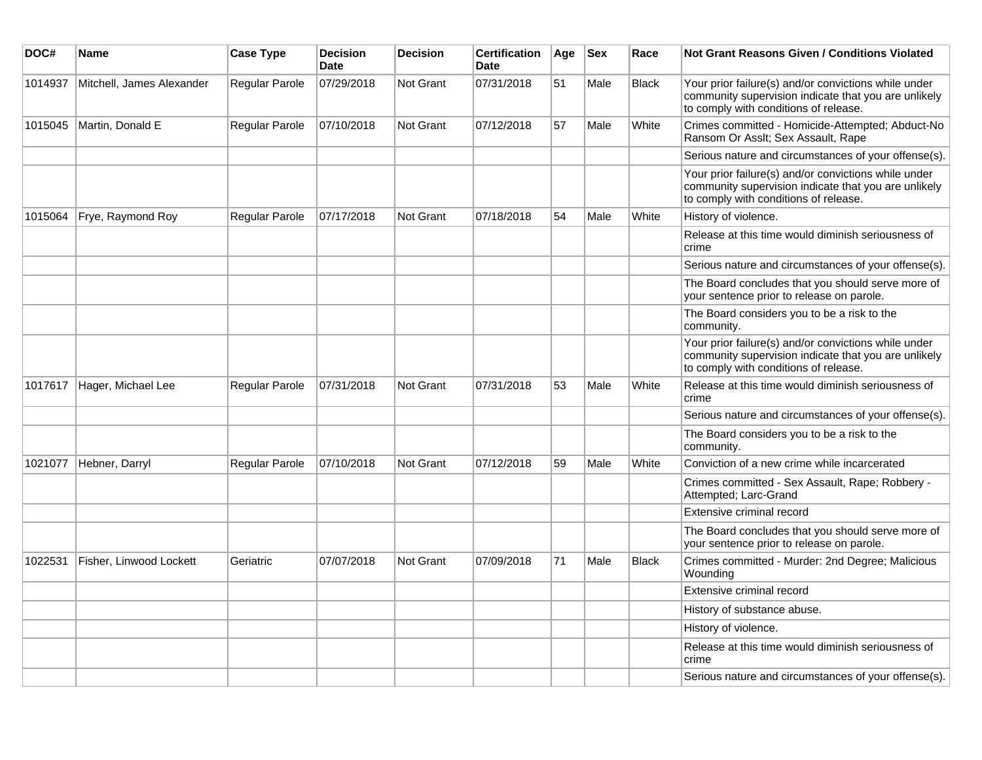| DOC#    | <b>Name</b>                | <b>Case Type</b> | <b>Decision</b><br>Date | <b>Decision</b> | Certification<br><b>Date</b> | Age | $ $ Sex | Race         | Not Grant Reasons Given / Conditions Violated                                                                                                         |
|---------|----------------------------|------------------|-------------------------|-----------------|------------------------------|-----|---------|--------------|-------------------------------------------------------------------------------------------------------------------------------------------------------|
| 1014937 | Mitchell, James Alexander  | Regular Parole   | 07/29/2018              | Not Grant       | 07/31/2018                   | 51  | Male    | Black        | Your prior failure(s) and/or convictions while under<br>community supervision indicate that you are unlikely<br>to comply with conditions of release. |
| 1015045 | Martin, Donald E           | Regular Parole   | 07/10/2018              | Not Grant       | 07/12/2018                   | 57  | Male    | White        | Crimes committed - Homicide-Attempted; Abduct-No<br>Ransom Or Asslt; Sex Assault, Rape                                                                |
|         |                            |                  |                         |                 |                              |     |         |              | Serious nature and circumstances of your offense(s).                                                                                                  |
|         |                            |                  |                         |                 |                              |     |         |              | Your prior failure(s) and/or convictions while under<br>community supervision indicate that you are unlikely<br>to comply with conditions of release. |
| 1015064 | Frye, Raymond Roy          | Regular Parole   | 07/17/2018              | Not Grant       | 07/18/2018                   | 54  | Male    | White        | History of violence.                                                                                                                                  |
|         |                            |                  |                         |                 |                              |     |         |              | Release at this time would diminish seriousness of<br>crime                                                                                           |
|         |                            |                  |                         |                 |                              |     |         |              | Serious nature and circumstances of your offense(s).                                                                                                  |
|         |                            |                  |                         |                 |                              |     |         |              | The Board concludes that you should serve more of<br>your sentence prior to release on parole.                                                        |
|         |                            |                  |                         |                 |                              |     |         |              | The Board considers you to be a risk to the<br>community.                                                                                             |
|         |                            |                  |                         |                 |                              |     |         |              | Your prior failure(s) and/or convictions while under<br>community supervision indicate that you are unlikely<br>to comply with conditions of release. |
|         | 1017617 Hager, Michael Lee | Regular Parole   | 07/31/2018              | Not Grant       | 07/31/2018                   | 53  | Male    | White        | Release at this time would diminish seriousness of<br>crime                                                                                           |
|         |                            |                  |                         |                 |                              |     |         |              | Serious nature and circumstances of your offense(s).                                                                                                  |
|         |                            |                  |                         |                 |                              |     |         |              | The Board considers you to be a risk to the<br>community.                                                                                             |
| 1021077 | Hebner, Darryl             | Regular Parole   | 07/10/2018              | Not Grant       | 07/12/2018                   | 59  | Male    | White        | Conviction of a new crime while incarcerated                                                                                                          |
|         |                            |                  |                         |                 |                              |     |         |              | Crimes committed - Sex Assault, Rape; Robbery -<br>Attempted; Larc-Grand                                                                              |
|         |                            |                  |                         |                 |                              |     |         |              | Extensive criminal record                                                                                                                             |
|         |                            |                  |                         |                 |                              |     |         |              | The Board concludes that you should serve more of<br>your sentence prior to release on parole.                                                        |
| 1022531 | Fisher, Linwood Lockett    | Geriatric        | 07/07/2018              | Not Grant       | 07/09/2018                   | 71  | Male    | <b>Black</b> | Crimes committed - Murder: 2nd Degree; Malicious<br>Wounding                                                                                          |
|         |                            |                  |                         |                 |                              |     |         |              | Extensive criminal record                                                                                                                             |
|         |                            |                  |                         |                 |                              |     |         |              | History of substance abuse.                                                                                                                           |
|         |                            |                  |                         |                 |                              |     |         |              | History of violence.                                                                                                                                  |
|         |                            |                  |                         |                 |                              |     |         |              | Release at this time would diminish seriousness of<br>crime                                                                                           |
|         |                            |                  |                         |                 |                              |     |         |              | Serious nature and circumstances of your offense(s).                                                                                                  |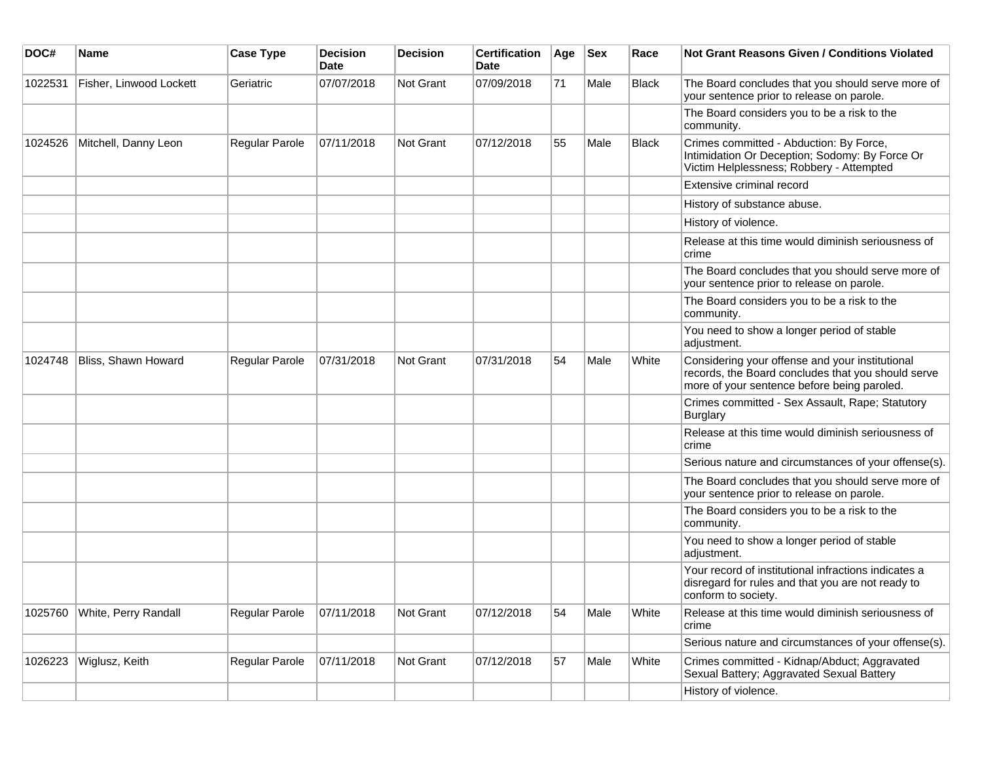| DOC#    | <b>Name</b>             | <b>Case Type</b> | <b>Decision</b><br><b>Date</b> | <b>Decision</b>  | <b>Certification</b><br><b>Date</b> | Age | <b>Sex</b> | Race         | Not Grant Reasons Given / Conditions Violated                                                                                                        |
|---------|-------------------------|------------------|--------------------------------|------------------|-------------------------------------|-----|------------|--------------|------------------------------------------------------------------------------------------------------------------------------------------------------|
| 1022531 | Fisher, Linwood Lockett | Geriatric        | 07/07/2018                     | <b>Not Grant</b> | 07/09/2018                          | 71  | Male       | Black        | The Board concludes that you should serve more of<br>your sentence prior to release on parole.                                                       |
|         |                         |                  |                                |                  |                                     |     |            |              | The Board considers you to be a risk to the<br>community.                                                                                            |
| 1024526 | Mitchell, Danny Leon    | Regular Parole   | 07/11/2018                     | <b>Not Grant</b> | 07/12/2018                          | 55  | Male       | <b>Black</b> | Crimes committed - Abduction: By Force,<br>Intimidation Or Deception; Sodomy: By Force Or<br>Victim Helplessness; Robbery - Attempted                |
|         |                         |                  |                                |                  |                                     |     |            |              | Extensive criminal record                                                                                                                            |
|         |                         |                  |                                |                  |                                     |     |            |              | History of substance abuse.                                                                                                                          |
|         |                         |                  |                                |                  |                                     |     |            |              | History of violence.                                                                                                                                 |
|         |                         |                  |                                |                  |                                     |     |            |              | Release at this time would diminish seriousness of<br>crime                                                                                          |
|         |                         |                  |                                |                  |                                     |     |            |              | The Board concludes that you should serve more of<br>your sentence prior to release on parole.                                                       |
|         |                         |                  |                                |                  |                                     |     |            |              | The Board considers you to be a risk to the<br>community.                                                                                            |
|         |                         |                  |                                |                  |                                     |     |            |              | You need to show a longer period of stable<br>adjustment.                                                                                            |
| 1024748 | Bliss, Shawn Howard     | Regular Parole   | 07/31/2018                     | Not Grant        | 07/31/2018                          | 54  | Male       | White        | Considering your offense and your institutional<br>records, the Board concludes that you should serve<br>more of your sentence before being paroled. |
|         |                         |                  |                                |                  |                                     |     |            |              | Crimes committed - Sex Assault, Rape; Statutory<br><b>Burglary</b>                                                                                   |
|         |                         |                  |                                |                  |                                     |     |            |              | Release at this time would diminish seriousness of<br>crime                                                                                          |
|         |                         |                  |                                |                  |                                     |     |            |              | Serious nature and circumstances of your offense(s).                                                                                                 |
|         |                         |                  |                                |                  |                                     |     |            |              | The Board concludes that you should serve more of<br>your sentence prior to release on parole.                                                       |
|         |                         |                  |                                |                  |                                     |     |            |              | The Board considers you to be a risk to the<br>community.                                                                                            |
|         |                         |                  |                                |                  |                                     |     |            |              | You need to show a longer period of stable<br>adjustment.                                                                                            |
|         |                         |                  |                                |                  |                                     |     |            |              | Your record of institutional infractions indicates a<br>disregard for rules and that you are not ready to<br>conform to society.                     |
| 1025760 | White, Perry Randall    | Regular Parole   | 07/11/2018                     | Not Grant        | 07/12/2018                          | 54  | Male       | White        | Release at this time would diminish seriousness of<br>crime                                                                                          |
|         |                         |                  |                                |                  |                                     |     |            |              | Serious nature and circumstances of your offense(s).                                                                                                 |
| 1026223 | Wiglusz, Keith          | Regular Parole   | 07/11/2018                     | Not Grant        | 07/12/2018                          | 57  | Male       | White        | Crimes committed - Kidnap/Abduct; Aggravated<br>Sexual Battery; Aggravated Sexual Battery                                                            |
|         |                         |                  |                                |                  |                                     |     |            |              | History of violence.                                                                                                                                 |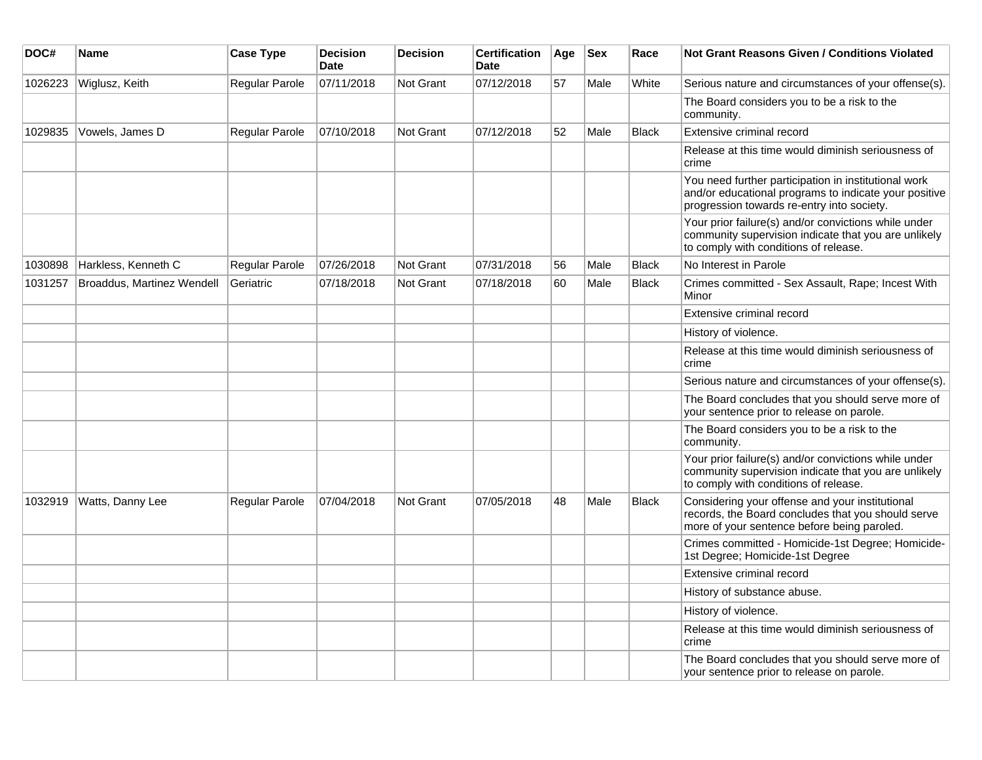| DOC#    | Name                       | <b>Case Type</b> | <b>Decision</b><br>Date | <b>Decision</b>  | <b>Certification</b><br><b>Date</b> | Age | <b>Sex</b> | Race         | <b>Not Grant Reasons Given / Conditions Violated</b>                                                                                                        |
|---------|----------------------------|------------------|-------------------------|------------------|-------------------------------------|-----|------------|--------------|-------------------------------------------------------------------------------------------------------------------------------------------------------------|
| 1026223 | Wiglusz, Keith             | Regular Parole   | 07/11/2018              | <b>Not Grant</b> | 07/12/2018                          | 57  | Male       | White        | Serious nature and circumstances of your offense(s).                                                                                                        |
|         |                            |                  |                         |                  |                                     |     |            |              | The Board considers you to be a risk to the<br>community.                                                                                                   |
| 1029835 | Vowels, James D            | Regular Parole   | 07/10/2018              | <b>Not Grant</b> | 07/12/2018                          | 52  | Male       | <b>Black</b> | Extensive criminal record                                                                                                                                   |
|         |                            |                  |                         |                  |                                     |     |            |              | Release at this time would diminish seriousness of<br>crime                                                                                                 |
|         |                            |                  |                         |                  |                                     |     |            |              | You need further participation in institutional work<br>and/or educational programs to indicate your positive<br>progression towards re-entry into society. |
|         |                            |                  |                         |                  |                                     |     |            |              | Your prior failure(s) and/or convictions while under<br>community supervision indicate that you are unlikely<br>to comply with conditions of release.       |
| 1030898 | Harkless, Kenneth C        | Regular Parole   | 07/26/2018              | <b>Not Grant</b> | 07/31/2018                          | 56  | Male       | <b>Black</b> | No Interest in Parole                                                                                                                                       |
| 1031257 | Broaddus, Martinez Wendell | Geriatric        | 07/18/2018              | <b>Not Grant</b> | 07/18/2018                          | 60  | Male       | <b>Black</b> | Crimes committed - Sex Assault, Rape; Incest With<br>Minor                                                                                                  |
|         |                            |                  |                         |                  |                                     |     |            |              | Extensive criminal record                                                                                                                                   |
|         |                            |                  |                         |                  |                                     |     |            |              | History of violence.                                                                                                                                        |
|         |                            |                  |                         |                  |                                     |     |            |              | Release at this time would diminish seriousness of<br>crime                                                                                                 |
|         |                            |                  |                         |                  |                                     |     |            |              | Serious nature and circumstances of your offense(s).                                                                                                        |
|         |                            |                  |                         |                  |                                     |     |            |              | The Board concludes that you should serve more of<br>your sentence prior to release on parole.                                                              |
|         |                            |                  |                         |                  |                                     |     |            |              | The Board considers you to be a risk to the<br>community.                                                                                                   |
|         |                            |                  |                         |                  |                                     |     |            |              | Your prior failure(s) and/or convictions while under<br>community supervision indicate that you are unlikely<br>to comply with conditions of release.       |
| 1032919 | Watts, Danny Lee           | Regular Parole   | 07/04/2018              | <b>Not Grant</b> | 07/05/2018                          | 48  | Male       | <b>Black</b> | Considering your offense and your institutional<br>records, the Board concludes that you should serve<br>more of your sentence before being paroled.        |
|         |                            |                  |                         |                  |                                     |     |            |              | Crimes committed - Homicide-1st Degree; Homicide-<br>1st Degree; Homicide-1st Degree                                                                        |
|         |                            |                  |                         |                  |                                     |     |            |              | Extensive criminal record                                                                                                                                   |
|         |                            |                  |                         |                  |                                     |     |            |              | History of substance abuse.                                                                                                                                 |
|         |                            |                  |                         |                  |                                     |     |            |              | History of violence.                                                                                                                                        |
|         |                            |                  |                         |                  |                                     |     |            |              | Release at this time would diminish seriousness of<br>crime                                                                                                 |
|         |                            |                  |                         |                  |                                     |     |            |              | The Board concludes that you should serve more of<br>your sentence prior to release on parole.                                                              |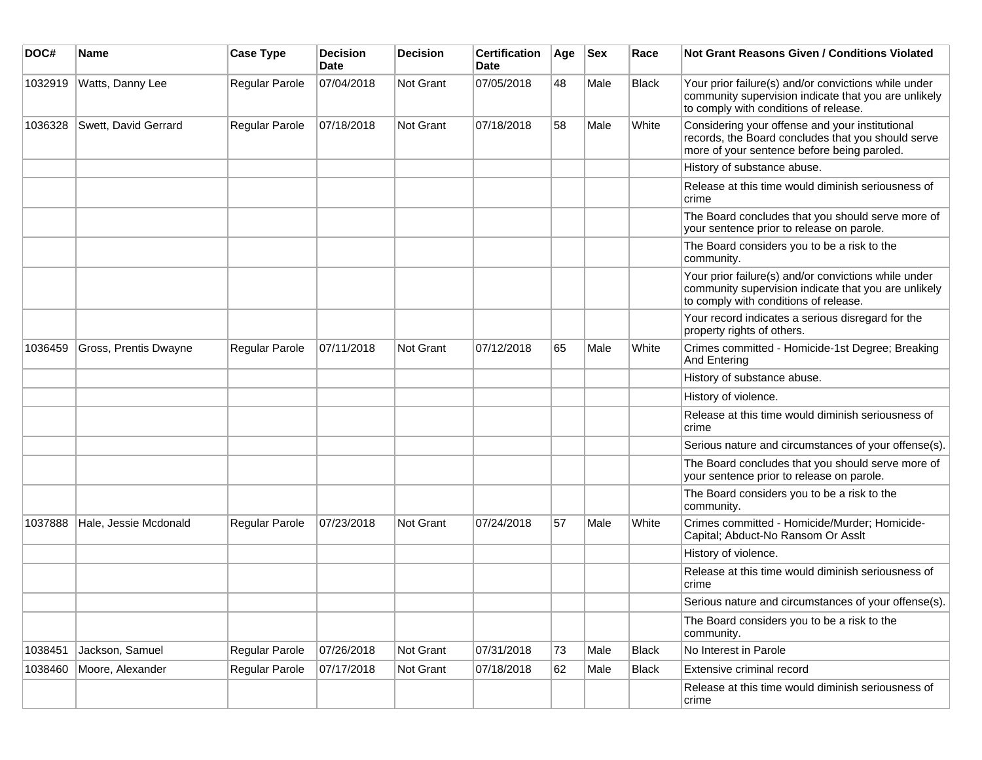| DOC#    | <b>Name</b>           | <b>Case Type</b> | <b>Decision</b><br><b>Date</b> | <b>Decision</b>  | <b>Certification</b><br>Date | Age | <b>Sex</b> | Race  | Not Grant Reasons Given / Conditions Violated                                                                                                         |
|---------|-----------------------|------------------|--------------------------------|------------------|------------------------------|-----|------------|-------|-------------------------------------------------------------------------------------------------------------------------------------------------------|
| 1032919 | Watts, Danny Lee      | Regular Parole   | 07/04/2018                     | Not Grant        | 07/05/2018                   | 48  | Male       | Black | Your prior failure(s) and/or convictions while under<br>community supervision indicate that you are unlikely<br>to comply with conditions of release. |
| 1036328 | Swett, David Gerrard  | Regular Parole   | 07/18/2018                     | Not Grant        | 07/18/2018                   | 58  | Male       | White | Considering your offense and your institutional<br>records, the Board concludes that you should serve<br>more of your sentence before being paroled.  |
|         |                       |                  |                                |                  |                              |     |            |       | History of substance abuse.                                                                                                                           |
|         |                       |                  |                                |                  |                              |     |            |       | Release at this time would diminish seriousness of<br>crime                                                                                           |
|         |                       |                  |                                |                  |                              |     |            |       | The Board concludes that you should serve more of<br>your sentence prior to release on parole.                                                        |
|         |                       |                  |                                |                  |                              |     |            |       | The Board considers you to be a risk to the<br>community.                                                                                             |
|         |                       |                  |                                |                  |                              |     |            |       | Your prior failure(s) and/or convictions while under<br>community supervision indicate that you are unlikely<br>to comply with conditions of release. |
|         |                       |                  |                                |                  |                              |     |            |       | Your record indicates a serious disregard for the<br>property rights of others.                                                                       |
| 1036459 | Gross, Prentis Dwayne | Regular Parole   | 07/11/2018                     | Not Grant        | 07/12/2018                   | 65  | Male       | White | Crimes committed - Homicide-1st Degree; Breaking<br>And Entering                                                                                      |
|         |                       |                  |                                |                  |                              |     |            |       | History of substance abuse.                                                                                                                           |
|         |                       |                  |                                |                  |                              |     |            |       | History of violence.                                                                                                                                  |
|         |                       |                  |                                |                  |                              |     |            |       | Release at this time would diminish seriousness of<br>crime                                                                                           |
|         |                       |                  |                                |                  |                              |     |            |       | Serious nature and circumstances of your offense(s).                                                                                                  |
|         |                       |                  |                                |                  |                              |     |            |       | The Board concludes that you should serve more of<br>your sentence prior to release on parole.                                                        |
|         |                       |                  |                                |                  |                              |     |            |       | The Board considers you to be a risk to the<br>community.                                                                                             |
| 1037888 | Hale, Jessie Mcdonald | Regular Parole   | 07/23/2018                     | <b>Not Grant</b> | 07/24/2018                   | 57  | Male       | White | Crimes committed - Homicide/Murder; Homicide-<br>Capital; Abduct-No Ransom Or Asslt                                                                   |
|         |                       |                  |                                |                  |                              |     |            |       | History of violence.                                                                                                                                  |
|         |                       |                  |                                |                  |                              |     |            |       | Release at this time would diminish seriousness of<br>crime                                                                                           |
|         |                       |                  |                                |                  |                              |     |            |       | Serious nature and circumstances of your offense(s).                                                                                                  |
|         |                       |                  |                                |                  |                              |     |            |       | The Board considers you to be a risk to the<br>community.                                                                                             |
| 1038451 | Jackson, Samuel       | Regular Parole   | 07/26/2018                     | Not Grant        | 07/31/2018                   | 73  | Male       | Black | No Interest in Parole                                                                                                                                 |
| 1038460 | Moore, Alexander      | Regular Parole   | 07/17/2018                     | Not Grant        | 07/18/2018                   | 62  | Male       | Black | Extensive criminal record                                                                                                                             |
|         |                       |                  |                                |                  |                              |     |            |       | Release at this time would diminish seriousness of<br>crime                                                                                           |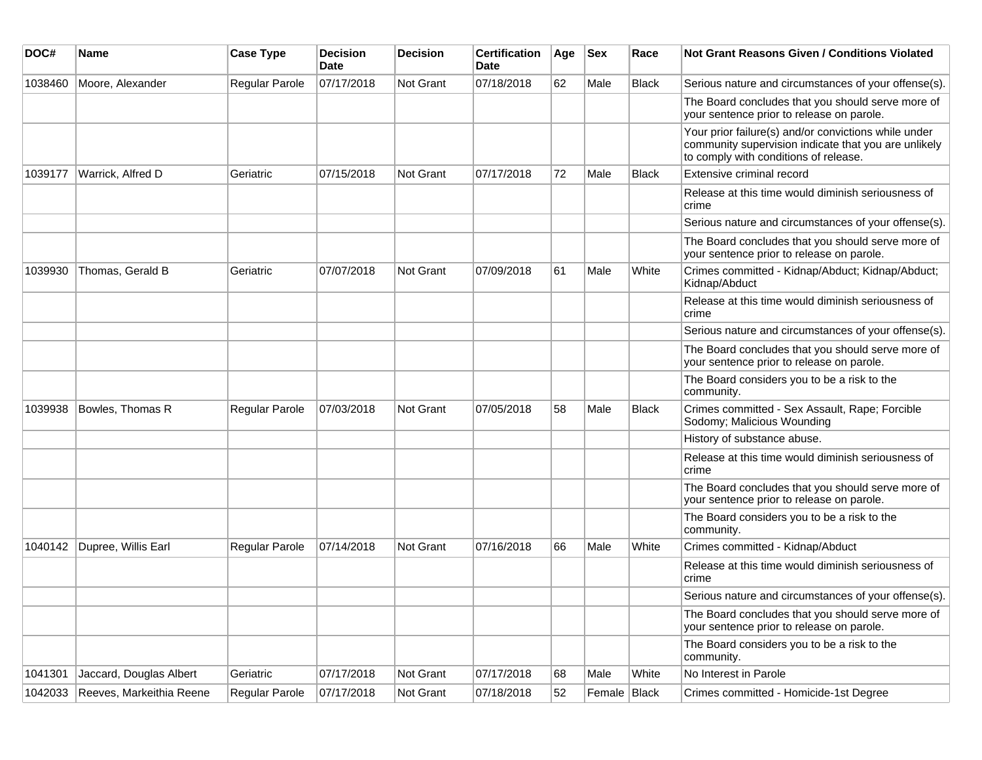| DOC#    | <b>Name</b>              | <b>Case Type</b> | <b>Decision</b><br><b>Date</b> | <b>Decision</b> | <b>Certification</b><br>Date | Age | $ $ Sex      | Race         | <b>Not Grant Reasons Given / Conditions Violated</b>                                                                                                  |
|---------|--------------------------|------------------|--------------------------------|-----------------|------------------------------|-----|--------------|--------------|-------------------------------------------------------------------------------------------------------------------------------------------------------|
| 1038460 | Moore, Alexander         | Regular Parole   | 07/17/2018                     | Not Grant       | 07/18/2018                   | 62  | Male         | <b>Black</b> | Serious nature and circumstances of your offense(s).                                                                                                  |
|         |                          |                  |                                |                 |                              |     |              |              | The Board concludes that you should serve more of<br>your sentence prior to release on parole.                                                        |
|         |                          |                  |                                |                 |                              |     |              |              | Your prior failure(s) and/or convictions while under<br>community supervision indicate that you are unlikely<br>to comply with conditions of release. |
| 1039177 | Warrick, Alfred D        | Geriatric        | 07/15/2018                     | Not Grant       | 07/17/2018                   | 72  | Male         | <b>Black</b> | Extensive criminal record                                                                                                                             |
|         |                          |                  |                                |                 |                              |     |              |              | Release at this time would diminish seriousness of<br>crime                                                                                           |
|         |                          |                  |                                |                 |                              |     |              |              | Serious nature and circumstances of your offense(s).                                                                                                  |
|         |                          |                  |                                |                 |                              |     |              |              | The Board concludes that you should serve more of<br>your sentence prior to release on parole.                                                        |
| 1039930 | Thomas, Gerald B         | Geriatric        | 07/07/2018                     | Not Grant       | 07/09/2018                   | 61  | Male         | White        | Crimes committed - Kidnap/Abduct; Kidnap/Abduct;<br>Kidnap/Abduct                                                                                     |
|         |                          |                  |                                |                 |                              |     |              |              | Release at this time would diminish seriousness of<br>crime                                                                                           |
|         |                          |                  |                                |                 |                              |     |              |              | Serious nature and circumstances of your offense(s).                                                                                                  |
|         |                          |                  |                                |                 |                              |     |              |              | The Board concludes that you should serve more of<br>your sentence prior to release on parole.                                                        |
|         |                          |                  |                                |                 |                              |     |              |              | The Board considers you to be a risk to the<br>community.                                                                                             |
| 1039938 | Bowles, Thomas R         | Regular Parole   | 07/03/2018                     | Not Grant       | 07/05/2018                   | 58  | Male         | <b>Black</b> | Crimes committed - Sex Assault, Rape; Forcible<br>Sodomy; Malicious Wounding                                                                          |
|         |                          |                  |                                |                 |                              |     |              |              | History of substance abuse.                                                                                                                           |
|         |                          |                  |                                |                 |                              |     |              |              | Release at this time would diminish seriousness of<br>crime                                                                                           |
|         |                          |                  |                                |                 |                              |     |              |              | The Board concludes that you should serve more of<br>your sentence prior to release on parole.                                                        |
|         |                          |                  |                                |                 |                              |     |              |              | The Board considers you to be a risk to the<br>community.                                                                                             |
| 1040142 | Dupree, Willis Earl      | Regular Parole   | 07/14/2018                     | Not Grant       | 07/16/2018                   | 66  | Male         | White        | Crimes committed - Kidnap/Abduct                                                                                                                      |
|         |                          |                  |                                |                 |                              |     |              |              | Release at this time would diminish seriousness of<br>crime                                                                                           |
|         |                          |                  |                                |                 |                              |     |              |              | Serious nature and circumstances of your offense(s).                                                                                                  |
|         |                          |                  |                                |                 |                              |     |              |              | The Board concludes that you should serve more of<br>your sentence prior to release on parole.                                                        |
|         |                          |                  |                                |                 |                              |     |              |              | The Board considers you to be a risk to the<br>community.                                                                                             |
| 1041301 | Jaccard, Douglas Albert  | Geriatric        | 07/17/2018                     | Not Grant       | 07/17/2018                   | 68  | Male         | White        | No Interest in Parole                                                                                                                                 |
| 1042033 | Reeves, Markeithia Reene | Regular Parole   | 07/17/2018                     | Not Grant       | 07/18/2018                   | 52  | Female Black |              | Crimes committed - Homicide-1st Degree                                                                                                                |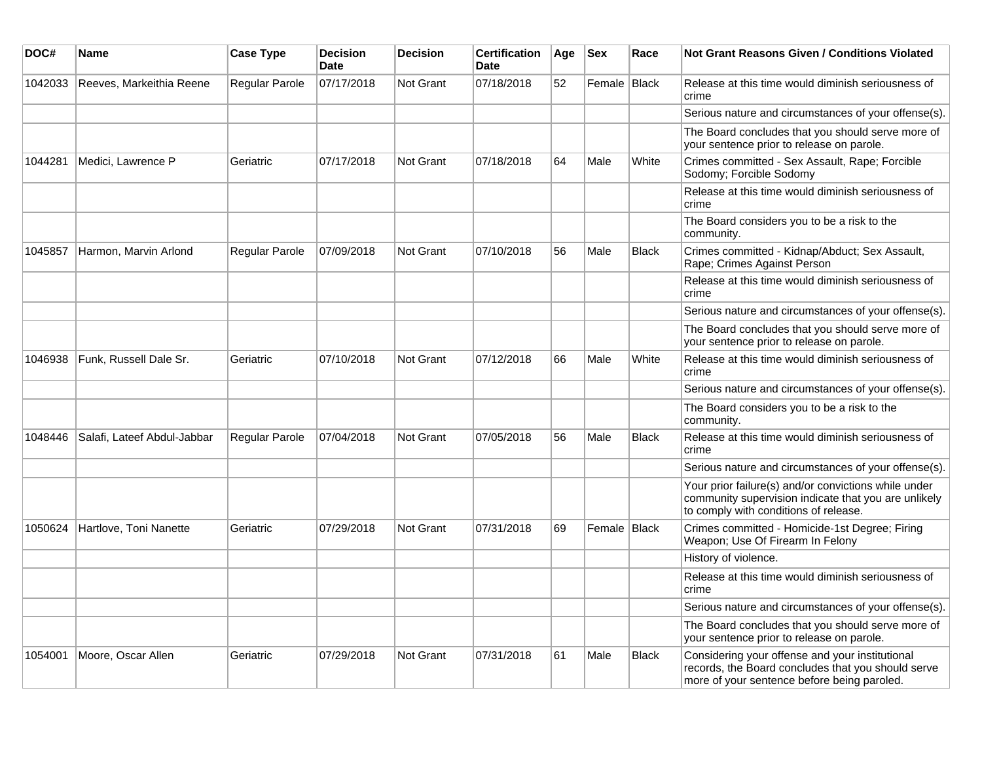| DOC#    | <b>Name</b>                 | <b>Case Type</b>      | <b>Decision</b><br><b>Date</b> | <b>Decision</b>  | <b>Certification</b><br><b>Date</b> | Age | <b>Sex</b>   | Race         | <b>Not Grant Reasons Given / Conditions Violated</b>                                                                                                  |
|---------|-----------------------------|-----------------------|--------------------------------|------------------|-------------------------------------|-----|--------------|--------------|-------------------------------------------------------------------------------------------------------------------------------------------------------|
| 1042033 | Reeves, Markeithia Reene    | Regular Parole        | 07/17/2018                     | Not Grant        | 07/18/2018                          | 52  | Female Black |              | Release at this time would diminish seriousness of<br>crime                                                                                           |
|         |                             |                       |                                |                  |                                     |     |              |              | Serious nature and circumstances of your offense(s).                                                                                                  |
|         |                             |                       |                                |                  |                                     |     |              |              | The Board concludes that you should serve more of<br>your sentence prior to release on parole.                                                        |
| 1044281 | Medici, Lawrence P          | Geriatric             | 07/17/2018                     | <b>Not Grant</b> | 07/18/2018                          | 64  | Male         | White        | Crimes committed - Sex Assault, Rape; Forcible<br>Sodomy; Forcible Sodomy                                                                             |
|         |                             |                       |                                |                  |                                     |     |              |              | Release at this time would diminish seriousness of<br>crime                                                                                           |
|         |                             |                       |                                |                  |                                     |     |              |              | The Board considers you to be a risk to the<br>community.                                                                                             |
| 1045857 | Harmon, Marvin Arlond       | <b>Regular Parole</b> | 07/09/2018                     | <b>Not Grant</b> | 07/10/2018                          | 56  | Male         | <b>Black</b> | Crimes committed - Kidnap/Abduct; Sex Assault,<br>Rape; Crimes Against Person                                                                         |
|         |                             |                       |                                |                  |                                     |     |              |              | Release at this time would diminish seriousness of<br>crime                                                                                           |
|         |                             |                       |                                |                  |                                     |     |              |              | Serious nature and circumstances of your offense(s).                                                                                                  |
|         |                             |                       |                                |                  |                                     |     |              |              | The Board concludes that you should serve more of<br>your sentence prior to release on parole.                                                        |
| 1046938 | Funk, Russell Dale Sr.      | Geriatric             | 07/10/2018                     | <b>Not Grant</b> | 07/12/2018                          | 66  | Male         | White        | Release at this time would diminish seriousness of<br>crime                                                                                           |
|         |                             |                       |                                |                  |                                     |     |              |              | Serious nature and circumstances of your offense(s).                                                                                                  |
|         |                             |                       |                                |                  |                                     |     |              |              | The Board considers you to be a risk to the<br>community.                                                                                             |
| 1048446 | Salafi, Lateef Abdul-Jabbar | <b>Regular Parole</b> | 07/04/2018                     | <b>Not Grant</b> | 07/05/2018                          | 56  | Male         | <b>Black</b> | Release at this time would diminish seriousness of<br>crime                                                                                           |
|         |                             |                       |                                |                  |                                     |     |              |              | Serious nature and circumstances of your offense(s).                                                                                                  |
|         |                             |                       |                                |                  |                                     |     |              |              | Your prior failure(s) and/or convictions while under<br>community supervision indicate that you are unlikely<br>to comply with conditions of release. |
| 1050624 | Hartlove, Toni Nanette      | Geriatric             | 07/29/2018                     | <b>Not Grant</b> | 07/31/2018                          | 69  | Female Black |              | Crimes committed - Homicide-1st Degree; Firing<br>Weapon; Use Of Firearm In Felony                                                                    |
|         |                             |                       |                                |                  |                                     |     |              |              | History of violence.                                                                                                                                  |
|         |                             |                       |                                |                  |                                     |     |              |              | Release at this time would diminish seriousness of<br>crime                                                                                           |
|         |                             |                       |                                |                  |                                     |     |              |              | Serious nature and circumstances of your offense(s).                                                                                                  |
|         |                             |                       |                                |                  |                                     |     |              |              | The Board concludes that you should serve more of<br>your sentence prior to release on parole.                                                        |
| 1054001 | Moore, Oscar Allen          | Geriatric             | 07/29/2018                     | <b>Not Grant</b> | 07/31/2018                          | 61  | Male         | Black        | Considering your offense and your institutional<br>records, the Board concludes that you should serve<br>more of your sentence before being paroled.  |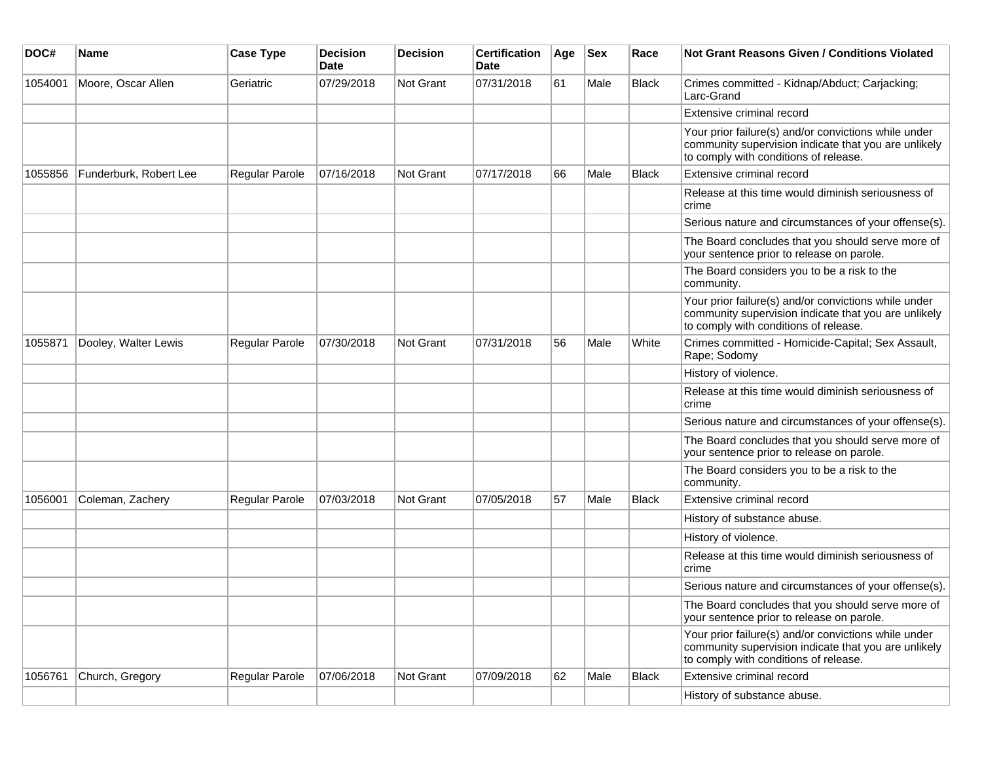| DOC#    | <b>Name</b>            | <b>Case Type</b> | Decision<br><b>Date</b> | <b>Decision</b>  | <b>Certification</b><br>Date | Age | <b>Sex</b> | Race         | Not Grant Reasons Given / Conditions Violated                                                                                                         |
|---------|------------------------|------------------|-------------------------|------------------|------------------------------|-----|------------|--------------|-------------------------------------------------------------------------------------------------------------------------------------------------------|
| 1054001 | Moore, Oscar Allen     | Geriatric        | 07/29/2018              | Not Grant        | 07/31/2018                   | 61  | Male       | Black        | Crimes committed - Kidnap/Abduct; Carjacking;<br>Larc-Grand                                                                                           |
|         |                        |                  |                         |                  |                              |     |            |              | Extensive criminal record                                                                                                                             |
|         |                        |                  |                         |                  |                              |     |            |              | Your prior failure(s) and/or convictions while under<br>community supervision indicate that you are unlikely<br>to comply with conditions of release. |
| 1055856 | Funderburk, Robert Lee | Regular Parole   | 07/16/2018              | <b>Not Grant</b> | 07/17/2018                   | 66  | Male       | <b>Black</b> | Extensive criminal record                                                                                                                             |
|         |                        |                  |                         |                  |                              |     |            |              | Release at this time would diminish seriousness of<br>crime                                                                                           |
|         |                        |                  |                         |                  |                              |     |            |              | Serious nature and circumstances of your offense(s).                                                                                                  |
|         |                        |                  |                         |                  |                              |     |            |              | The Board concludes that you should serve more of<br>your sentence prior to release on parole.                                                        |
|         |                        |                  |                         |                  |                              |     |            |              | The Board considers you to be a risk to the<br>community.                                                                                             |
|         |                        |                  |                         |                  |                              |     |            |              | Your prior failure(s) and/or convictions while under<br>community supervision indicate that you are unlikely<br>to comply with conditions of release. |
| 1055871 | Dooley, Walter Lewis   | Regular Parole   | 07/30/2018              | Not Grant        | 07/31/2018                   | 56  | Male       | White        | Crimes committed - Homicide-Capital; Sex Assault,<br>Rape; Sodomy                                                                                     |
|         |                        |                  |                         |                  |                              |     |            |              | History of violence.                                                                                                                                  |
|         |                        |                  |                         |                  |                              |     |            |              | Release at this time would diminish seriousness of<br>crime                                                                                           |
|         |                        |                  |                         |                  |                              |     |            |              | Serious nature and circumstances of your offense(s).                                                                                                  |
|         |                        |                  |                         |                  |                              |     |            |              | The Board concludes that you should serve more of<br>your sentence prior to release on parole.                                                        |
|         |                        |                  |                         |                  |                              |     |            |              | The Board considers you to be a risk to the<br>community.                                                                                             |
| 1056001 | Coleman, Zachery       | Regular Parole   | 07/03/2018              | <b>Not Grant</b> | 07/05/2018                   | 57  | Male       | <b>Black</b> | Extensive criminal record                                                                                                                             |
|         |                        |                  |                         |                  |                              |     |            |              | History of substance abuse.                                                                                                                           |
|         |                        |                  |                         |                  |                              |     |            |              | History of violence.                                                                                                                                  |
|         |                        |                  |                         |                  |                              |     |            |              | Release at this time would diminish seriousness of<br>crime                                                                                           |
|         |                        |                  |                         |                  |                              |     |            |              | Serious nature and circumstances of your offense(s).                                                                                                  |
|         |                        |                  |                         |                  |                              |     |            |              | The Board concludes that you should serve more of<br>your sentence prior to release on parole.                                                        |
|         |                        |                  |                         |                  |                              |     |            |              | Your prior failure(s) and/or convictions while under<br>community supervision indicate that you are unlikely<br>to comply with conditions of release. |
| 1056761 | Church, Gregory        | Regular Parole   | 07/06/2018              | Not Grant        | 07/09/2018                   | 62  | Male       | <b>Black</b> | Extensive criminal record                                                                                                                             |
|         |                        |                  |                         |                  |                              |     |            |              | History of substance abuse.                                                                                                                           |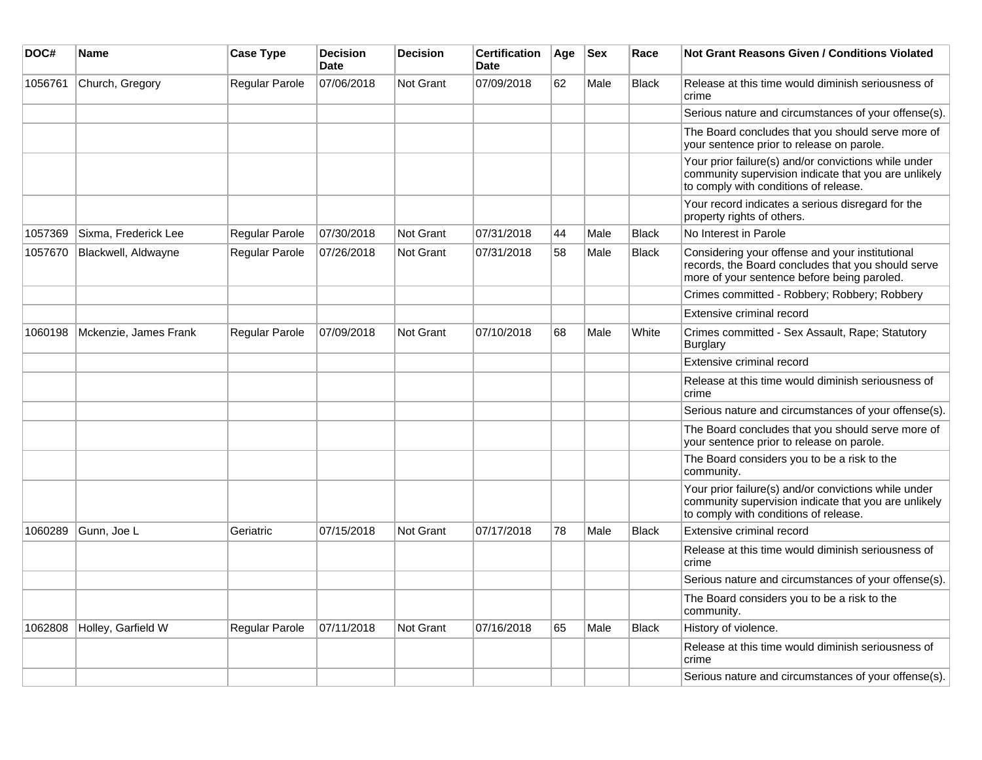| DOC#    | <b>Name</b>           | <b>Case Type</b> | <b>Decision</b><br><b>Date</b> | <b>Decision</b>  | <b>Certification</b><br>Date | Age | <b>Sex</b> | Race         | Not Grant Reasons Given / Conditions Violated                                                                                                         |
|---------|-----------------------|------------------|--------------------------------|------------------|------------------------------|-----|------------|--------------|-------------------------------------------------------------------------------------------------------------------------------------------------------|
| 1056761 | Church, Gregory       | Regular Parole   | 07/06/2018                     | <b>Not Grant</b> | 07/09/2018                   | 62  | Male       | <b>Black</b> | Release at this time would diminish seriousness of<br>crime                                                                                           |
|         |                       |                  |                                |                  |                              |     |            |              | Serious nature and circumstances of your offense(s).                                                                                                  |
|         |                       |                  |                                |                  |                              |     |            |              | The Board concludes that you should serve more of<br>your sentence prior to release on parole.                                                        |
|         |                       |                  |                                |                  |                              |     |            |              | Your prior failure(s) and/or convictions while under<br>community supervision indicate that you are unlikely<br>to comply with conditions of release. |
|         |                       |                  |                                |                  |                              |     |            |              | Your record indicates a serious disregard for the<br>property rights of others.                                                                       |
| 1057369 | Sixma, Frederick Lee  | Regular Parole   | 07/30/2018                     | <b>Not Grant</b> | 07/31/2018                   | 44  | Male       | <b>Black</b> | No Interest in Parole                                                                                                                                 |
| 1057670 | Blackwell, Aldwayne   | Regular Parole   | 07/26/2018                     | Not Grant        | 07/31/2018                   | 58  | Male       | <b>Black</b> | Considering your offense and your institutional<br>records, the Board concludes that you should serve<br>more of your sentence before being paroled.  |
|         |                       |                  |                                |                  |                              |     |            |              | Crimes committed - Robbery; Robbery; Robbery                                                                                                          |
|         |                       |                  |                                |                  |                              |     |            |              | Extensive criminal record                                                                                                                             |
| 1060198 | Mckenzie, James Frank | Regular Parole   | 07/09/2018                     | <b>Not Grant</b> | 07/10/2018                   | 68  | Male       | White        | Crimes committed - Sex Assault, Rape; Statutory<br>Burglary                                                                                           |
|         |                       |                  |                                |                  |                              |     |            |              | Extensive criminal record                                                                                                                             |
|         |                       |                  |                                |                  |                              |     |            |              | Release at this time would diminish seriousness of<br>crime                                                                                           |
|         |                       |                  |                                |                  |                              |     |            |              | Serious nature and circumstances of your offense(s).                                                                                                  |
|         |                       |                  |                                |                  |                              |     |            |              | The Board concludes that you should serve more of<br>your sentence prior to release on parole.                                                        |
|         |                       |                  |                                |                  |                              |     |            |              | The Board considers you to be a risk to the<br>community.                                                                                             |
|         |                       |                  |                                |                  |                              |     |            |              | Your prior failure(s) and/or convictions while under<br>community supervision indicate that you are unlikely<br>to comply with conditions of release. |
| 1060289 | Gunn, Joe L           | Geriatric        | 07/15/2018                     | Not Grant        | 07/17/2018                   | 78  | Male       | <b>Black</b> | Extensive criminal record                                                                                                                             |
|         |                       |                  |                                |                  |                              |     |            |              | Release at this time would diminish seriousness of<br>crime                                                                                           |
|         |                       |                  |                                |                  |                              |     |            |              | Serious nature and circumstances of your offense(s).                                                                                                  |
|         |                       |                  |                                |                  |                              |     |            |              | The Board considers you to be a risk to the<br>community.                                                                                             |
| 1062808 | Holley, Garfield W    | Regular Parole   | 07/11/2018                     | <b>Not Grant</b> | 07/16/2018                   | 65  | Male       | <b>Black</b> | History of violence.                                                                                                                                  |
|         |                       |                  |                                |                  |                              |     |            |              | Release at this time would diminish seriousness of<br>crime                                                                                           |
|         |                       |                  |                                |                  |                              |     |            |              | Serious nature and circumstances of your offense(s).                                                                                                  |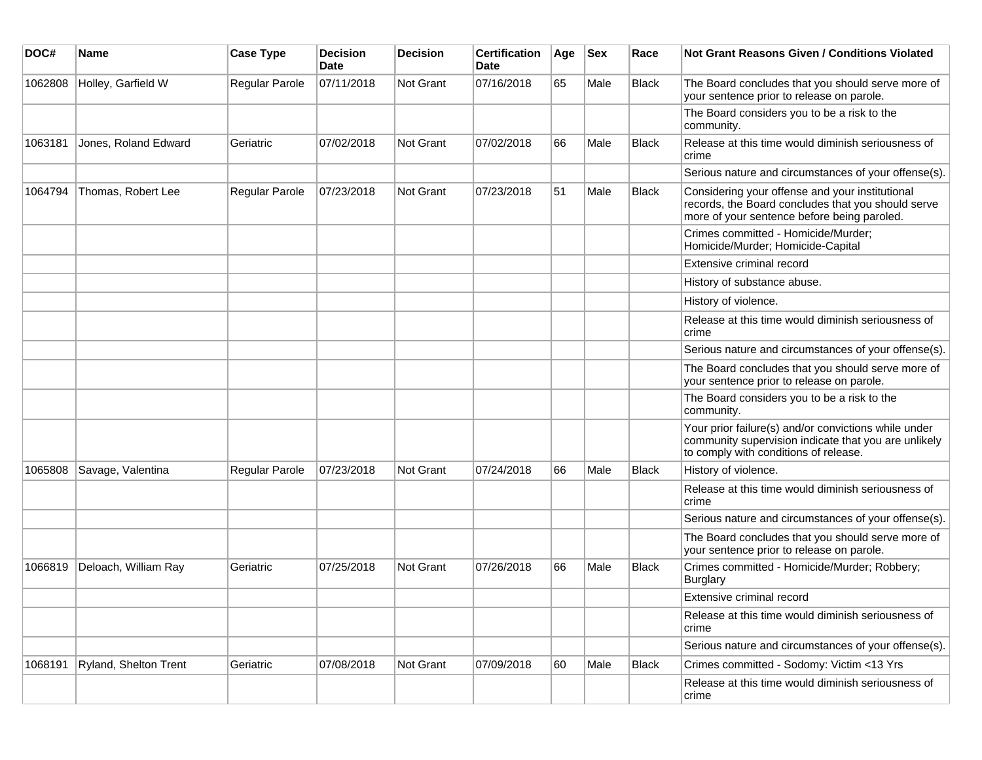| DOC#    | <b>Name</b>           | <b>Case Type</b> | <b>Decision</b><br><b>Date</b> | <b>Decision</b> | <b>Certification</b><br>Date | Age | <b>Sex</b> | Race         | <b>Not Grant Reasons Given / Conditions Violated</b>                                                                                                  |
|---------|-----------------------|------------------|--------------------------------|-----------------|------------------------------|-----|------------|--------------|-------------------------------------------------------------------------------------------------------------------------------------------------------|
| 1062808 | Holley, Garfield W    | Regular Parole   | 07/11/2018                     | Not Grant       | 07/16/2018                   | 65  | Male       | <b>Black</b> | The Board concludes that you should serve more of<br>your sentence prior to release on parole.                                                        |
|         |                       |                  |                                |                 |                              |     |            |              | The Board considers you to be a risk to the<br>community.                                                                                             |
| 1063181 | Jones, Roland Edward  | Geriatric        | 07/02/2018                     | Not Grant       | 07/02/2018                   | 66  | Male       | <b>Black</b> | Release at this time would diminish seriousness of<br>crime                                                                                           |
|         |                       |                  |                                |                 |                              |     |            |              | Serious nature and circumstances of your offense(s).                                                                                                  |
| 1064794 | Thomas, Robert Lee    | Regular Parole   | 07/23/2018                     | Not Grant       | 07/23/2018                   | 51  | Male       | <b>Black</b> | Considering your offense and your institutional<br>records, the Board concludes that you should serve<br>more of your sentence before being paroled.  |
|         |                       |                  |                                |                 |                              |     |            |              | Crimes committed - Homicide/Murder;<br>Homicide/Murder; Homicide-Capital                                                                              |
|         |                       |                  |                                |                 |                              |     |            |              | Extensive criminal record                                                                                                                             |
|         |                       |                  |                                |                 |                              |     |            |              | History of substance abuse.                                                                                                                           |
|         |                       |                  |                                |                 |                              |     |            |              | History of violence.                                                                                                                                  |
|         |                       |                  |                                |                 |                              |     |            |              | Release at this time would diminish seriousness of<br>crime                                                                                           |
|         |                       |                  |                                |                 |                              |     |            |              | Serious nature and circumstances of your offense(s).                                                                                                  |
|         |                       |                  |                                |                 |                              |     |            |              | The Board concludes that you should serve more of<br>your sentence prior to release on parole.                                                        |
|         |                       |                  |                                |                 |                              |     |            |              | The Board considers you to be a risk to the<br>community.                                                                                             |
|         |                       |                  |                                |                 |                              |     |            |              | Your prior failure(s) and/or convictions while under<br>community supervision indicate that you are unlikely<br>to comply with conditions of release. |
| 1065808 | Savage, Valentina     | Regular Parole   | 07/23/2018                     | Not Grant       | 07/24/2018                   | 66  | Male       | Black        | History of violence.                                                                                                                                  |
|         |                       |                  |                                |                 |                              |     |            |              | Release at this time would diminish seriousness of<br>crime                                                                                           |
|         |                       |                  |                                |                 |                              |     |            |              | Serious nature and circumstances of your offense(s).                                                                                                  |
|         |                       |                  |                                |                 |                              |     |            |              | The Board concludes that you should serve more of<br>your sentence prior to release on parole.                                                        |
| 1066819 | Deloach, William Ray  | Geriatric        | 07/25/2018                     | Not Grant       | 07/26/2018                   | 66  | Male       | <b>Black</b> | Crimes committed - Homicide/Murder; Robbery;<br><b>Burglary</b>                                                                                       |
|         |                       |                  |                                |                 |                              |     |            |              | Extensive criminal record                                                                                                                             |
|         |                       |                  |                                |                 |                              |     |            |              | Release at this time would diminish seriousness of<br>crime                                                                                           |
|         |                       |                  |                                |                 |                              |     |            |              | Serious nature and circumstances of your offense(s).                                                                                                  |
| 1068191 | Ryland, Shelton Trent | Geriatric        | 07/08/2018                     | Not Grant       | 07/09/2018                   | 60  | Male       | Black        | Crimes committed - Sodomy: Victim <13 Yrs                                                                                                             |
|         |                       |                  |                                |                 |                              |     |            |              | Release at this time would diminish seriousness of<br>crime                                                                                           |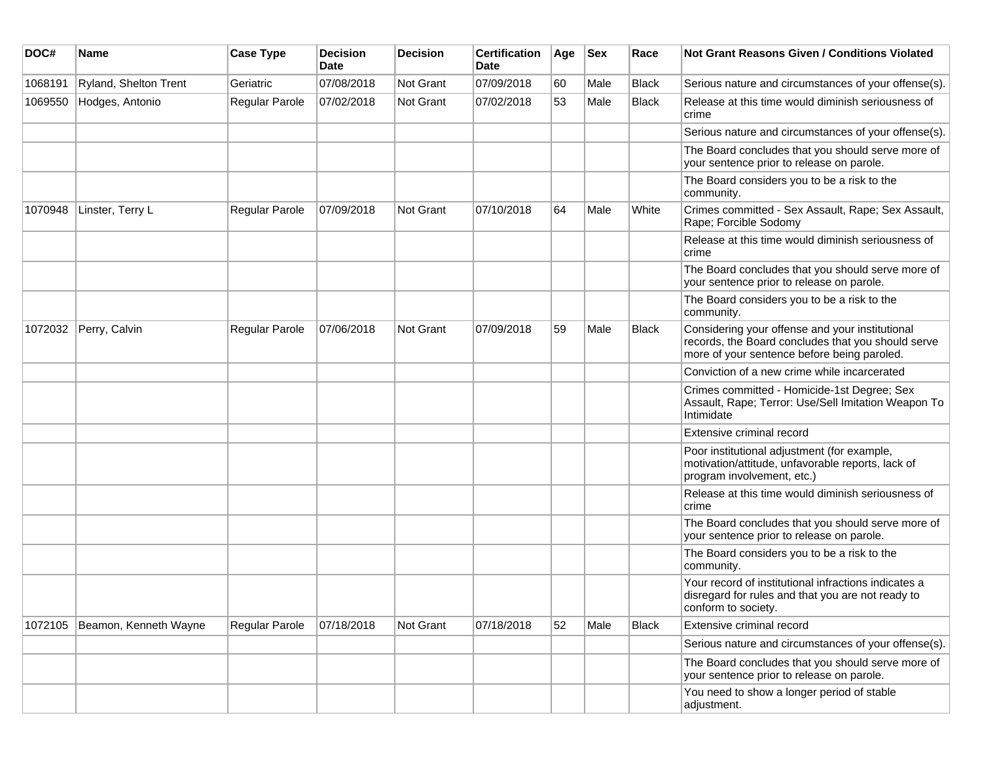| DOC#    | Name                  | <b>Case Type</b>      | <b>Decision</b><br><b>Date</b> | <b>Decision</b> | <b>Certification</b><br><b>Date</b> | Age | <b>Sex</b> | Race         | Not Grant Reasons Given / Conditions Violated                                                                                                        |
|---------|-----------------------|-----------------------|--------------------------------|-----------------|-------------------------------------|-----|------------|--------------|------------------------------------------------------------------------------------------------------------------------------------------------------|
| 1068191 | Ryland, Shelton Trent | Geriatric             | 07/08/2018                     | Not Grant       | 07/09/2018                          | 60  | Male       | <b>Black</b> | Serious nature and circumstances of your offense(s).                                                                                                 |
| 1069550 | Hodges, Antonio       | Regular Parole        | 07/02/2018                     | Not Grant       | 07/02/2018                          | 53  | Male       | <b>Black</b> | Release at this time would diminish seriousness of<br>crime                                                                                          |
|         |                       |                       |                                |                 |                                     |     |            |              | Serious nature and circumstances of your offense(s).                                                                                                 |
|         |                       |                       |                                |                 |                                     |     |            |              | The Board concludes that you should serve more of<br>your sentence prior to release on parole.                                                       |
|         |                       |                       |                                |                 |                                     |     |            |              | The Board considers you to be a risk to the<br>community.                                                                                            |
| 1070948 | Linster, Terry L      | <b>Regular Parole</b> | 07/09/2018                     | Not Grant       | 07/10/2018                          | 64  | Male       | White        | Crimes committed - Sex Assault, Rape; Sex Assault,<br>Rape; Forcible Sodomy                                                                          |
|         |                       |                       |                                |                 |                                     |     |            |              | Release at this time would diminish seriousness of<br>crime                                                                                          |
|         |                       |                       |                                |                 |                                     |     |            |              | The Board concludes that you should serve more of<br>your sentence prior to release on parole.                                                       |
|         |                       |                       |                                |                 |                                     |     |            |              | The Board considers you to be a risk to the<br>community.                                                                                            |
| 1072032 | Perry, Calvin         | <b>Regular Parole</b> | 07/06/2018                     | Not Grant       | 07/09/2018                          | 59  | Male       | <b>Black</b> | Considering your offense and your institutional<br>records, the Board concludes that you should serve<br>more of your sentence before being paroled. |
|         |                       |                       |                                |                 |                                     |     |            |              | Conviction of a new crime while incarcerated                                                                                                         |
|         |                       |                       |                                |                 |                                     |     |            |              | Crimes committed - Homicide-1st Degree; Sex<br>Assault, Rape; Terror: Use/Sell Imitation Weapon To<br>Intimidate                                     |
|         |                       |                       |                                |                 |                                     |     |            |              | Extensive criminal record                                                                                                                            |
|         |                       |                       |                                |                 |                                     |     |            |              | Poor institutional adjustment (for example,<br>motivation/attitude, unfavorable reports, lack of<br>program involvement, etc.)                       |
|         |                       |                       |                                |                 |                                     |     |            |              | Release at this time would diminish seriousness of<br>crime                                                                                          |
|         |                       |                       |                                |                 |                                     |     |            |              | The Board concludes that you should serve more of<br>your sentence prior to release on parole.                                                       |
|         |                       |                       |                                |                 |                                     |     |            |              | The Board considers you to be a risk to the<br>community.                                                                                            |
|         |                       |                       |                                |                 |                                     |     |            |              | Your record of institutional infractions indicates a<br>disregard for rules and that you are not ready to<br>conform to society.                     |
| 1072105 | Beamon, Kenneth Wayne | Regular Parole        | 07/18/2018                     | Not Grant       | 07/18/2018                          | 52  | Male       | <b>Black</b> | Extensive criminal record                                                                                                                            |
|         |                       |                       |                                |                 |                                     |     |            |              | Serious nature and circumstances of your offense(s).                                                                                                 |
|         |                       |                       |                                |                 |                                     |     |            |              | The Board concludes that you should serve more of<br>your sentence prior to release on parole.                                                       |
|         |                       |                       |                                |                 |                                     |     |            |              | You need to show a longer period of stable<br>adjustment.                                                                                            |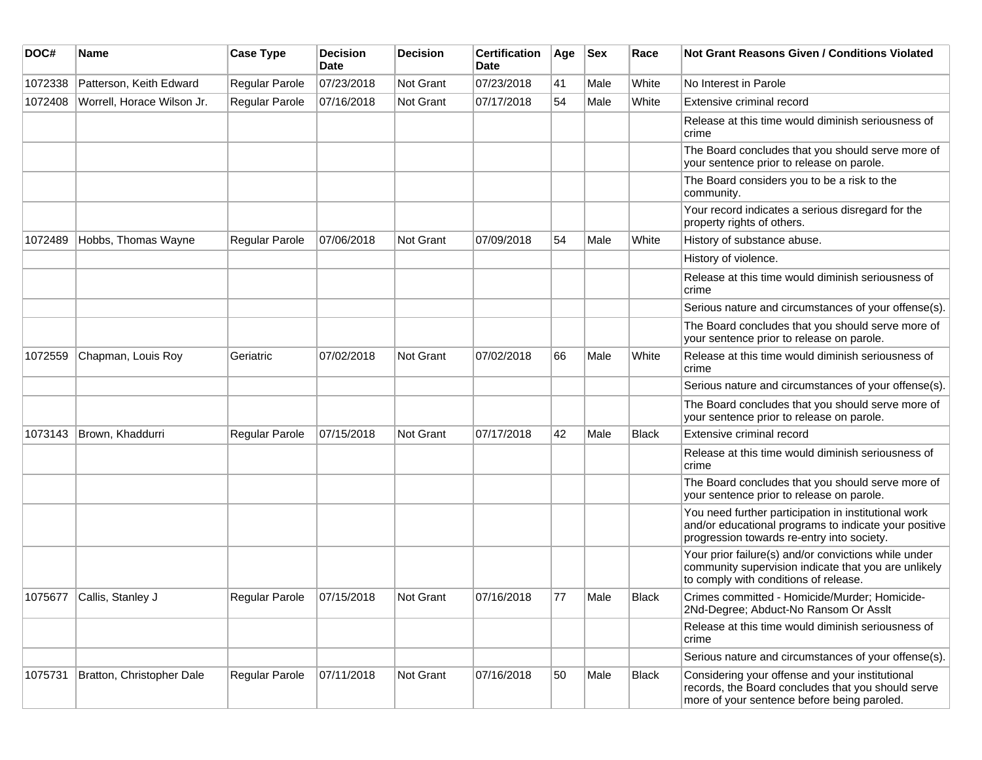| DOC#    | Name                       | <b>Case Type</b>      | <b>Decision</b><br>Date | <b>Decision</b>  | <b>Certification</b><br>Date | Age | <b>Sex</b> | Race         | <b>Not Grant Reasons Given / Conditions Violated</b>                                                                                                        |
|---------|----------------------------|-----------------------|-------------------------|------------------|------------------------------|-----|------------|--------------|-------------------------------------------------------------------------------------------------------------------------------------------------------------|
| 1072338 | Patterson, Keith Edward    | Regular Parole        | 07/23/2018              | Not Grant        | 07/23/2018                   | 41  | Male       | White        | No Interest in Parole                                                                                                                                       |
| 1072408 | Worrell, Horace Wilson Jr. | Regular Parole        | 07/16/2018              | <b>Not Grant</b> | 07/17/2018                   | 54  | Male       | White        | Extensive criminal record                                                                                                                                   |
|         |                            |                       |                         |                  |                              |     |            |              | Release at this time would diminish seriousness of<br>crime                                                                                                 |
|         |                            |                       |                         |                  |                              |     |            |              | The Board concludes that you should serve more of<br>your sentence prior to release on parole.                                                              |
|         |                            |                       |                         |                  |                              |     |            |              | The Board considers you to be a risk to the<br>community.                                                                                                   |
|         |                            |                       |                         |                  |                              |     |            |              | Your record indicates a serious disregard for the<br>property rights of others.                                                                             |
| 1072489 | Hobbs, Thomas Wayne        | <b>Regular Parole</b> | 07/06/2018              | Not Grant        | 07/09/2018                   | 54  | Male       | White        | History of substance abuse.                                                                                                                                 |
|         |                            |                       |                         |                  |                              |     |            |              | History of violence.                                                                                                                                        |
|         |                            |                       |                         |                  |                              |     |            |              | Release at this time would diminish seriousness of<br>crime                                                                                                 |
|         |                            |                       |                         |                  |                              |     |            |              | Serious nature and circumstances of your offense(s).                                                                                                        |
|         |                            |                       |                         |                  |                              |     |            |              | The Board concludes that you should serve more of<br>your sentence prior to release on parole.                                                              |
| 1072559 | Chapman, Louis Roy         | Geriatric             | 07/02/2018              | <b>Not Grant</b> | 07/02/2018                   | 66  | Male       | White        | Release at this time would diminish seriousness of<br>crime                                                                                                 |
|         |                            |                       |                         |                  |                              |     |            |              | Serious nature and circumstances of your offense(s).                                                                                                        |
|         |                            |                       |                         |                  |                              |     |            |              | The Board concludes that you should serve more of<br>your sentence prior to release on parole.                                                              |
| 1073143 | Brown, Khaddurri           | Regular Parole        | 07/15/2018              | <b>Not Grant</b> | 07/17/2018                   | 42  | Male       | <b>Black</b> | Extensive criminal record                                                                                                                                   |
|         |                            |                       |                         |                  |                              |     |            |              | Release at this time would diminish seriousness of<br>crime                                                                                                 |
|         |                            |                       |                         |                  |                              |     |            |              | The Board concludes that you should serve more of<br>your sentence prior to release on parole.                                                              |
|         |                            |                       |                         |                  |                              |     |            |              | You need further participation in institutional work<br>and/or educational programs to indicate your positive<br>progression towards re-entry into society. |
|         |                            |                       |                         |                  |                              |     |            |              | Your prior failure(s) and/or convictions while under<br>community supervision indicate that you are unlikely<br>to comply with conditions of release.       |
| 1075677 | Callis, Stanley J          | Regular Parole        | 07/15/2018              | Not Grant        | 07/16/2018                   | 77  | Male       | <b>Black</b> | Crimes committed - Homicide/Murder; Homicide-<br>2Nd-Degree; Abduct-No Ransom Or Asslt                                                                      |
|         |                            |                       |                         |                  |                              |     |            |              | Release at this time would diminish seriousness of<br>crime                                                                                                 |
|         |                            |                       |                         |                  |                              |     |            |              | Serious nature and circumstances of your offense(s).                                                                                                        |
| 1075731 | Bratton, Christopher Dale  | Regular Parole        | 07/11/2018              | Not Grant        | 07/16/2018                   | 50  | Male       | <b>Black</b> | Considering your offense and your institutional<br>records, the Board concludes that you should serve<br>more of your sentence before being paroled.        |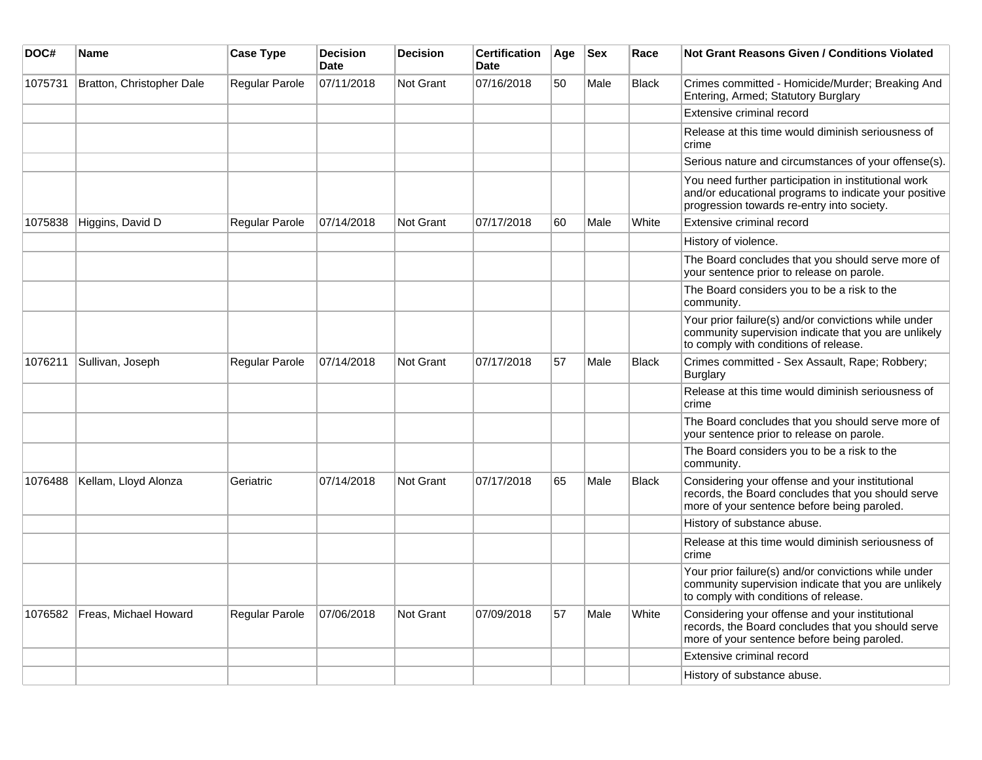| DOC#    | <b>Name</b>               | <b>Case Type</b>      | <b>Decision</b><br><b>Date</b> | <b>Decision</b>  | <b>Certification</b><br>Date | Age | <b>Sex</b> | Race         | Not Grant Reasons Given / Conditions Violated                                                                                                               |
|---------|---------------------------|-----------------------|--------------------------------|------------------|------------------------------|-----|------------|--------------|-------------------------------------------------------------------------------------------------------------------------------------------------------------|
| 1075731 | Bratton, Christopher Dale | Regular Parole        | 07/11/2018                     | <b>Not Grant</b> | 07/16/2018                   | 50  | Male       | <b>Black</b> | Crimes committed - Homicide/Murder; Breaking And<br>Entering, Armed; Statutory Burglary                                                                     |
|         |                           |                       |                                |                  |                              |     |            |              | Extensive criminal record                                                                                                                                   |
|         |                           |                       |                                |                  |                              |     |            |              | Release at this time would diminish seriousness of<br>crime                                                                                                 |
|         |                           |                       |                                |                  |                              |     |            |              | Serious nature and circumstances of your offense(s).                                                                                                        |
|         |                           |                       |                                |                  |                              |     |            |              | You need further participation in institutional work<br>and/or educational programs to indicate your positive<br>progression towards re-entry into society. |
| 1075838 | Higgins, David D          | <b>Regular Parole</b> | 07/14/2018                     | Not Grant        | 07/17/2018                   | 60  | Male       | White        | Extensive criminal record                                                                                                                                   |
|         |                           |                       |                                |                  |                              |     |            |              | History of violence.                                                                                                                                        |
|         |                           |                       |                                |                  |                              |     |            |              | The Board concludes that you should serve more of<br>your sentence prior to release on parole.                                                              |
|         |                           |                       |                                |                  |                              |     |            |              | The Board considers you to be a risk to the<br>community.                                                                                                   |
|         |                           |                       |                                |                  |                              |     |            |              | Your prior failure(s) and/or convictions while under<br>community supervision indicate that you are unlikely<br>to comply with conditions of release.       |
| 1076211 | Sullivan, Joseph          | Regular Parole        | 07/14/2018                     | <b>Not Grant</b> | 07/17/2018                   | 57  | Male       | <b>Black</b> | Crimes committed - Sex Assault, Rape; Robbery;<br><b>Burglary</b>                                                                                           |
|         |                           |                       |                                |                  |                              |     |            |              | Release at this time would diminish seriousness of<br>crime                                                                                                 |
|         |                           |                       |                                |                  |                              |     |            |              | The Board concludes that you should serve more of<br>your sentence prior to release on parole.                                                              |
|         |                           |                       |                                |                  |                              |     |            |              | The Board considers you to be a risk to the<br>community.                                                                                                   |
| 1076488 | Kellam, Lloyd Alonza      | Geriatric             | 07/14/2018                     | Not Grant        | 07/17/2018                   | 65  | Male       | <b>Black</b> | Considering your offense and your institutional<br>records, the Board concludes that you should serve<br>more of your sentence before being paroled.        |
|         |                           |                       |                                |                  |                              |     |            |              | History of substance abuse.                                                                                                                                 |
|         |                           |                       |                                |                  |                              |     |            |              | Release at this time would diminish seriousness of<br>crime                                                                                                 |
|         |                           |                       |                                |                  |                              |     |            |              | Your prior failure(s) and/or convictions while under<br>community supervision indicate that you are unlikely<br>to comply with conditions of release.       |
| 1076582 | Freas, Michael Howard     | Regular Parole        | 07/06/2018                     | <b>Not Grant</b> | 07/09/2018                   | 57  | Male       | White        | Considering your offense and your institutional<br>records, the Board concludes that you should serve<br>more of your sentence before being paroled.        |
|         |                           |                       |                                |                  |                              |     |            |              | Extensive criminal record                                                                                                                                   |
|         |                           |                       |                                |                  |                              |     |            |              | History of substance abuse.                                                                                                                                 |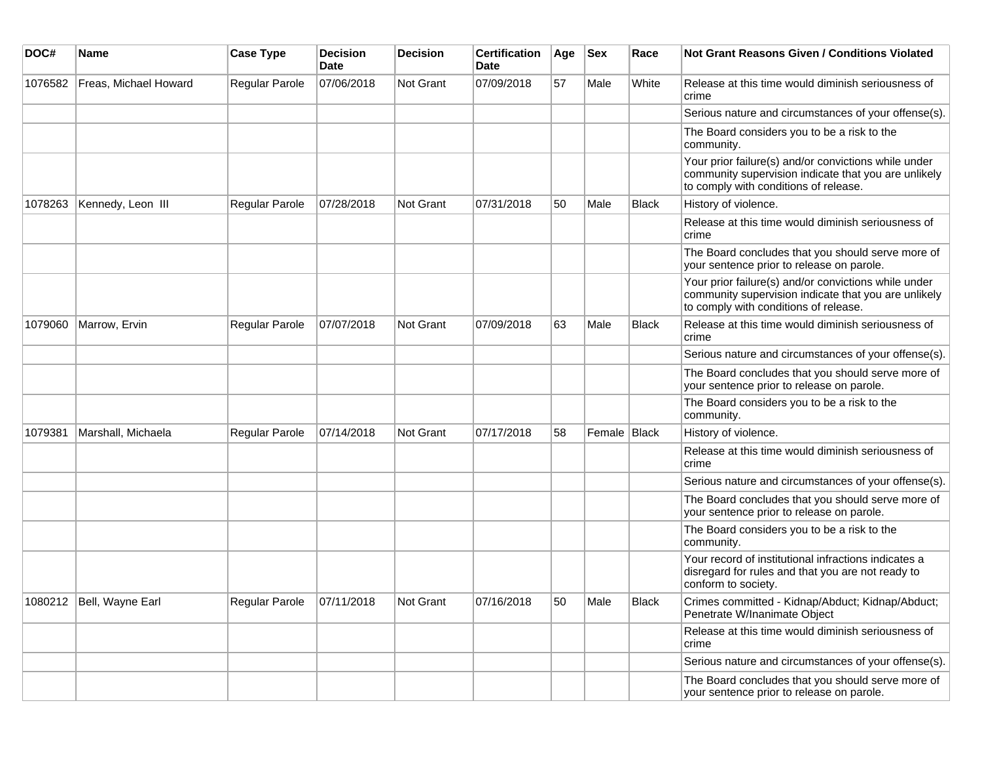| DOC#    | Name                     | <b>Case Type</b>              | <b>Decision</b><br>Date | <b>Decision</b> | <b>Certification</b><br>Date | Age | <b>Sex</b>   | Race         | <b>Not Grant Reasons Given / Conditions Violated</b>                                                                                                  |
|---------|--------------------------|-------------------------------|-------------------------|-----------------|------------------------------|-----|--------------|--------------|-------------------------------------------------------------------------------------------------------------------------------------------------------|
| 1076582 | Freas, Michael Howard    | Regular Parole                | 07/06/2018              | Not Grant       | 07/09/2018                   | 57  | Male         | White        | Release at this time would diminish seriousness of<br>crime                                                                                           |
|         |                          |                               |                         |                 |                              |     |              |              | Serious nature and circumstances of your offense(s).                                                                                                  |
|         |                          |                               |                         |                 |                              |     |              |              | The Board considers you to be a risk to the<br>community.                                                                                             |
|         |                          |                               |                         |                 |                              |     |              |              | Your prior failure(s) and/or convictions while under<br>community supervision indicate that you are unlikely<br>to comply with conditions of release. |
| 1078263 | Kennedy, Leon III        | Regular Parole                | 07/28/2018              | Not Grant       | 07/31/2018                   | 50  | Male         | <b>Black</b> | History of violence.                                                                                                                                  |
|         |                          |                               |                         |                 |                              |     |              |              | Release at this time would diminish seriousness of<br>crime                                                                                           |
|         |                          |                               |                         |                 |                              |     |              |              | The Board concludes that you should serve more of<br>your sentence prior to release on parole.                                                        |
|         |                          |                               |                         |                 |                              |     |              |              | Your prior failure(s) and/or convictions while under<br>community supervision indicate that you are unlikely<br>to comply with conditions of release. |
| 1079060 | Marrow, Ervin            | Regular Parole                | 07/07/2018              | Not Grant       | 07/09/2018                   | 63  | Male         | <b>Black</b> | Release at this time would diminish seriousness of<br>crime                                                                                           |
|         |                          |                               |                         |                 |                              |     |              |              | Serious nature and circumstances of your offense(s).                                                                                                  |
|         |                          |                               |                         |                 |                              |     |              |              | The Board concludes that you should serve more of<br>your sentence prior to release on parole.                                                        |
|         |                          |                               |                         |                 |                              |     |              |              | The Board considers you to be a risk to the<br>community.                                                                                             |
| 1079381 | Marshall, Michaela       | Regular Parole                | 07/14/2018              | Not Grant       | 07/17/2018                   | 58  | Female Black |              | History of violence.                                                                                                                                  |
|         |                          |                               |                         |                 |                              |     |              |              | Release at this time would diminish seriousness of<br>crime                                                                                           |
|         |                          |                               |                         |                 |                              |     |              |              | Serious nature and circumstances of your offense(s).                                                                                                  |
|         |                          |                               |                         |                 |                              |     |              |              | The Board concludes that you should serve more of<br>your sentence prior to release on parole.                                                        |
|         |                          |                               |                         |                 |                              |     |              |              | The Board considers you to be a risk to the<br>community.                                                                                             |
|         |                          |                               |                         |                 |                              |     |              |              | Your record of institutional infractions indicates a<br>disregard for rules and that you are not ready to<br>conform to society.                      |
|         | 1080212 Bell, Wayne Earl | Regular Parole $ 07/11/2018 $ |                         | Not Grant       | 07/16/2018                   | 50  | Male         | Black        | Crimes committed - Kidnap/Abduct; Kidnap/Abduct;<br>Penetrate W/Inanimate Object                                                                      |
|         |                          |                               |                         |                 |                              |     |              |              | Release at this time would diminish seriousness of<br>crime                                                                                           |
|         |                          |                               |                         |                 |                              |     |              |              | Serious nature and circumstances of your offense(s).                                                                                                  |
|         |                          |                               |                         |                 |                              |     |              |              | The Board concludes that you should serve more of<br>your sentence prior to release on parole.                                                        |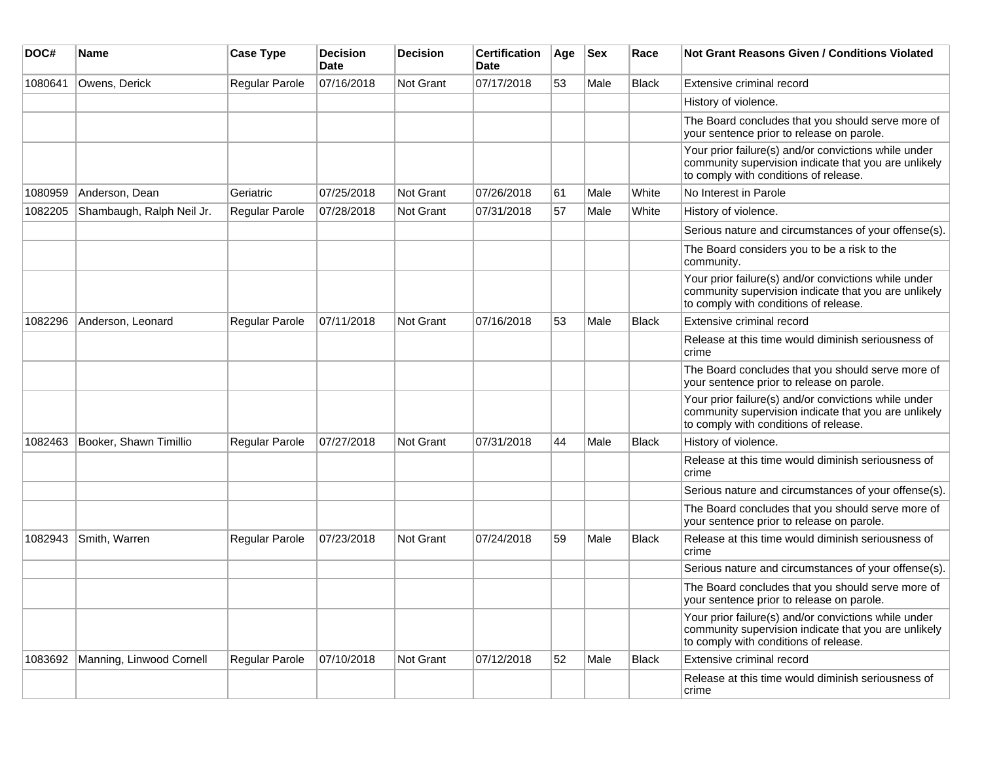| DOC#    | <b>Name</b>               | <b>Case Type</b>      | <b>Decision</b><br><b>Date</b> | Decision         | <b>Certification</b><br>Date | Age | <b>Sex</b> | Race         | <b>Not Grant Reasons Given / Conditions Violated</b>                                                                                                  |
|---------|---------------------------|-----------------------|--------------------------------|------------------|------------------------------|-----|------------|--------------|-------------------------------------------------------------------------------------------------------------------------------------------------------|
| 1080641 | Owens, Derick             | Regular Parole        | 07/16/2018                     | Not Grant        | 07/17/2018                   | 53  | Male       | <b>Black</b> | Extensive criminal record                                                                                                                             |
|         |                           |                       |                                |                  |                              |     |            |              | History of violence.                                                                                                                                  |
|         |                           |                       |                                |                  |                              |     |            |              | The Board concludes that you should serve more of<br>your sentence prior to release on parole.                                                        |
|         |                           |                       |                                |                  |                              |     |            |              | Your prior failure(s) and/or convictions while under<br>community supervision indicate that you are unlikely<br>to comply with conditions of release. |
| 1080959 | Anderson, Dean            | Geriatric             | 07/25/2018                     | Not Grant        | 07/26/2018                   | 61  | Male       | White        | No Interest in Parole                                                                                                                                 |
| 1082205 | Shambaugh, Ralph Neil Jr. | <b>Regular Parole</b> | 07/28/2018                     | Not Grant        | 07/31/2018                   | 57  | Male       | White        | History of violence.                                                                                                                                  |
|         |                           |                       |                                |                  |                              |     |            |              | Serious nature and circumstances of your offense(s).                                                                                                  |
|         |                           |                       |                                |                  |                              |     |            |              | The Board considers you to be a risk to the<br>community.                                                                                             |
|         |                           |                       |                                |                  |                              |     |            |              | Your prior failure(s) and/or convictions while under<br>community supervision indicate that you are unlikely<br>to comply with conditions of release. |
| 1082296 | Anderson, Leonard         | Regular Parole        | 07/11/2018                     | Not Grant        | 07/16/2018                   | 53  | Male       | <b>Black</b> | Extensive criminal record                                                                                                                             |
|         |                           |                       |                                |                  |                              |     |            |              | Release at this time would diminish seriousness of<br>crime                                                                                           |
|         |                           |                       |                                |                  |                              |     |            |              | The Board concludes that you should serve more of<br>your sentence prior to release on parole.                                                        |
|         |                           |                       |                                |                  |                              |     |            |              | Your prior failure(s) and/or convictions while under<br>community supervision indicate that you are unlikely<br>to comply with conditions of release. |
| 1082463 | Booker, Shawn Timillio    | <b>Regular Parole</b> | 07/27/2018                     | Not Grant        | 07/31/2018                   | 44  | Male       | <b>Black</b> | History of violence.                                                                                                                                  |
|         |                           |                       |                                |                  |                              |     |            |              | Release at this time would diminish seriousness of<br>crime                                                                                           |
|         |                           |                       |                                |                  |                              |     |            |              | Serious nature and circumstances of your offense(s).                                                                                                  |
|         |                           |                       |                                |                  |                              |     |            |              | The Board concludes that you should serve more of<br>your sentence prior to release on parole.                                                        |
| 1082943 | Smith, Warren             | <b>Regular Parole</b> | 07/23/2018                     | <b>Not Grant</b> | 07/24/2018                   | 59  | Male       | <b>Black</b> | Release at this time would diminish seriousness of<br>crime                                                                                           |
|         |                           |                       |                                |                  |                              |     |            |              | Serious nature and circumstances of your offense(s).                                                                                                  |
|         |                           |                       |                                |                  |                              |     |            |              | The Board concludes that you should serve more of<br>your sentence prior to release on parole.                                                        |
|         |                           |                       |                                |                  |                              |     |            |              | Your prior failure(s) and/or convictions while under<br>community supervision indicate that you are unlikely<br>to comply with conditions of release. |
| 1083692 | Manning, Linwood Cornell  | Regular Parole        | 07/10/2018                     | Not Grant        | 07/12/2018                   | 52  | Male       | Black        | Extensive criminal record                                                                                                                             |
|         |                           |                       |                                |                  |                              |     |            |              | Release at this time would diminish seriousness of<br>crime                                                                                           |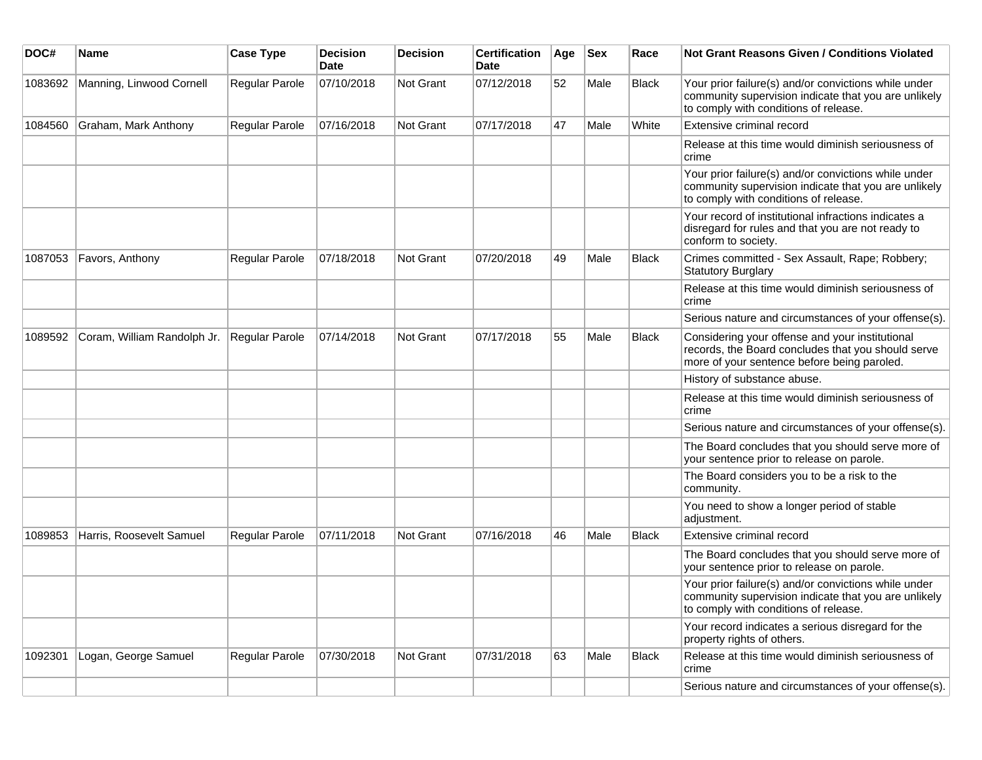| DOC#    | <b>Name</b>                 | <b>Case Type</b>      | <b>Decision</b><br>Date | <b>Decision</b> | <b>Certification</b><br>Date | Age | <b>Sex</b> | Race         | <b>Not Grant Reasons Given / Conditions Violated</b>                                                                                                  |
|---------|-----------------------------|-----------------------|-------------------------|-----------------|------------------------------|-----|------------|--------------|-------------------------------------------------------------------------------------------------------------------------------------------------------|
| 1083692 | Manning, Linwood Cornell    | Regular Parole        | 07/10/2018              | Not Grant       | 07/12/2018                   | 52  | Male       | Black        | Your prior failure(s) and/or convictions while under<br>community supervision indicate that you are unlikely<br>to comply with conditions of release. |
| 1084560 | Graham, Mark Anthony        | Regular Parole        | 07/16/2018              | Not Grant       | 07/17/2018                   | 47  | Male       | White        | Extensive criminal record                                                                                                                             |
|         |                             |                       |                         |                 |                              |     |            |              | Release at this time would diminish seriousness of<br>crime                                                                                           |
|         |                             |                       |                         |                 |                              |     |            |              | Your prior failure(s) and/or convictions while under<br>community supervision indicate that you are unlikely<br>to comply with conditions of release. |
|         |                             |                       |                         |                 |                              |     |            |              | Your record of institutional infractions indicates a<br>disregard for rules and that you are not ready to<br>conform to society.                      |
| 1087053 | Favors, Anthony             | Regular Parole        | 07/18/2018              | Not Grant       | 07/20/2018                   | 49  | Male       | <b>Black</b> | Crimes committed - Sex Assault, Rape; Robbery;<br><b>Statutory Burglary</b>                                                                           |
|         |                             |                       |                         |                 |                              |     |            |              | Release at this time would diminish seriousness of<br>crime                                                                                           |
|         |                             |                       |                         |                 |                              |     |            |              | Serious nature and circumstances of your offense(s).                                                                                                  |
| 1089592 | Coram, William Randolph Jr. | Regular Parole        | 07/14/2018              | Not Grant       | 07/17/2018                   | 55  | Male       | <b>Black</b> | Considering your offense and your institutional<br>records, the Board concludes that you should serve<br>more of your sentence before being paroled.  |
|         |                             |                       |                         |                 |                              |     |            |              | History of substance abuse.                                                                                                                           |
|         |                             |                       |                         |                 |                              |     |            |              | Release at this time would diminish seriousness of<br>crime                                                                                           |
|         |                             |                       |                         |                 |                              |     |            |              | Serious nature and circumstances of your offense(s).                                                                                                  |
|         |                             |                       |                         |                 |                              |     |            |              | The Board concludes that you should serve more of<br>your sentence prior to release on parole.                                                        |
|         |                             |                       |                         |                 |                              |     |            |              | The Board considers you to be a risk to the<br>community.                                                                                             |
|         |                             |                       |                         |                 |                              |     |            |              | You need to show a longer period of stable<br>adjustment.                                                                                             |
| 1089853 | Harris, Roosevelt Samuel    | <b>Regular Parole</b> | 07/11/2018              | Not Grant       | 07/16/2018                   | 46  | Male       | Black        | Extensive criminal record                                                                                                                             |
|         |                             |                       |                         |                 |                              |     |            |              | The Board concludes that you should serve more of<br>your sentence prior to release on parole.                                                        |
|         |                             |                       |                         |                 |                              |     |            |              | Your prior failure(s) and/or convictions while under<br>community supervision indicate that you are unlikely<br>to comply with conditions of release. |
|         |                             |                       |                         |                 |                              |     |            |              | Your record indicates a serious disregard for the<br>property rights of others.                                                                       |
| 1092301 | Logan, George Samuel        | Regular Parole        | 07/30/2018              | Not Grant       | 07/31/2018                   | 63  | Male       | <b>Black</b> | Release at this time would diminish seriousness of<br>crime                                                                                           |
|         |                             |                       |                         |                 |                              |     |            |              | Serious nature and circumstances of your offense(s).                                                                                                  |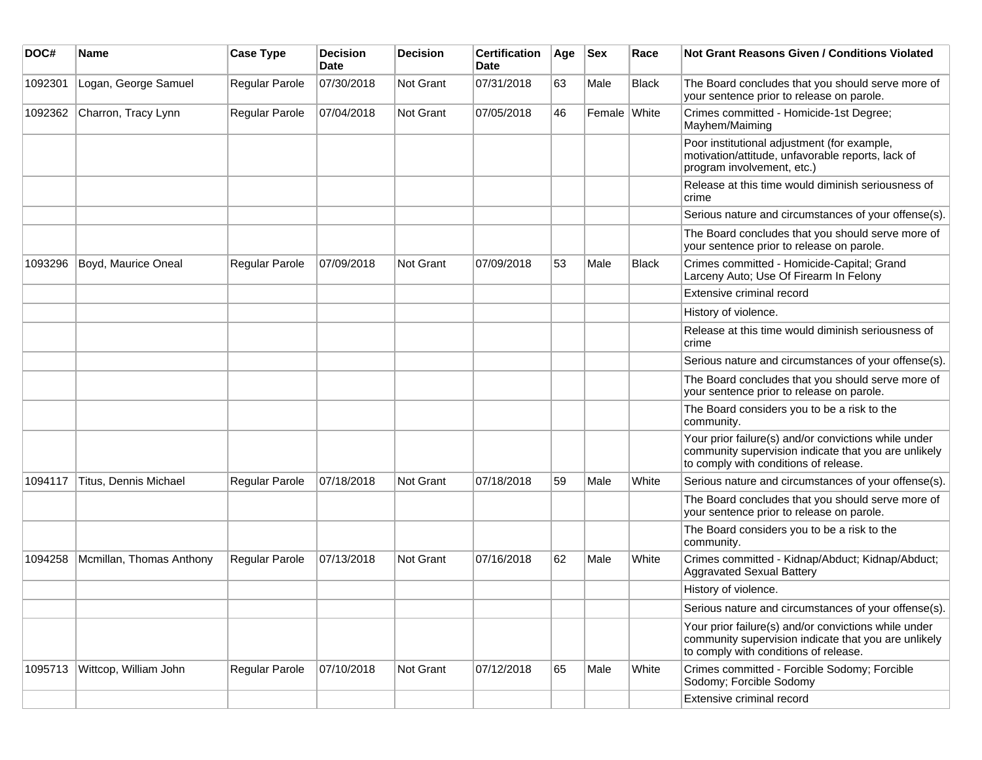| DOC#    | <b>Name</b>              | <b>Case Type</b> | <b>Decision</b><br><b>Date</b> | <b>Decision</b>  | <b>Certification</b><br>Date | Age | <b>Sex</b>   | Race         | Not Grant Reasons Given / Conditions Violated                                                                                                         |
|---------|--------------------------|------------------|--------------------------------|------------------|------------------------------|-----|--------------|--------------|-------------------------------------------------------------------------------------------------------------------------------------------------------|
| 1092301 | Logan, George Samuel     | Regular Parole   | 07/30/2018                     | Not Grant        | 07/31/2018                   | 63  | Male         | <b>Black</b> | The Board concludes that you should serve more of<br>your sentence prior to release on parole.                                                        |
| 1092362 | Charron, Tracy Lynn      | Regular Parole   | 07/04/2018                     | Not Grant        | 07/05/2018                   | 46  | Female White |              | Crimes committed - Homicide-1st Degree;<br>Mayhem/Maiming                                                                                             |
|         |                          |                  |                                |                  |                              |     |              |              | Poor institutional adjustment (for example,<br>motivation/attitude, unfavorable reports, lack of<br>program involvement, etc.)                        |
|         |                          |                  |                                |                  |                              |     |              |              | Release at this time would diminish seriousness of<br>crime                                                                                           |
|         |                          |                  |                                |                  |                              |     |              |              | Serious nature and circumstances of your offense(s).                                                                                                  |
|         |                          |                  |                                |                  |                              |     |              |              | The Board concludes that you should serve more of<br>your sentence prior to release on parole.                                                        |
| 1093296 | Boyd, Maurice Oneal      | Regular Parole   | 07/09/2018                     | Not Grant        | 07/09/2018                   | 53  | Male         | <b>Black</b> | Crimes committed - Homicide-Capital; Grand<br>Larceny Auto; Use Of Firearm In Felony                                                                  |
|         |                          |                  |                                |                  |                              |     |              |              | Extensive criminal record                                                                                                                             |
|         |                          |                  |                                |                  |                              |     |              |              | History of violence.                                                                                                                                  |
|         |                          |                  |                                |                  |                              |     |              |              | Release at this time would diminish seriousness of<br>crime                                                                                           |
|         |                          |                  |                                |                  |                              |     |              |              | Serious nature and circumstances of your offense(s).                                                                                                  |
|         |                          |                  |                                |                  |                              |     |              |              | The Board concludes that you should serve more of<br>your sentence prior to release on parole.                                                        |
|         |                          |                  |                                |                  |                              |     |              |              | The Board considers you to be a risk to the<br>community.                                                                                             |
|         |                          |                  |                                |                  |                              |     |              |              | Your prior failure(s) and/or convictions while under<br>community supervision indicate that you are unlikely<br>to comply with conditions of release. |
| 1094117 | Titus, Dennis Michael    | Regular Parole   | 07/18/2018                     | <b>Not Grant</b> | 07/18/2018                   | 59  | Male         | White        | Serious nature and circumstances of your offense(s).                                                                                                  |
|         |                          |                  |                                |                  |                              |     |              |              | The Board concludes that you should serve more of<br>your sentence prior to release on parole.                                                        |
|         |                          |                  |                                |                  |                              |     |              |              | The Board considers you to be a risk to the<br>community.                                                                                             |
| 1094258 | Mcmillan, Thomas Anthony | Regular Parole   | 07/13/2018                     | <b>Not Grant</b> | 07/16/2018                   | 62  | Male         | White        | Crimes committed - Kidnap/Abduct; Kidnap/Abduct;<br><b>Aggravated Sexual Battery</b>                                                                  |
|         |                          |                  |                                |                  |                              |     |              |              | History of violence.                                                                                                                                  |
|         |                          |                  |                                |                  |                              |     |              |              | Serious nature and circumstances of your offense(s).                                                                                                  |
|         |                          |                  |                                |                  |                              |     |              |              | Your prior failure(s) and/or convictions while under<br>community supervision indicate that you are unlikely<br>to comply with conditions of release. |
| 1095713 | Wittcop, William John    | Regular Parole   | 07/10/2018                     | Not Grant        | 07/12/2018                   | 65  | Male         | White        | Crimes committed - Forcible Sodomy; Forcible<br>Sodomy; Forcible Sodomy                                                                               |
|         |                          |                  |                                |                  |                              |     |              |              | Extensive criminal record                                                                                                                             |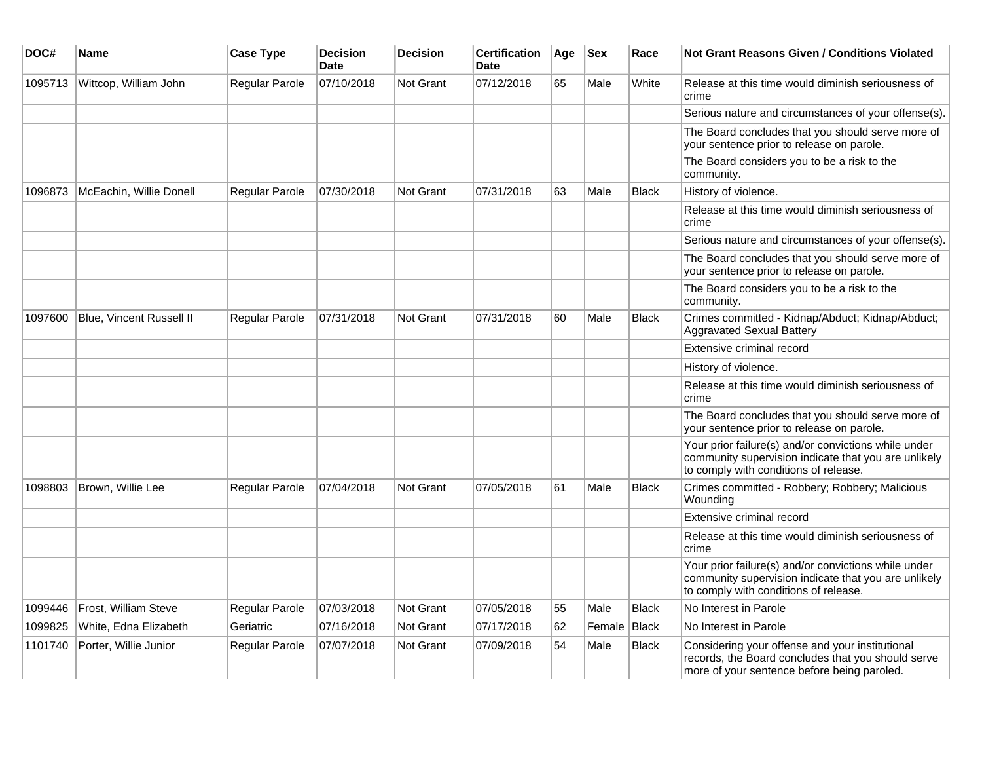| DOC#    | Name                        | <b>Case Type</b>      | <b>Decision</b><br><b>Date</b> | <b>Decision</b>  | <b>Certification</b><br>Date | ∣Age | <b>Sex</b> | Race         | Not Grant Reasons Given / Conditions Violated                                                                                                         |
|---------|-----------------------------|-----------------------|--------------------------------|------------------|------------------------------|------|------------|--------------|-------------------------------------------------------------------------------------------------------------------------------------------------------|
| 1095713 | Wittcop, William John       | Regular Parole        | 07/10/2018                     | Not Grant        | 07/12/2018                   | 65   | Male       | White        | Release at this time would diminish seriousness of<br>crime                                                                                           |
|         |                             |                       |                                |                  |                              |      |            |              | Serious nature and circumstances of your offense(s).                                                                                                  |
|         |                             |                       |                                |                  |                              |      |            |              | The Board concludes that you should serve more of<br>your sentence prior to release on parole.                                                        |
|         |                             |                       |                                |                  |                              |      |            |              | The Board considers you to be a risk to the<br>community.                                                                                             |
| 1096873 | McEachin, Willie Donell     | Regular Parole        | 07/30/2018                     | Not Grant        | 07/31/2018                   | 63   | Male       | <b>Black</b> | History of violence.                                                                                                                                  |
|         |                             |                       |                                |                  |                              |      |            |              | Release at this time would diminish seriousness of<br>crime                                                                                           |
|         |                             |                       |                                |                  |                              |      |            |              | Serious nature and circumstances of your offense(s).                                                                                                  |
|         |                             |                       |                                |                  |                              |      |            |              | The Board concludes that you should serve more of<br>your sentence prior to release on parole.                                                        |
|         |                             |                       |                                |                  |                              |      |            |              | The Board considers you to be a risk to the<br>community.                                                                                             |
| 1097600 | Blue, Vincent Russell II    | <b>Regular Parole</b> | 07/31/2018                     | <b>Not Grant</b> | 07/31/2018                   | 60   | Male       | <b>Black</b> | Crimes committed - Kidnap/Abduct; Kidnap/Abduct;<br><b>Aggravated Sexual Battery</b>                                                                  |
|         |                             |                       |                                |                  |                              |      |            |              | Extensive criminal record                                                                                                                             |
|         |                             |                       |                                |                  |                              |      |            |              | History of violence.                                                                                                                                  |
|         |                             |                       |                                |                  |                              |      |            |              | Release at this time would diminish seriousness of<br>crime                                                                                           |
|         |                             |                       |                                |                  |                              |      |            |              | The Board concludes that you should serve more of<br>your sentence prior to release on parole.                                                        |
|         |                             |                       |                                |                  |                              |      |            |              | Your prior failure(s) and/or convictions while under<br>community supervision indicate that you are unlikely<br>to comply with conditions of release. |
| 1098803 | Brown, Willie Lee           | <b>Regular Parole</b> | 07/04/2018                     | <b>Not Grant</b> | 07/05/2018                   | 61   | Male       | <b>Black</b> | Crimes committed - Robbery; Robbery; Malicious<br>Wounding                                                                                            |
|         |                             |                       |                                |                  |                              |      |            |              | Extensive criminal record                                                                                                                             |
|         |                             |                       |                                |                  |                              |      |            |              | Release at this time would diminish seriousness of<br>crime                                                                                           |
|         |                             |                       |                                |                  |                              |      |            |              | Your prior failure(s) and/or convictions while under<br>community supervision indicate that you are unlikely<br>to comply with conditions of release. |
| 1099446 | <b>Frost, William Steve</b> | <b>Regular Parole</b> | 07/03/2018                     | Not Grant        | 07/05/2018                   | 55   | Male       | <b>Black</b> | No Interest in Parole                                                                                                                                 |
| 1099825 | White, Edna Elizabeth       | Geriatric             | 07/16/2018                     | Not Grant        | 07/17/2018                   | 62   | Female     | Black        | No Interest in Parole                                                                                                                                 |
| 1101740 | Porter, Willie Junior       | Regular Parole        | 07/07/2018                     | Not Grant        | 07/09/2018                   | 54   | Male       | <b>Black</b> | Considering your offense and your institutional<br>records, the Board concludes that you should serve<br>more of your sentence before being paroled.  |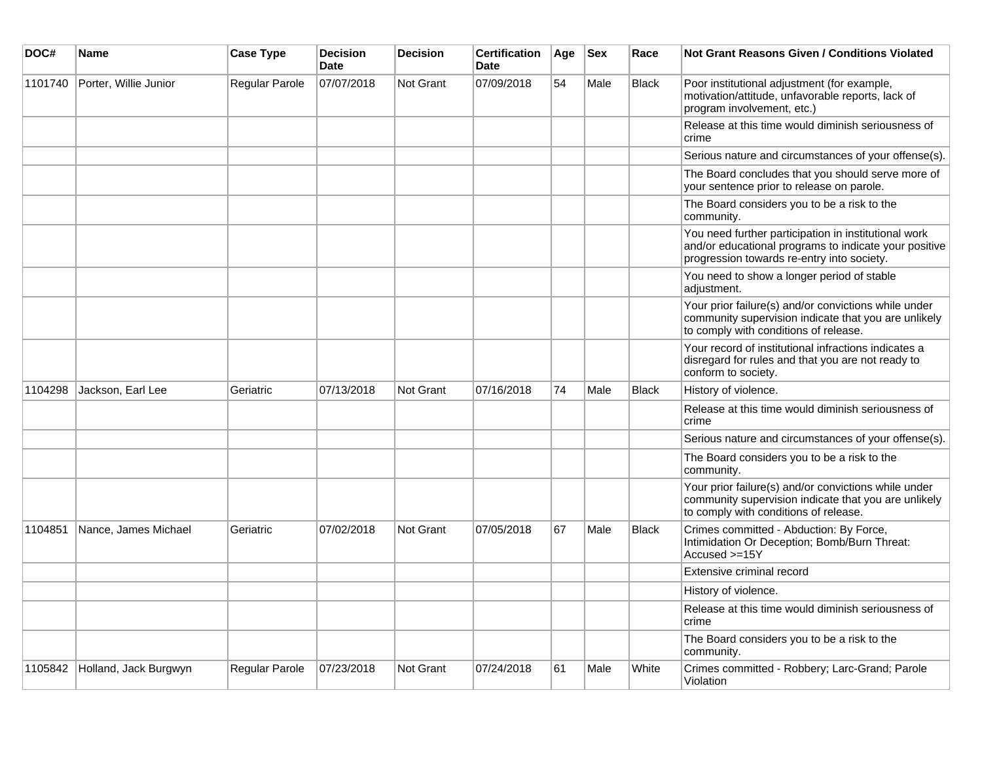| DOC#    | <b>Name</b>           | <b>Case Type</b>      | <b>Decision</b><br><b>Date</b> | <b>Decision</b> | <b>Certification</b><br><b>Date</b> | Age | <b>Sex</b> | Race         | <b>Not Grant Reasons Given / Conditions Violated</b>                                                                                                        |
|---------|-----------------------|-----------------------|--------------------------------|-----------------|-------------------------------------|-----|------------|--------------|-------------------------------------------------------------------------------------------------------------------------------------------------------------|
| 1101740 | Porter, Willie Junior | Regular Parole        | 07/07/2018                     | Not Grant       | 07/09/2018                          | 54  | Male       | <b>Black</b> | Poor institutional adjustment (for example,<br>motivation/attitude, unfavorable reports, lack of<br>program involvement, etc.)                              |
|         |                       |                       |                                |                 |                                     |     |            |              | Release at this time would diminish seriousness of<br>crime                                                                                                 |
|         |                       |                       |                                |                 |                                     |     |            |              | Serious nature and circumstances of your offense(s).                                                                                                        |
|         |                       |                       |                                |                 |                                     |     |            |              | The Board concludes that you should serve more of<br>your sentence prior to release on parole.                                                              |
|         |                       |                       |                                |                 |                                     |     |            |              | The Board considers you to be a risk to the<br>community.                                                                                                   |
|         |                       |                       |                                |                 |                                     |     |            |              | You need further participation in institutional work<br>and/or educational programs to indicate your positive<br>progression towards re-entry into society. |
|         |                       |                       |                                |                 |                                     |     |            |              | You need to show a longer period of stable<br>adjustment.                                                                                                   |
|         |                       |                       |                                |                 |                                     |     |            |              | Your prior failure(s) and/or convictions while under<br>community supervision indicate that you are unlikely<br>to comply with conditions of release.       |
|         |                       |                       |                                |                 |                                     |     |            |              | Your record of institutional infractions indicates a<br>disregard for rules and that you are not ready to<br>conform to society.                            |
| 1104298 | Jackson, Earl Lee     | Geriatric             | 07/13/2018                     | Not Grant       | 07/16/2018                          | 74  | Male       | <b>Black</b> | History of violence.                                                                                                                                        |
|         |                       |                       |                                |                 |                                     |     |            |              | Release at this time would diminish seriousness of<br>crime                                                                                                 |
|         |                       |                       |                                |                 |                                     |     |            |              | Serious nature and circumstances of your offense(s).                                                                                                        |
|         |                       |                       |                                |                 |                                     |     |            |              | The Board considers you to be a risk to the<br>community.                                                                                                   |
|         |                       |                       |                                |                 |                                     |     |            |              | Your prior failure(s) and/or convictions while under<br>community supervision indicate that you are unlikely<br>to comply with conditions of release.       |
| 1104851 | Nance, James Michael  | Geriatric             | 07/02/2018                     | Not Grant       | 07/05/2018                          | 67  | Male       | Black        | Crimes committed - Abduction: By Force,<br>Intimidation Or Deception; Bomb/Burn Threat:<br>$Accused > = 15Y$                                                |
|         |                       |                       |                                |                 |                                     |     |            |              | Extensive criminal record                                                                                                                                   |
|         |                       |                       |                                |                 |                                     |     |            |              | History of violence.                                                                                                                                        |
|         |                       |                       |                                |                 |                                     |     |            |              | Release at this time would diminish seriousness of<br>crime                                                                                                 |
|         |                       |                       |                                |                 |                                     |     |            |              | The Board considers you to be a risk to the<br>community.                                                                                                   |
| 1105842 | Holland, Jack Burgwyn | <b>Regular Parole</b> | 07/23/2018                     | Not Grant       | 07/24/2018                          | 61  | Male       | White        | Crimes committed - Robbery; Larc-Grand; Parole<br>Violation                                                                                                 |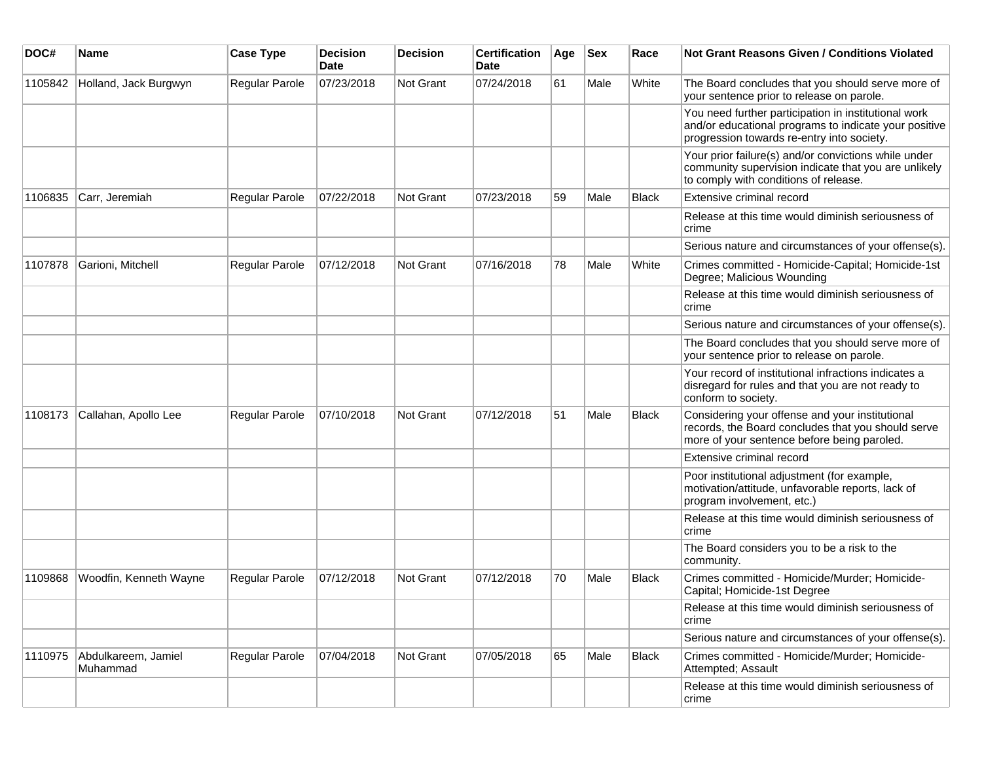| DOC#    | <b>Name</b>                     | <b>Case Type</b> | <b>Decision</b><br>Date | <b>Decision</b> | <b>Certification</b><br>Date | Age | <b>Sex</b> | Race         | Not Grant Reasons Given / Conditions Violated                                                                                                               |
|---------|---------------------------------|------------------|-------------------------|-----------------|------------------------------|-----|------------|--------------|-------------------------------------------------------------------------------------------------------------------------------------------------------------|
| 1105842 | Holland, Jack Burgwyn           | Regular Parole   | 07/23/2018              | Not Grant       | 07/24/2018                   | 61  | Male       | White        | The Board concludes that you should serve more of<br>your sentence prior to release on parole.                                                              |
|         |                                 |                  |                         |                 |                              |     |            |              | You need further participation in institutional work<br>and/or educational programs to indicate your positive<br>progression towards re-entry into society. |
|         |                                 |                  |                         |                 |                              |     |            |              | Your prior failure(s) and/or convictions while under<br>community supervision indicate that you are unlikely<br>to comply with conditions of release.       |
| 1106835 | Carr, Jeremiah                  | Regular Parole   | 07/22/2018              | Not Grant       | 07/23/2018                   | 59  | Male       | Black        | Extensive criminal record                                                                                                                                   |
|         |                                 |                  |                         |                 |                              |     |            |              | Release at this time would diminish seriousness of<br>crime                                                                                                 |
|         |                                 |                  |                         |                 |                              |     |            |              | Serious nature and circumstances of your offense(s).                                                                                                        |
| 1107878 | Garioni, Mitchell               | Regular Parole   | 07/12/2018              | Not Grant       | 07/16/2018                   | 78  | Male       | White        | Crimes committed - Homicide-Capital; Homicide-1st<br>Degree; Malicious Wounding                                                                             |
|         |                                 |                  |                         |                 |                              |     |            |              | Release at this time would diminish seriousness of<br>crime                                                                                                 |
|         |                                 |                  |                         |                 |                              |     |            |              | Serious nature and circumstances of your offense(s).                                                                                                        |
|         |                                 |                  |                         |                 |                              |     |            |              | The Board concludes that you should serve more of<br>your sentence prior to release on parole.                                                              |
|         |                                 |                  |                         |                 |                              |     |            |              | Your record of institutional infractions indicates a<br>disregard for rules and that you are not ready to<br>conform to society.                            |
| 1108173 | Callahan, Apollo Lee            | Regular Parole   | 07/10/2018              | Not Grant       | 07/12/2018                   | 51  | Male       | <b>Black</b> | Considering your offense and your institutional<br>records, the Board concludes that you should serve<br>more of your sentence before being paroled.        |
|         |                                 |                  |                         |                 |                              |     |            |              | Extensive criminal record                                                                                                                                   |
|         |                                 |                  |                         |                 |                              |     |            |              | Poor institutional adjustment (for example,<br>motivation/attitude, unfavorable reports, lack of<br>program involvement, etc.)                              |
|         |                                 |                  |                         |                 |                              |     |            |              | Release at this time would diminish seriousness of<br>crime                                                                                                 |
|         |                                 |                  |                         |                 |                              |     |            |              | The Board considers you to be a risk to the<br>community.                                                                                                   |
| 1109868 | Woodfin, Kenneth Wayne          | Regular Parole   | 07/12/2018              | Not Grant       | 07/12/2018                   | 70  | Male       | <b>Black</b> | Crimes committed - Homicide/Murder; Homicide-<br>Capital; Homicide-1st Degree                                                                               |
|         |                                 |                  |                         |                 |                              |     |            |              | Release at this time would diminish seriousness of<br>crime                                                                                                 |
|         |                                 |                  |                         |                 |                              |     |            |              | Serious nature and circumstances of your offense(s).                                                                                                        |
| 1110975 | Abdulkareem, Jamiel<br>Muhammad | Regular Parole   | 07/04/2018              | Not Grant       | 07/05/2018                   | 65  | Male       | Black        | Crimes committed - Homicide/Murder; Homicide-<br>Attempted; Assault                                                                                         |
|         |                                 |                  |                         |                 |                              |     |            |              | Release at this time would diminish seriousness of<br>crime                                                                                                 |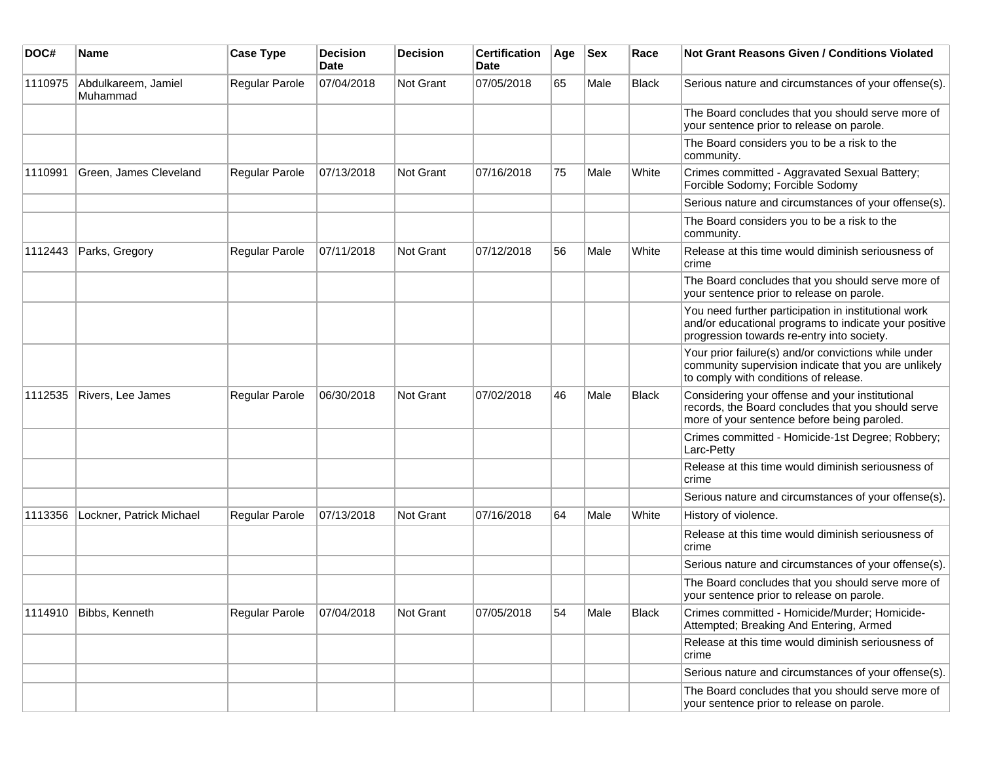| DOC#    | <b>Name</b>                     | <b>Case Type</b>      | <b>Decision</b><br><b>Date</b> | <b>Decision</b> | <b>Certification</b><br><b>Date</b> | Age | <b>Sex</b> | Race         | <b>Not Grant Reasons Given / Conditions Violated</b>                                                                                                        |
|---------|---------------------------------|-----------------------|--------------------------------|-----------------|-------------------------------------|-----|------------|--------------|-------------------------------------------------------------------------------------------------------------------------------------------------------------|
| 1110975 | Abdulkareem, Jamiel<br>Muhammad | Regular Parole        | 07/04/2018                     | Not Grant       | 07/05/2018                          | 65  | Male       | Black        | Serious nature and circumstances of your offense(s).                                                                                                        |
|         |                                 |                       |                                |                 |                                     |     |            |              | The Board concludes that you should serve more of<br>your sentence prior to release on parole.                                                              |
|         |                                 |                       |                                |                 |                                     |     |            |              | The Board considers you to be a risk to the<br>community.                                                                                                   |
| 1110991 | Green, James Cleveland          | Regular Parole        | 07/13/2018                     | Not Grant       | 07/16/2018                          | 75  | Male       | White        | Crimes committed - Aggravated Sexual Battery;<br>Forcible Sodomy; Forcible Sodomy                                                                           |
|         |                                 |                       |                                |                 |                                     |     |            |              | Serious nature and circumstances of your offense(s).                                                                                                        |
|         |                                 |                       |                                |                 |                                     |     |            |              | The Board considers you to be a risk to the<br>community.                                                                                                   |
| 1112443 | Parks, Gregory                  | Regular Parole        | 07/11/2018                     | Not Grant       | 07/12/2018                          | 56  | Male       | White        | Release at this time would diminish seriousness of<br>crime                                                                                                 |
|         |                                 |                       |                                |                 |                                     |     |            |              | The Board concludes that you should serve more of<br>your sentence prior to release on parole.                                                              |
|         |                                 |                       |                                |                 |                                     |     |            |              | You need further participation in institutional work<br>and/or educational programs to indicate your positive<br>progression towards re-entry into society. |
|         |                                 |                       |                                |                 |                                     |     |            |              | Your prior failure(s) and/or convictions while under<br>community supervision indicate that you are unlikely<br>to comply with conditions of release.       |
| 1112535 | Rivers, Lee James               | Regular Parole        | 06/30/2018                     | Not Grant       | 07/02/2018                          | 46  | Male       | <b>Black</b> | Considering your offense and your institutional<br>records, the Board concludes that you should serve<br>more of your sentence before being paroled.        |
|         |                                 |                       |                                |                 |                                     |     |            |              | Crimes committed - Homicide-1st Degree; Robbery;<br>Larc-Petty                                                                                              |
|         |                                 |                       |                                |                 |                                     |     |            |              | Release at this time would diminish seriousness of<br>crime                                                                                                 |
|         |                                 |                       |                                |                 |                                     |     |            |              | Serious nature and circumstances of your offense(s).                                                                                                        |
| 1113356 | Lockner, Patrick Michael        | <b>Regular Parole</b> | 07/13/2018                     | Not Grant       | 07/16/2018                          | 64  | Male       | White        | History of violence.                                                                                                                                        |
|         |                                 |                       |                                |                 |                                     |     |            |              | Release at this time would diminish seriousness of<br>crime                                                                                                 |
|         |                                 |                       |                                |                 |                                     |     |            |              | Serious nature and circumstances of your offense(s).                                                                                                        |
|         |                                 |                       |                                |                 |                                     |     |            |              | The Board concludes that you should serve more of<br>your sentence prior to release on parole.                                                              |
| 1114910 | Bibbs, Kenneth                  | Regular Parole        | 07/04/2018                     | Not Grant       | 07/05/2018                          | 54  | Male       | <b>Black</b> | Crimes committed - Homicide/Murder; Homicide-<br>Attempted; Breaking And Entering, Armed                                                                    |
|         |                                 |                       |                                |                 |                                     |     |            |              | Release at this time would diminish seriousness of<br>crime                                                                                                 |
|         |                                 |                       |                                |                 |                                     |     |            |              | Serious nature and circumstances of your offense(s).                                                                                                        |
|         |                                 |                       |                                |                 |                                     |     |            |              | The Board concludes that you should serve more of<br>your sentence prior to release on parole.                                                              |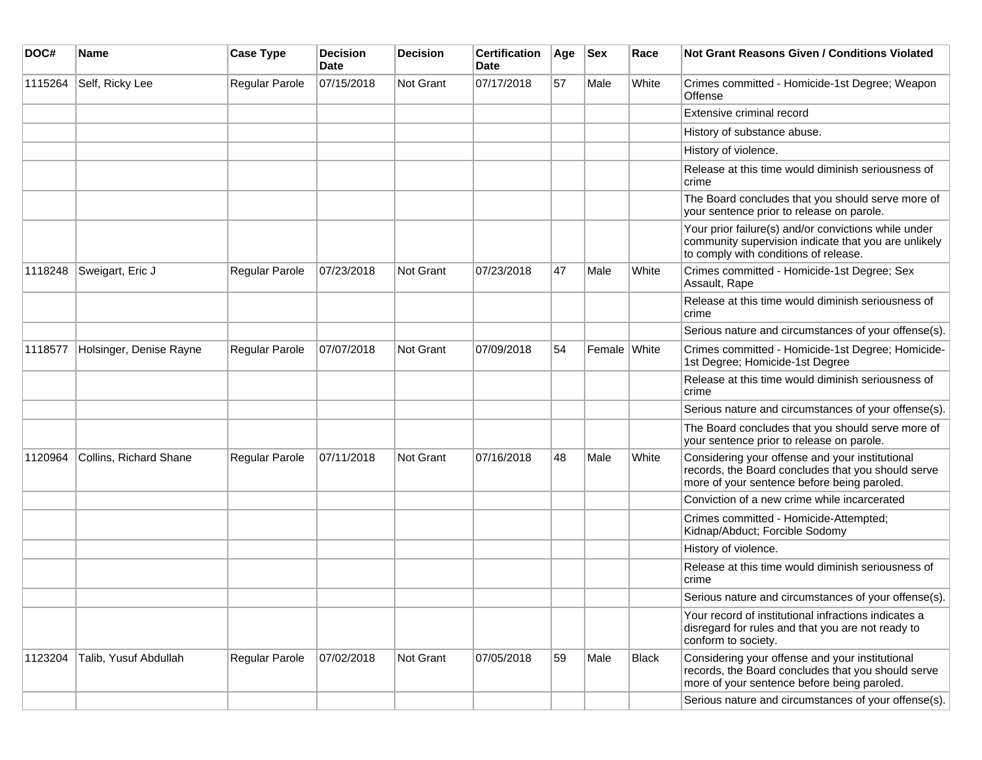| DOC#    | <b>Name</b>             | <b>Case Type</b> | <b>Decision</b><br><b>Date</b> | <b>Decision</b>  | <b>Certification</b><br>Date | Age | <b>Sex</b>   | Race         | <b>Not Grant Reasons Given / Conditions Violated</b>                                                                                                  |
|---------|-------------------------|------------------|--------------------------------|------------------|------------------------------|-----|--------------|--------------|-------------------------------------------------------------------------------------------------------------------------------------------------------|
| 1115264 | Self, Ricky Lee         | Regular Parole   | 07/15/2018                     | <b>Not Grant</b> | 07/17/2018                   | 57  | Male         | White        | Crimes committed - Homicide-1st Degree; Weapon<br>Offense                                                                                             |
|         |                         |                  |                                |                  |                              |     |              |              | Extensive criminal record                                                                                                                             |
|         |                         |                  |                                |                  |                              |     |              |              | History of substance abuse.                                                                                                                           |
|         |                         |                  |                                |                  |                              |     |              |              | History of violence.                                                                                                                                  |
|         |                         |                  |                                |                  |                              |     |              |              | Release at this time would diminish seriousness of<br>crime                                                                                           |
|         |                         |                  |                                |                  |                              |     |              |              | The Board concludes that you should serve more of<br>your sentence prior to release on parole.                                                        |
|         |                         |                  |                                |                  |                              |     |              |              | Your prior failure(s) and/or convictions while under<br>community supervision indicate that you are unlikely<br>to comply with conditions of release. |
| 1118248 | Sweigart, Eric J        | Regular Parole   | 07/23/2018                     | <b>Not Grant</b> | 07/23/2018                   | 47  | Male         | White        | Crimes committed - Homicide-1st Degree; Sex<br>Assault, Rape                                                                                          |
|         |                         |                  |                                |                  |                              |     |              |              | Release at this time would diminish seriousness of<br><b>crime</b>                                                                                    |
|         |                         |                  |                                |                  |                              |     |              |              | Serious nature and circumstances of your offense(s).                                                                                                  |
| 1118577 | Holsinger, Denise Rayne | Regular Parole   | 07/07/2018                     | Not Grant        | 07/09/2018                   | 54  | Female White |              | Crimes committed - Homicide-1st Degree; Homicide-<br>1st Degree; Homicide-1st Degree                                                                  |
|         |                         |                  |                                |                  |                              |     |              |              | Release at this time would diminish seriousness of<br>crime                                                                                           |
|         |                         |                  |                                |                  |                              |     |              |              | Serious nature and circumstances of your offense(s).                                                                                                  |
|         |                         |                  |                                |                  |                              |     |              |              | The Board concludes that you should serve more of<br>your sentence prior to release on parole.                                                        |
| 1120964 | Collins, Richard Shane  | Regular Parole   | 07/11/2018                     | Not Grant        | 07/16/2018                   | 48  | Male         | White        | Considering your offense and your institutional<br>records, the Board concludes that you should serve<br>more of your sentence before being paroled.  |
|         |                         |                  |                                |                  |                              |     |              |              | Conviction of a new crime while incarcerated                                                                                                          |
|         |                         |                  |                                |                  |                              |     |              |              | Crimes committed - Homicide-Attempted;<br>Kidnap/Abduct; Forcible Sodomy                                                                              |
|         |                         |                  |                                |                  |                              |     |              |              | History of violence.                                                                                                                                  |
|         |                         |                  |                                |                  |                              |     |              |              | Release at this time would diminish seriousness of<br>crime                                                                                           |
|         |                         |                  |                                |                  |                              |     |              |              | Serious nature and circumstances of your offense(s).                                                                                                  |
|         |                         |                  |                                |                  |                              |     |              |              | Your record of institutional infractions indicates a<br>disregard for rules and that you are not ready to<br>conform to society.                      |
| 1123204 | Talib, Yusuf Abdullah   | Regular Parole   | 07/02/2018                     | Not Grant        | 07/05/2018                   | 59  | Male         | <b>Black</b> | Considering your offense and your institutional<br>records, the Board concludes that you should serve<br>more of your sentence before being paroled.  |
|         |                         |                  |                                |                  |                              |     |              |              | Serious nature and circumstances of your offense(s).                                                                                                  |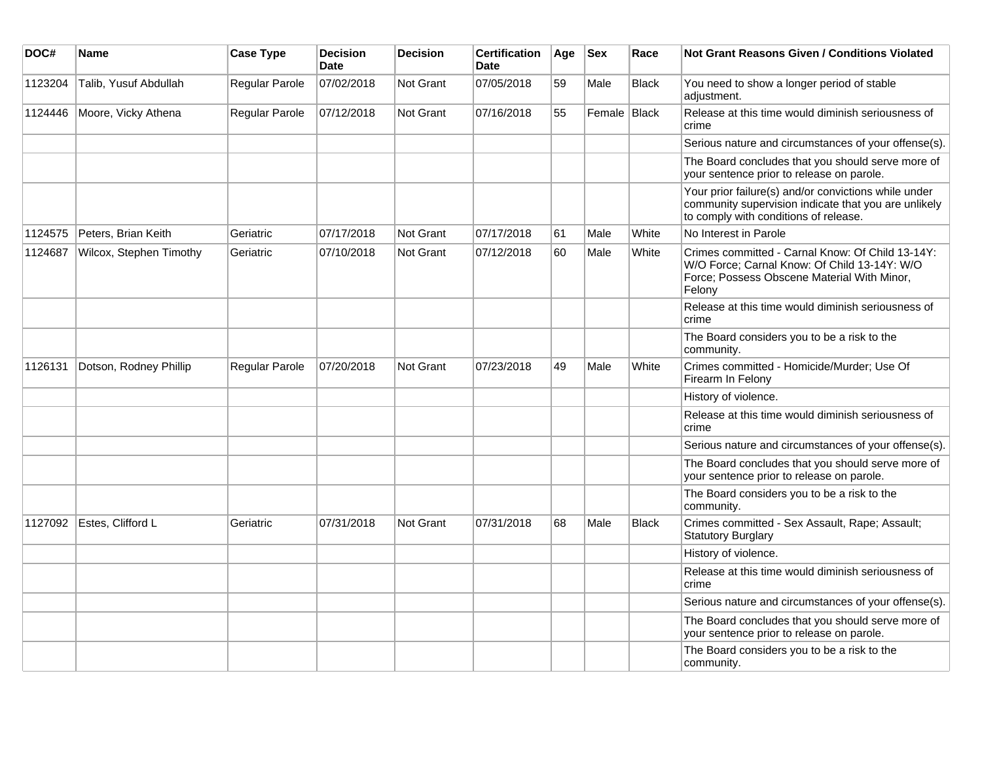| DOC#    | <b>Name</b>             | <b>Case Type</b>      | <b>Decision</b><br><b>Date</b> | <b>Decision</b> | <b>Certification</b><br><b>Date</b> | Age | <b>Sex</b>   | Race  | <b>Not Grant Reasons Given / Conditions Violated</b>                                                                                                      |
|---------|-------------------------|-----------------------|--------------------------------|-----------------|-------------------------------------|-----|--------------|-------|-----------------------------------------------------------------------------------------------------------------------------------------------------------|
| 1123204 | Talib, Yusuf Abdullah   | Regular Parole        | 07/02/2018                     | Not Grant       | 07/05/2018                          | 59  | Male         | Black | You need to show a longer period of stable<br>adjustment.                                                                                                 |
| 1124446 | Moore, Vicky Athena     | Regular Parole        | 07/12/2018                     | Not Grant       | 07/16/2018                          | 55  | Female Black |       | Release at this time would diminish seriousness of<br>crime                                                                                               |
|         |                         |                       |                                |                 |                                     |     |              |       | Serious nature and circumstances of your offense(s).                                                                                                      |
|         |                         |                       |                                |                 |                                     |     |              |       | The Board concludes that you should serve more of<br>your sentence prior to release on parole.                                                            |
|         |                         |                       |                                |                 |                                     |     |              |       | Your prior failure(s) and/or convictions while under<br>community supervision indicate that you are unlikely<br>to comply with conditions of release.     |
| 1124575 | Peters, Brian Keith     | Geriatric             | 07/17/2018                     | Not Grant       | 07/17/2018                          | 61  | Male         | White | No Interest in Parole                                                                                                                                     |
| 1124687 | Wilcox, Stephen Timothy | Geriatric             | 07/10/2018                     | Not Grant       | 07/12/2018                          | 60  | Male         | White | Crimes committed - Carnal Know: Of Child 13-14Y:<br>W/O Force; Carnal Know: Of Child 13-14Y: W/O<br>Force; Possess Obscene Material With Minor,<br>Felony |
|         |                         |                       |                                |                 |                                     |     |              |       | Release at this time would diminish seriousness of<br>crime                                                                                               |
|         |                         |                       |                                |                 |                                     |     |              |       | The Board considers you to be a risk to the<br>community.                                                                                                 |
| 1126131 | Dotson, Rodney Phillip  | <b>Regular Parole</b> | 07/20/2018                     | Not Grant       | 07/23/2018                          | 49  | Male         | White | Crimes committed - Homicide/Murder; Use Of<br>Firearm In Felony                                                                                           |
|         |                         |                       |                                |                 |                                     |     |              |       | History of violence.                                                                                                                                      |
|         |                         |                       |                                |                 |                                     |     |              |       | Release at this time would diminish seriousness of<br>crime                                                                                               |
|         |                         |                       |                                |                 |                                     |     |              |       | Serious nature and circumstances of your offense(s).                                                                                                      |
|         |                         |                       |                                |                 |                                     |     |              |       | The Board concludes that you should serve more of<br>your sentence prior to release on parole.                                                            |
|         |                         |                       |                                |                 |                                     |     |              |       | The Board considers you to be a risk to the<br>community.                                                                                                 |
| 1127092 | Estes, Clifford L       | Geriatric             | 07/31/2018                     | Not Grant       | 07/31/2018                          | 68  | Male         | Black | Crimes committed - Sex Assault, Rape; Assault;<br><b>Statutory Burglary</b>                                                                               |
|         |                         |                       |                                |                 |                                     |     |              |       | History of violence.                                                                                                                                      |
|         |                         |                       |                                |                 |                                     |     |              |       | Release at this time would diminish seriousness of<br>crime                                                                                               |
|         |                         |                       |                                |                 |                                     |     |              |       | Serious nature and circumstances of your offense(s).                                                                                                      |
|         |                         |                       |                                |                 |                                     |     |              |       | The Board concludes that you should serve more of<br>your sentence prior to release on parole.                                                            |
|         |                         |                       |                                |                 |                                     |     |              |       | The Board considers you to be a risk to the<br>community.                                                                                                 |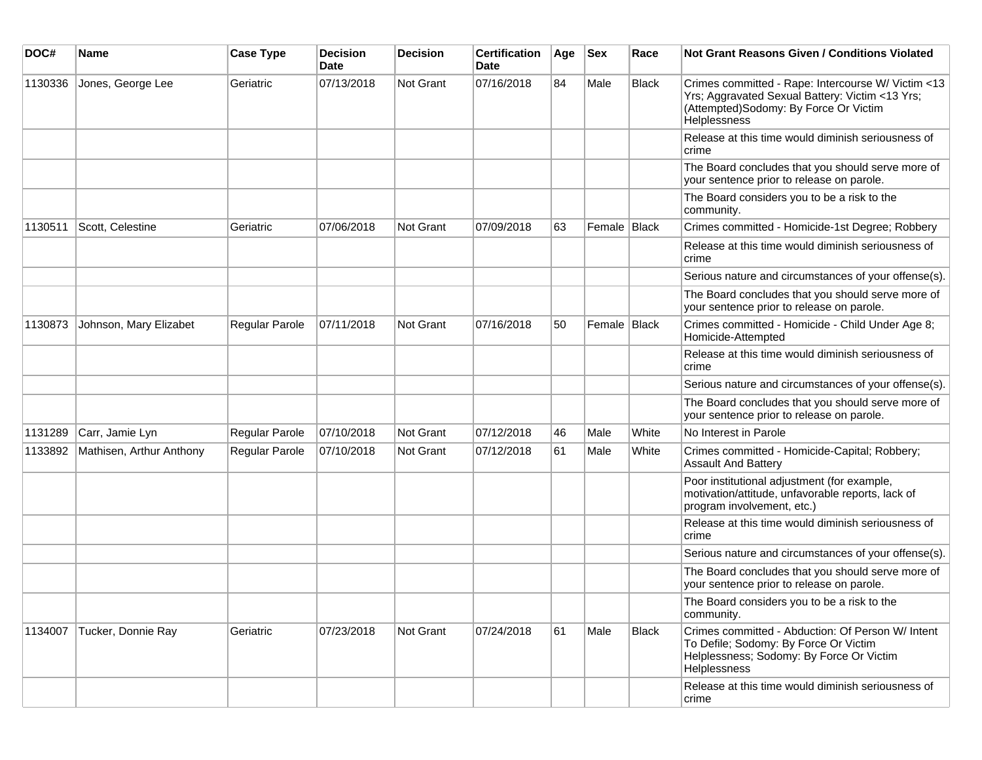| DOC#    | <b>Name</b>              | <b>Case Type</b> | <b>Decision</b><br><b>Date</b> | <b>Decision</b>  | <b>Certification</b><br>Date | Age | <b>Sex</b>     | Race  | Not Grant Reasons Given / Conditions Violated                                                                                                                  |
|---------|--------------------------|------------------|--------------------------------|------------------|------------------------------|-----|----------------|-------|----------------------------------------------------------------------------------------------------------------------------------------------------------------|
| 1130336 | Jones, George Lee        | Geriatric        | 07/13/2018                     | Not Grant        | 07/16/2018                   | 84  | Male           | Black | Crimes committed - Rape: Intercourse W/ Victim <13<br>Yrs; Aggravated Sexual Battery: Victim <13 Yrs;<br>(Attempted)Sodomy: By Force Or Victim<br>Helplessness |
|         |                          |                  |                                |                  |                              |     |                |       | Release at this time would diminish seriousness of<br>crime                                                                                                    |
|         |                          |                  |                                |                  |                              |     |                |       | The Board concludes that you should serve more of<br>your sentence prior to release on parole.                                                                 |
|         |                          |                  |                                |                  |                              |     |                |       | The Board considers you to be a risk to the<br>community.                                                                                                      |
| 1130511 | Scott, Celestine         | Geriatric        | 07/06/2018                     | Not Grant        | 07/09/2018                   | 63  | Female   Black |       | Crimes committed - Homicide-1st Degree; Robbery                                                                                                                |
|         |                          |                  |                                |                  |                              |     |                |       | Release at this time would diminish seriousness of<br>crime                                                                                                    |
|         |                          |                  |                                |                  |                              |     |                |       | Serious nature and circumstances of your offense(s).                                                                                                           |
|         |                          |                  |                                |                  |                              |     |                |       | The Board concludes that you should serve more of<br>your sentence prior to release on parole.                                                                 |
| 1130873 | Johnson, Mary Elizabet   | Regular Parole   | 07/11/2018                     | <b>Not Grant</b> | 07/16/2018                   | 50  | Female Black   |       | Crimes committed - Homicide - Child Under Age 8;<br>Homicide-Attempted                                                                                         |
|         |                          |                  |                                |                  |                              |     |                |       | Release at this time would diminish seriousness of<br>crime                                                                                                    |
|         |                          |                  |                                |                  |                              |     |                |       | Serious nature and circumstances of your offense(s).                                                                                                           |
|         |                          |                  |                                |                  |                              |     |                |       | The Board concludes that you should serve more of<br>your sentence prior to release on parole.                                                                 |
| 1131289 | Carr, Jamie Lyn          | Regular Parole   | 07/10/2018                     | <b>Not Grant</b> | 07/12/2018                   | 46  | Male           | White | No Interest in Parole                                                                                                                                          |
| 1133892 | Mathisen, Arthur Anthony | Regular Parole   | 07/10/2018                     | <b>Not Grant</b> | 07/12/2018                   | 61  | Male           | White | Crimes committed - Homicide-Capital; Robbery;<br><b>Assault And Battery</b>                                                                                    |
|         |                          |                  |                                |                  |                              |     |                |       | Poor institutional adjustment (for example,<br>motivation/attitude, unfavorable reports, lack of<br>program involvement, etc.)                                 |
|         |                          |                  |                                |                  |                              |     |                |       | Release at this time would diminish seriousness of<br>crime                                                                                                    |
|         |                          |                  |                                |                  |                              |     |                |       | Serious nature and circumstances of your offense(s).                                                                                                           |
|         |                          |                  |                                |                  |                              |     |                |       | The Board concludes that you should serve more of<br>your sentence prior to release on parole.                                                                 |
|         |                          |                  |                                |                  |                              |     |                |       | The Board considers you to be a risk to the<br>community.                                                                                                      |
| 1134007 | Tucker, Donnie Ray       | Geriatric        | 07/23/2018                     | Not Grant        | 07/24/2018                   | 61  | Male           | Black | Crimes committed - Abduction: Of Person W/ Intent<br>To Defile; Sodomy: By Force Or Victim<br>Helplessness; Sodomy: By Force Or Victim<br>Helplessness         |
|         |                          |                  |                                |                  |                              |     |                |       | Release at this time would diminish seriousness of<br>crime                                                                                                    |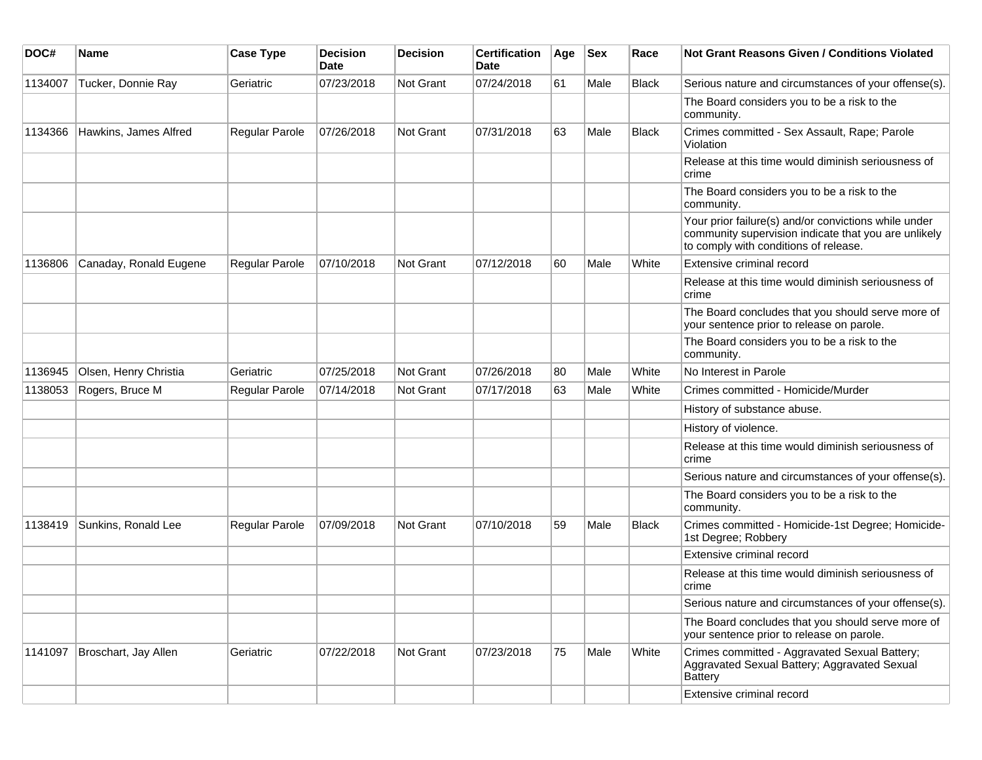| DOC#    | <b>Name</b>            | <b>Case Type</b>      | <b>Decision</b><br><b>Date</b> | <b>Decision</b> | <b>Certification</b><br><b>Date</b> | Age | <b>Sex</b> | Race         | <b>Not Grant Reasons Given / Conditions Violated</b>                                                                                                  |
|---------|------------------------|-----------------------|--------------------------------|-----------------|-------------------------------------|-----|------------|--------------|-------------------------------------------------------------------------------------------------------------------------------------------------------|
| 1134007 | Tucker, Donnie Ray     | Geriatric             | 07/23/2018                     | Not Grant       | 07/24/2018                          | 61  | Male       | <b>Black</b> | Serious nature and circumstances of your offense(s).                                                                                                  |
|         |                        |                       |                                |                 |                                     |     |            |              | The Board considers you to be a risk to the<br>community.                                                                                             |
| 1134366 | Hawkins, James Alfred  | Regular Parole        | 07/26/2018                     | Not Grant       | 07/31/2018                          | 63  | Male       | <b>Black</b> | Crimes committed - Sex Assault, Rape; Parole<br>Violation                                                                                             |
|         |                        |                       |                                |                 |                                     |     |            |              | Release at this time would diminish seriousness of<br>crime                                                                                           |
|         |                        |                       |                                |                 |                                     |     |            |              | The Board considers you to be a risk to the<br>community.                                                                                             |
|         |                        |                       |                                |                 |                                     |     |            |              | Your prior failure(s) and/or convictions while under<br>community supervision indicate that you are unlikely<br>to comply with conditions of release. |
| 1136806 | Canaday, Ronald Eugene | <b>Regular Parole</b> | 07/10/2018                     | Not Grant       | 07/12/2018                          | 60  | Male       | White        | Extensive criminal record                                                                                                                             |
|         |                        |                       |                                |                 |                                     |     |            |              | Release at this time would diminish seriousness of<br>crime                                                                                           |
|         |                        |                       |                                |                 |                                     |     |            |              | The Board concludes that you should serve more of<br>your sentence prior to release on parole.                                                        |
|         |                        |                       |                                |                 |                                     |     |            |              | The Board considers you to be a risk to the<br>community.                                                                                             |
| 1136945 | Olsen, Henry Christia  | Geriatric             | 07/25/2018                     | Not Grant       | 07/26/2018                          | 80  | Male       | White        | No Interest in Parole                                                                                                                                 |
| 1138053 | Rogers, Bruce M        | Regular Parole        | 07/14/2018                     | Not Grant       | 07/17/2018                          | 63  | Male       | White        | Crimes committed - Homicide/Murder                                                                                                                    |
|         |                        |                       |                                |                 |                                     |     |            |              | History of substance abuse.                                                                                                                           |
|         |                        |                       |                                |                 |                                     |     |            |              | History of violence.                                                                                                                                  |
|         |                        |                       |                                |                 |                                     |     |            |              | Release at this time would diminish seriousness of<br>crime                                                                                           |
|         |                        |                       |                                |                 |                                     |     |            |              | Serious nature and circumstances of your offense(s).                                                                                                  |
|         |                        |                       |                                |                 |                                     |     |            |              | The Board considers you to be a risk to the<br>community.                                                                                             |
| 1138419 | Sunkins, Ronald Lee    | <b>Regular Parole</b> | 07/09/2018                     | Not Grant       | 07/10/2018                          | 59  | Male       | <b>Black</b> | Crimes committed - Homicide-1st Degree; Homicide-<br>1st Degree; Robbery                                                                              |
|         |                        |                       |                                |                 |                                     |     |            |              | Extensive criminal record                                                                                                                             |
|         |                        |                       |                                |                 |                                     |     |            |              | Release at this time would diminish seriousness of<br>crime                                                                                           |
|         |                        |                       |                                |                 |                                     |     |            |              | Serious nature and circumstances of your offense(s).                                                                                                  |
|         |                        |                       |                                |                 |                                     |     |            |              | The Board concludes that you should serve more of<br>your sentence prior to release on parole.                                                        |
| 1141097 | Broschart, Jay Allen   | Geriatric             | 07/22/2018                     | Not Grant       | 07/23/2018                          | 75  | Male       | White        | Crimes committed - Aggravated Sexual Battery;<br>Aggravated Sexual Battery; Aggravated Sexual<br><b>Battery</b>                                       |
|         |                        |                       |                                |                 |                                     |     |            |              | Extensive criminal record                                                                                                                             |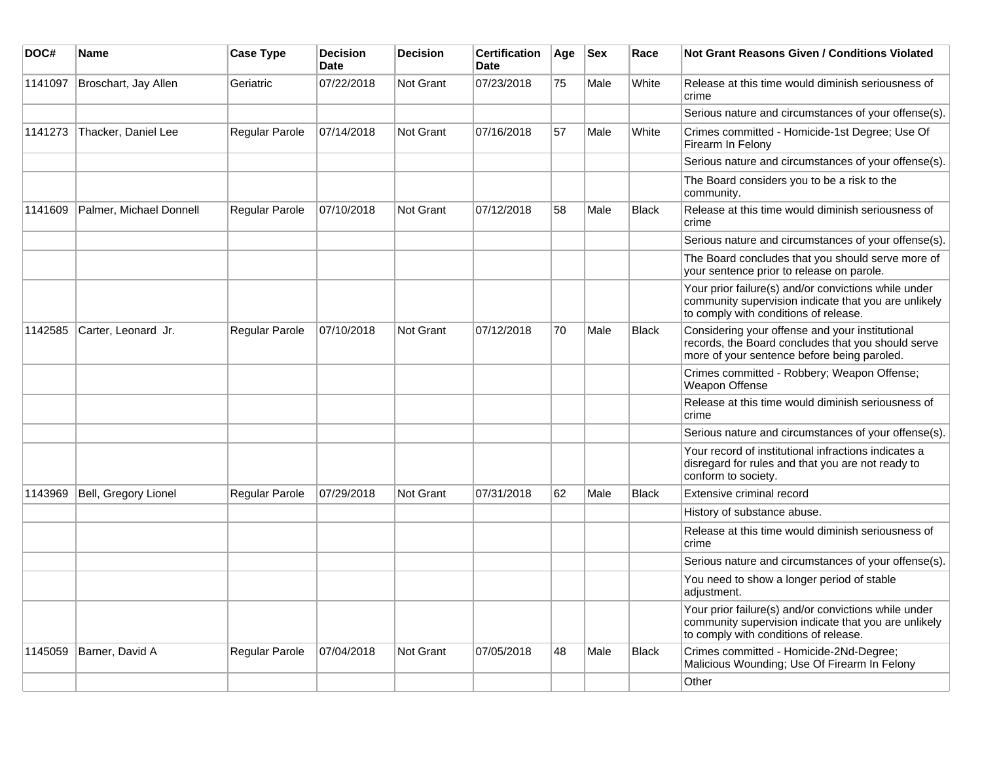| DOC#    | Name                    | <b>Case Type</b>      | <b>Decision</b><br><b>Date</b> | <b>Decision</b>  | <b>Certification</b><br><b>Date</b> | Age | <b>Sex</b> | Race         | <b>Not Grant Reasons Given / Conditions Violated</b>                                                                                                  |
|---------|-------------------------|-----------------------|--------------------------------|------------------|-------------------------------------|-----|------------|--------------|-------------------------------------------------------------------------------------------------------------------------------------------------------|
| 1141097 | Broschart, Jay Allen    | Geriatric             | 07/22/2018                     | Not Grant        | 07/23/2018                          | 75  | Male       | White        | Release at this time would diminish seriousness of<br>crime                                                                                           |
|         |                         |                       |                                |                  |                                     |     |            |              | Serious nature and circumstances of your offense(s).                                                                                                  |
| 1141273 | Thacker, Daniel Lee     | <b>Regular Parole</b> | 07/14/2018                     | Not Grant        | 07/16/2018                          | 57  | Male       | White        | Crimes committed - Homicide-1st Degree; Use Of<br>Firearm In Felony                                                                                   |
|         |                         |                       |                                |                  |                                     |     |            |              | Serious nature and circumstances of your offense(s).                                                                                                  |
|         |                         |                       |                                |                  |                                     |     |            |              | The Board considers you to be a risk to the<br>community.                                                                                             |
| 1141609 | Palmer, Michael Donnell | Regular Parole        | 07/10/2018                     | <b>Not Grant</b> | 07/12/2018                          | 58  | Male       | <b>Black</b> | Release at this time would diminish seriousness of<br>crime                                                                                           |
|         |                         |                       |                                |                  |                                     |     |            |              | Serious nature and circumstances of your offense(s).                                                                                                  |
|         |                         |                       |                                |                  |                                     |     |            |              | The Board concludes that you should serve more of<br>your sentence prior to release on parole.                                                        |
|         |                         |                       |                                |                  |                                     |     |            |              | Your prior failure(s) and/or convictions while under<br>community supervision indicate that you are unlikely<br>to comply with conditions of release. |
| 1142585 | Carter, Leonard Jr.     | Regular Parole        | 07/10/2018                     | Not Grant        | 07/12/2018                          | 70  | Male       | <b>Black</b> | Considering your offense and your institutional<br>records, the Board concludes that you should serve<br>more of your sentence before being paroled.  |
|         |                         |                       |                                |                  |                                     |     |            |              | Crimes committed - Robbery; Weapon Offense;<br>Weapon Offense                                                                                         |
|         |                         |                       |                                |                  |                                     |     |            |              | Release at this time would diminish seriousness of<br>crime                                                                                           |
|         |                         |                       |                                |                  |                                     |     |            |              | Serious nature and circumstances of your offense(s).                                                                                                  |
|         |                         |                       |                                |                  |                                     |     |            |              | Your record of institutional infractions indicates a<br>disregard for rules and that you are not ready to<br>conform to society.                      |
| 1143969 | Bell, Gregory Lionel    | Regular Parole        | 07/29/2018                     | Not Grant        | 07/31/2018                          | 62  | Male       | <b>Black</b> | Extensive criminal record                                                                                                                             |
|         |                         |                       |                                |                  |                                     |     |            |              | History of substance abuse.                                                                                                                           |
|         |                         |                       |                                |                  |                                     |     |            |              | Release at this time would diminish seriousness of<br>crime                                                                                           |
|         |                         |                       |                                |                  |                                     |     |            |              | Serious nature and circumstances of your offense(s).                                                                                                  |
|         |                         |                       |                                |                  |                                     |     |            |              | You need to show a longer period of stable<br>adjustment.                                                                                             |
|         |                         |                       |                                |                  |                                     |     |            |              | Your prior failure(s) and/or convictions while under<br>community supervision indicate that you are unlikely<br>to comply with conditions of release. |
| 1145059 | Barner, David A         | <b>Regular Parole</b> | 07/04/2018                     | Not Grant        | 07/05/2018                          | 48  | Male       | Black        | Crimes committed - Homicide-2Nd-Degree;<br>Malicious Wounding; Use Of Firearm In Felony                                                               |
|         |                         |                       |                                |                  |                                     |     |            |              | Other                                                                                                                                                 |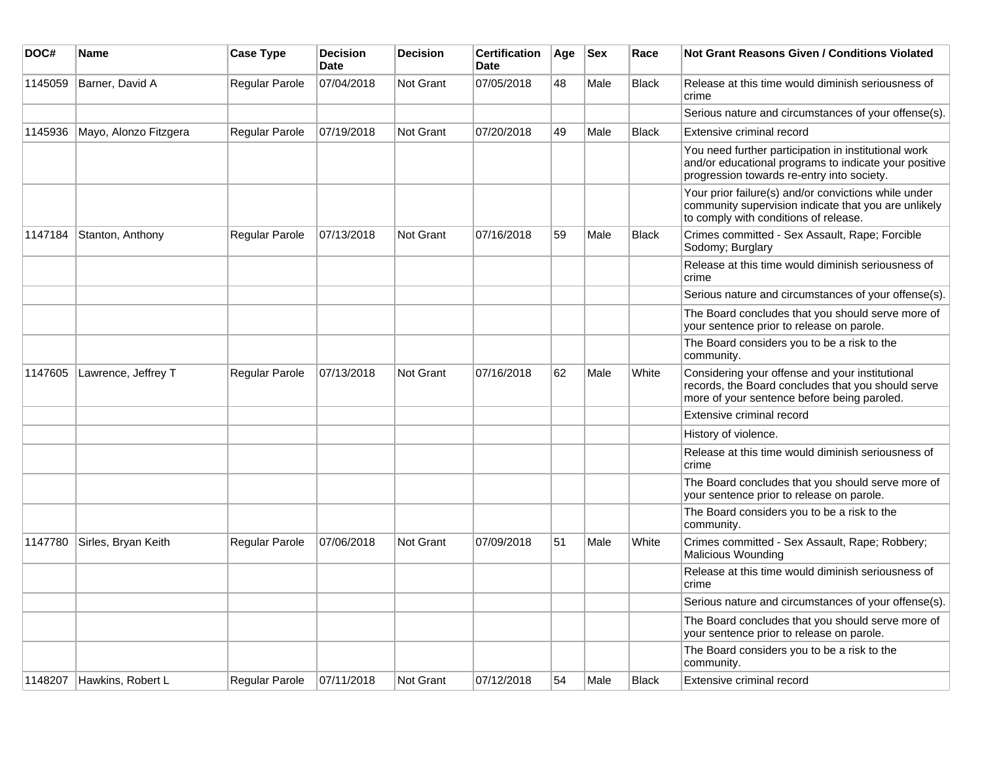| DOC#    | Name                      | <b>Case Type</b>      | <b>Decision</b><br><b>Date</b> | <b>Decision</b>  | <b>Certification</b><br><b>Date</b> | Age | <b>Sex</b> | Race         | <b>Not Grant Reasons Given / Conditions Violated</b>                                                                                                        |
|---------|---------------------------|-----------------------|--------------------------------|------------------|-------------------------------------|-----|------------|--------------|-------------------------------------------------------------------------------------------------------------------------------------------------------------|
| 1145059 | Barner, David A           | <b>Regular Parole</b> | 07/04/2018                     | Not Grant        | 07/05/2018                          | 48  | Male       | <b>Black</b> | Release at this time would diminish seriousness of<br>crime                                                                                                 |
|         |                           |                       |                                |                  |                                     |     |            |              | Serious nature and circumstances of your offense(s).                                                                                                        |
| 1145936 | Mayo, Alonzo Fitzgera     | <b>Regular Parole</b> | 07/19/2018                     | <b>Not Grant</b> | 07/20/2018                          | 49  | Male       | <b>Black</b> | Extensive criminal record                                                                                                                                   |
|         |                           |                       |                                |                  |                                     |     |            |              | You need further participation in institutional work<br>and/or educational programs to indicate your positive<br>progression towards re-entry into society. |
|         |                           |                       |                                |                  |                                     |     |            |              | Your prior failure(s) and/or convictions while under<br>community supervision indicate that you are unlikely<br>to comply with conditions of release.       |
| 1147184 | Stanton, Anthony          | <b>Regular Parole</b> | 07/13/2018                     | Not Grant        | 07/16/2018                          | 59  | Male       | Black        | Crimes committed - Sex Assault, Rape; Forcible<br>Sodomy; Burglary                                                                                          |
|         |                           |                       |                                |                  |                                     |     |            |              | Release at this time would diminish seriousness of<br>crime                                                                                                 |
|         |                           |                       |                                |                  |                                     |     |            |              | Serious nature and circumstances of your offense(s).                                                                                                        |
|         |                           |                       |                                |                  |                                     |     |            |              | The Board concludes that you should serve more of<br>your sentence prior to release on parole.                                                              |
|         |                           |                       |                                |                  |                                     |     |            |              | The Board considers you to be a risk to the<br>community.                                                                                                   |
| 1147605 | Lawrence, Jeffrey T       | Regular Parole        | 07/13/2018                     | <b>Not Grant</b> | 07/16/2018                          | 62  | Male       | White        | Considering your offense and your institutional<br>records, the Board concludes that you should serve<br>more of your sentence before being paroled.        |
|         |                           |                       |                                |                  |                                     |     |            |              | Extensive criminal record                                                                                                                                   |
|         |                           |                       |                                |                  |                                     |     |            |              | History of violence.                                                                                                                                        |
|         |                           |                       |                                |                  |                                     |     |            |              | Release at this time would diminish seriousness of<br>crime                                                                                                 |
|         |                           |                       |                                |                  |                                     |     |            |              | The Board concludes that you should serve more of<br>your sentence prior to release on parole.                                                              |
|         |                           |                       |                                |                  |                                     |     |            |              | The Board considers you to be a risk to the<br>community.                                                                                                   |
| 1147780 | Sirles, Bryan Keith       | <b>Regular Parole</b> | 07/06/2018                     | <b>Not Grant</b> | 07/09/2018                          | 51  | Male       | White        | Crimes committed - Sex Assault, Rape; Robbery;<br><b>Malicious Wounding</b>                                                                                 |
|         |                           |                       |                                |                  |                                     |     |            |              | Release at this time would diminish seriousness of<br>crime                                                                                                 |
|         |                           |                       |                                |                  |                                     |     |            |              | Serious nature and circumstances of your offense(s).                                                                                                        |
|         |                           |                       |                                |                  |                                     |     |            |              | The Board concludes that you should serve more of<br>your sentence prior to release on parole.                                                              |
|         |                           |                       |                                |                  |                                     |     |            |              | The Board considers you to be a risk to the<br>community.                                                                                                   |
|         | 1148207 Hawkins, Robert L | <b>Regular Parole</b> | 07/11/2018                     | <b>Not Grant</b> | 07/12/2018                          | 54  | Male       | <b>Black</b> | Extensive criminal record                                                                                                                                   |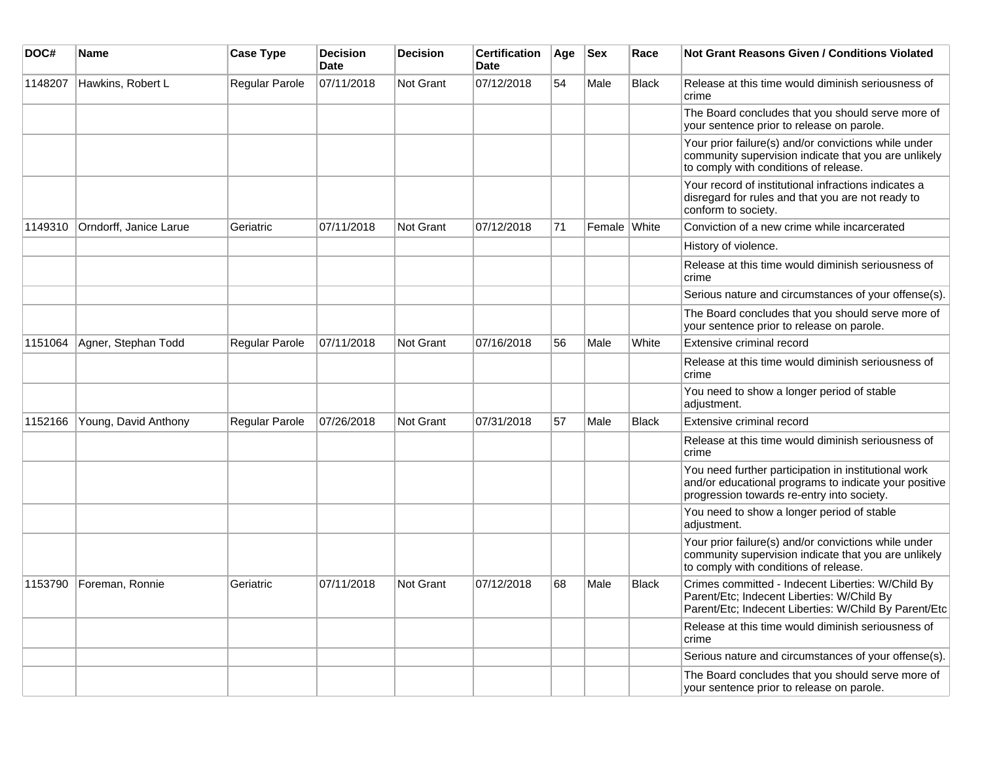| DOC#    | <b>Name</b>            | <b>Case Type</b>      | <b>Decision</b><br><b>Date</b> | <b>Decision</b>  | <b>Certification</b><br>Date | Age | <b>Sex</b>   | Race         | <b>Not Grant Reasons Given / Conditions Violated</b>                                                                                                        |
|---------|------------------------|-----------------------|--------------------------------|------------------|------------------------------|-----|--------------|--------------|-------------------------------------------------------------------------------------------------------------------------------------------------------------|
| 1148207 | Hawkins, Robert L      | Regular Parole        | 07/11/2018                     | Not Grant        | 07/12/2018                   | 54  | Male         | <b>Black</b> | Release at this time would diminish seriousness of<br>crime                                                                                                 |
|         |                        |                       |                                |                  |                              |     |              |              | The Board concludes that you should serve more of<br>your sentence prior to release on parole.                                                              |
|         |                        |                       |                                |                  |                              |     |              |              | Your prior failure(s) and/or convictions while under<br>community supervision indicate that you are unlikely<br>to comply with conditions of release.       |
|         |                        |                       |                                |                  |                              |     |              |              | Your record of institutional infractions indicates a<br>disregard for rules and that you are not ready to<br>conform to society.                            |
| 1149310 | Orndorff, Janice Larue | Geriatric             | 07/11/2018                     | Not Grant        | 07/12/2018                   | 71  | Female White |              | Conviction of a new crime while incarcerated                                                                                                                |
|         |                        |                       |                                |                  |                              |     |              |              | History of violence.                                                                                                                                        |
|         |                        |                       |                                |                  |                              |     |              |              | Release at this time would diminish seriousness of<br>crime                                                                                                 |
|         |                        |                       |                                |                  |                              |     |              |              | Serious nature and circumstances of your offense(s).                                                                                                        |
|         |                        |                       |                                |                  |                              |     |              |              | The Board concludes that you should serve more of<br>your sentence prior to release on parole.                                                              |
| 1151064 | Agner, Stephan Todd    | <b>Regular Parole</b> | 07/11/2018                     | <b>Not Grant</b> | 07/16/2018                   | 56  | Male         | White        | Extensive criminal record                                                                                                                                   |
|         |                        |                       |                                |                  |                              |     |              |              | Release at this time would diminish seriousness of<br>crime                                                                                                 |
|         |                        |                       |                                |                  |                              |     |              |              | You need to show a longer period of stable<br>adjustment.                                                                                                   |
| 1152166 | Young, David Anthony   | <b>Regular Parole</b> | 07/26/2018                     | <b>Not Grant</b> | 07/31/2018                   | 57  | Male         | <b>Black</b> | Extensive criminal record                                                                                                                                   |
|         |                        |                       |                                |                  |                              |     |              |              | Release at this time would diminish seriousness of<br>crime                                                                                                 |
|         |                        |                       |                                |                  |                              |     |              |              | You need further participation in institutional work<br>and/or educational programs to indicate your positive<br>progression towards re-entry into society. |
|         |                        |                       |                                |                  |                              |     |              |              | You need to show a longer period of stable<br>adjustment.                                                                                                   |
|         |                        |                       |                                |                  |                              |     |              |              | Your prior failure(s) and/or convictions while under<br>community supervision indicate that you are unlikely<br>to comply with conditions of release.       |
| 1153790 | Foreman, Ronnie        | Geriatric             | 07/11/2018                     | Not Grant        | 07/12/2018                   | 68  | Male         | <b>Black</b> | Crimes committed - Indecent Liberties: W/Child By<br>Parent/Etc; Indecent Liberties: W/Child By<br>Parent/Etc; Indecent Liberties: W/Child By Parent/Etc    |
|         |                        |                       |                                |                  |                              |     |              |              | Release at this time would diminish seriousness of<br>crime                                                                                                 |
|         |                        |                       |                                |                  |                              |     |              |              | Serious nature and circumstances of your offense(s).                                                                                                        |
|         |                        |                       |                                |                  |                              |     |              |              | The Board concludes that you should serve more of<br>your sentence prior to release on parole.                                                              |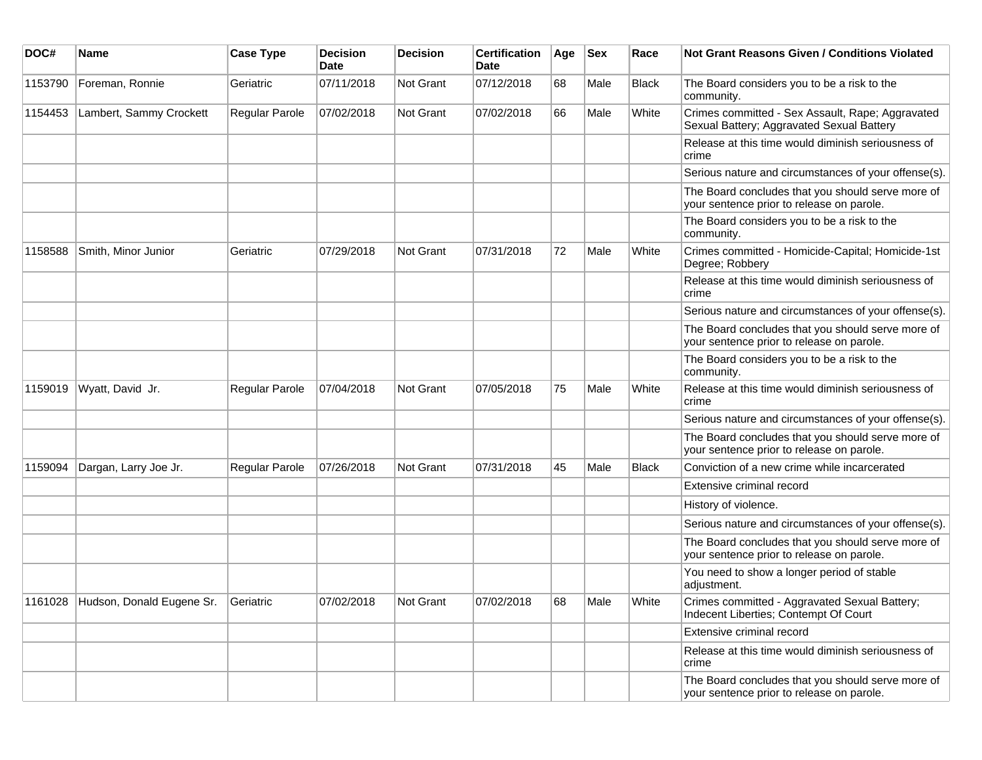| DOC#    | Name                                        | <b>Case Type</b> | <b>Decision</b><br><b>Date</b> | <b>Decision</b>  | <b>Certification</b><br>Date | Age | <b>Sex</b> | Race         | <b>Not Grant Reasons Given / Conditions Violated</b>                                           |
|---------|---------------------------------------------|------------------|--------------------------------|------------------|------------------------------|-----|------------|--------------|------------------------------------------------------------------------------------------------|
| 1153790 | Foreman, Ronnie                             | Geriatric        | 07/11/2018                     | Not Grant        | 07/12/2018                   | 68  | Male       | <b>Black</b> | The Board considers you to be a risk to the<br>community.                                      |
| 1154453 | Lambert, Sammy Crockett                     | Regular Parole   | 07/02/2018                     | <b>Not Grant</b> | 07/02/2018                   | 66  | Male       | White        | Crimes committed - Sex Assault, Rape; Aggravated<br>Sexual Battery; Aggravated Sexual Battery  |
|         |                                             |                  |                                |                  |                              |     |            |              | Release at this time would diminish seriousness of<br>crime                                    |
|         |                                             |                  |                                |                  |                              |     |            |              | Serious nature and circumstances of your offense(s).                                           |
|         |                                             |                  |                                |                  |                              |     |            |              | The Board concludes that you should serve more of<br>your sentence prior to release on parole. |
|         |                                             |                  |                                |                  |                              |     |            |              | The Board considers you to be a risk to the<br>community.                                      |
| 1158588 | Smith, Minor Junior                         | Geriatric        | 07/29/2018                     | <b>Not Grant</b> | 07/31/2018                   | 72  | Male       | White        | Crimes committed - Homicide-Capital; Homicide-1st<br>Degree; Robbery                           |
|         |                                             |                  |                                |                  |                              |     |            |              | Release at this time would diminish seriousness of<br>crime                                    |
|         |                                             |                  |                                |                  |                              |     |            |              | Serious nature and circumstances of your offense(s).                                           |
|         |                                             |                  |                                |                  |                              |     |            |              | The Board concludes that you should serve more of<br>your sentence prior to release on parole. |
|         |                                             |                  |                                |                  |                              |     |            |              | The Board considers you to be a risk to the<br>community.                                      |
| 1159019 | Wyatt, David Jr.                            | Regular Parole   | 07/04/2018                     | <b>Not Grant</b> | 07/05/2018                   | 75  | Male       | White        | Release at this time would diminish seriousness of<br>crime                                    |
|         |                                             |                  |                                |                  |                              |     |            |              | Serious nature and circumstances of your offense(s).                                           |
|         |                                             |                  |                                |                  |                              |     |            |              | The Board concludes that you should serve more of<br>your sentence prior to release on parole. |
| 1159094 | Dargan, Larry Joe Jr.                       | Regular Parole   | 07/26/2018                     | <b>Not Grant</b> | 07/31/2018                   | 45  | Male       | <b>Black</b> | Conviction of a new crime while incarcerated                                                   |
|         |                                             |                  |                                |                  |                              |     |            |              | Extensive criminal record                                                                      |
|         |                                             |                  |                                |                  |                              |     |            |              | History of violence.                                                                           |
|         |                                             |                  |                                |                  |                              |     |            |              | Serious nature and circumstances of your offense(s).                                           |
|         |                                             |                  |                                |                  |                              |     |            |              | The Board concludes that you should serve more of<br>your sentence prior to release on parole. |
|         |                                             |                  |                                |                  |                              |     |            |              | You need to show a longer period of stable<br>adjustment.                                      |
|         | 1161028 Hudson, Donald Eugene Sr. Geriatric |                  | 07/02/2018                     | Not Grant        | 07/02/2018                   | 68  | Male       | White        | Crimes committed - Aggravated Sexual Battery;<br>Indecent Liberties; Contempt Of Court         |
|         |                                             |                  |                                |                  |                              |     |            |              | Extensive criminal record                                                                      |
|         |                                             |                  |                                |                  |                              |     |            |              | Release at this time would diminish seriousness of<br>crime                                    |
|         |                                             |                  |                                |                  |                              |     |            |              | The Board concludes that you should serve more of<br>your sentence prior to release on parole. |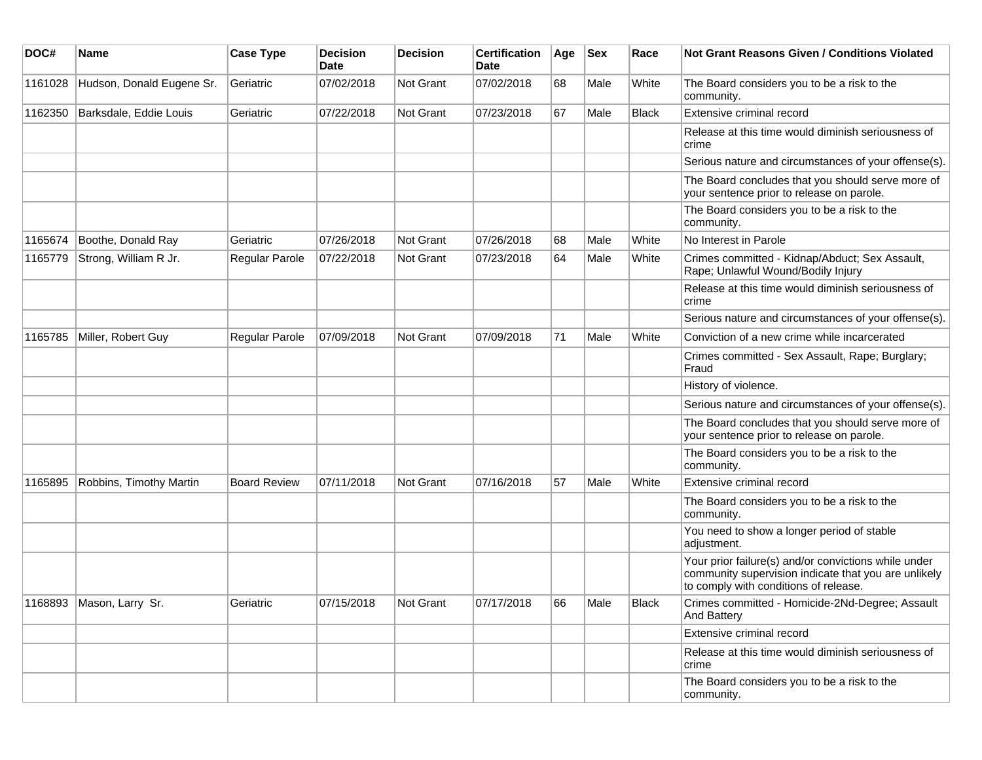| DOC#    | <b>Name</b>               | <b>Case Type</b>    | <b>Decision</b><br><b>Date</b> | <b>Decision</b>  | <b>Certification</b><br>Date | Age | <b>Sex</b> | Race  | <b>Not Grant Reasons Given / Conditions Violated</b>                                                                                                  |
|---------|---------------------------|---------------------|--------------------------------|------------------|------------------------------|-----|------------|-------|-------------------------------------------------------------------------------------------------------------------------------------------------------|
| 1161028 | Hudson, Donald Eugene Sr. | Geriatric           | 07/02/2018                     | Not Grant        | 07/02/2018                   | 68  | Male       | White | The Board considers you to be a risk to the<br>community.                                                                                             |
| 1162350 | Barksdale, Eddie Louis    | Geriatric           | 07/22/2018                     | Not Grant        | 07/23/2018                   | 67  | Male       | Black | Extensive criminal record                                                                                                                             |
|         |                           |                     |                                |                  |                              |     |            |       | Release at this time would diminish seriousness of<br>crime                                                                                           |
|         |                           |                     |                                |                  |                              |     |            |       | Serious nature and circumstances of your offense(s).                                                                                                  |
|         |                           |                     |                                |                  |                              |     |            |       | The Board concludes that you should serve more of<br>your sentence prior to release on parole.                                                        |
|         |                           |                     |                                |                  |                              |     |            |       | The Board considers you to be a risk to the<br>community.                                                                                             |
| 1165674 | Boothe, Donald Ray        | Geriatric           | 07/26/2018                     | <b>Not Grant</b> | 07/26/2018                   | 68  | Male       | White | No Interest in Parole                                                                                                                                 |
| 1165779 | Strong, William R Jr.     | Regular Parole      | 07/22/2018                     | Not Grant        | 07/23/2018                   | 64  | Male       | White | Crimes committed - Kidnap/Abduct; Sex Assault,<br>Rape; Unlawful Wound/Bodily Injury                                                                  |
|         |                           |                     |                                |                  |                              |     |            |       | Release at this time would diminish seriousness of<br>crime                                                                                           |
|         |                           |                     |                                |                  |                              |     |            |       | Serious nature and circumstances of your offense(s).                                                                                                  |
| 1165785 | Miller, Robert Guy        | Regular Parole      | 07/09/2018                     | <b>Not Grant</b> | 07/09/2018                   | 71  | Male       | White | Conviction of a new crime while incarcerated                                                                                                          |
|         |                           |                     |                                |                  |                              |     |            |       | Crimes committed - Sex Assault, Rape; Burglary;<br>Fraud                                                                                              |
|         |                           |                     |                                |                  |                              |     |            |       | History of violence.                                                                                                                                  |
|         |                           |                     |                                |                  |                              |     |            |       | Serious nature and circumstances of your offense(s).                                                                                                  |
|         |                           |                     |                                |                  |                              |     |            |       | The Board concludes that you should serve more of<br>your sentence prior to release on parole.                                                        |
|         |                           |                     |                                |                  |                              |     |            |       | The Board considers you to be a risk to the<br>community.                                                                                             |
| 1165895 | Robbins, Timothy Martin   | <b>Board Review</b> | 07/11/2018                     | <b>Not Grant</b> | 07/16/2018                   | 57  | Male       | White | Extensive criminal record                                                                                                                             |
|         |                           |                     |                                |                  |                              |     |            |       | The Board considers you to be a risk to the<br>community.                                                                                             |
|         |                           |                     |                                |                  |                              |     |            |       | You need to show a longer period of stable<br>adjustment.                                                                                             |
|         |                           |                     |                                |                  |                              |     |            |       | Your prior failure(s) and/or convictions while under<br>community supervision indicate that you are unlikely<br>to comply with conditions of release. |
| 1168893 | Mason, Larry Sr.          | Geriatric           | 07/15/2018                     | ∣Not Grant       | 07/17/2018                   | 66  | Male       | Black | Crimes committed - Homicide-2Nd-Degree; Assault<br><b>And Battery</b>                                                                                 |
|         |                           |                     |                                |                  |                              |     |            |       | Extensive criminal record                                                                                                                             |
|         |                           |                     |                                |                  |                              |     |            |       | Release at this time would diminish seriousness of<br>crime                                                                                           |
|         |                           |                     |                                |                  |                              |     |            |       | The Board considers you to be a risk to the<br>community.                                                                                             |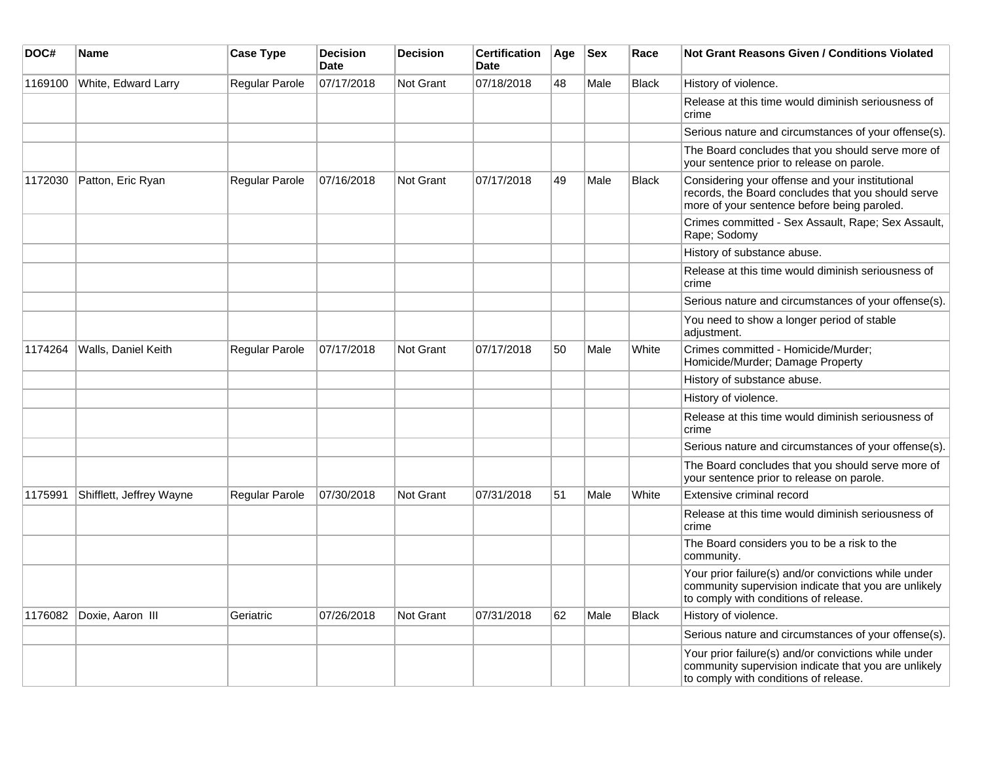| DOC#    | <b>Name</b>              | <b>Case Type</b> | <b>Decision</b><br>Date | <b>Decision</b>  | <b>Certification</b><br><b>Date</b> | Age | <b>Sex</b> | Race         | Not Grant Reasons Given / Conditions Violated                                                                                                         |
|---------|--------------------------|------------------|-------------------------|------------------|-------------------------------------|-----|------------|--------------|-------------------------------------------------------------------------------------------------------------------------------------------------------|
| 1169100 | White, Edward Larry      | Regular Parole   | 07/17/2018              | Not Grant        | 07/18/2018                          | 48  | Male       | <b>Black</b> | History of violence.                                                                                                                                  |
|         |                          |                  |                         |                  |                                     |     |            |              | Release at this time would diminish seriousness of<br>crime                                                                                           |
|         |                          |                  |                         |                  |                                     |     |            |              | Serious nature and circumstances of your offense(s).                                                                                                  |
|         |                          |                  |                         |                  |                                     |     |            |              | The Board concludes that you should serve more of<br>your sentence prior to release on parole.                                                        |
| 1172030 | Patton, Eric Ryan        | Regular Parole   | 07/16/2018              | <b>Not Grant</b> | 07/17/2018                          | 49  | Male       | <b>Black</b> | Considering your offense and your institutional<br>records, the Board concludes that you should serve<br>more of your sentence before being paroled.  |
|         |                          |                  |                         |                  |                                     |     |            |              | Crimes committed - Sex Assault, Rape; Sex Assault,<br>Rape; Sodomy                                                                                    |
|         |                          |                  |                         |                  |                                     |     |            |              | History of substance abuse.                                                                                                                           |
|         |                          |                  |                         |                  |                                     |     |            |              | Release at this time would diminish seriousness of<br>crime                                                                                           |
|         |                          |                  |                         |                  |                                     |     |            |              | Serious nature and circumstances of your offense(s).                                                                                                  |
|         |                          |                  |                         |                  |                                     |     |            |              | You need to show a longer period of stable<br>adjustment.                                                                                             |
| 1174264 | Walls, Daniel Keith      | Regular Parole   | 07/17/2018              | Not Grant        | 07/17/2018                          | 50  | Male       | White        | Crimes committed - Homicide/Murder;<br>Homicide/Murder; Damage Property                                                                               |
|         |                          |                  |                         |                  |                                     |     |            |              | History of substance abuse.                                                                                                                           |
|         |                          |                  |                         |                  |                                     |     |            |              | History of violence.                                                                                                                                  |
|         |                          |                  |                         |                  |                                     |     |            |              | Release at this time would diminish seriousness of<br>crime                                                                                           |
|         |                          |                  |                         |                  |                                     |     |            |              | Serious nature and circumstances of your offense(s).                                                                                                  |
|         |                          |                  |                         |                  |                                     |     |            |              | The Board concludes that you should serve more of<br>your sentence prior to release on parole.                                                        |
| 1175991 | Shifflett, Jeffrey Wayne | Regular Parole   | 07/30/2018              | <b>Not Grant</b> | 07/31/2018                          | 51  | Male       | White        | Extensive criminal record                                                                                                                             |
|         |                          |                  |                         |                  |                                     |     |            |              | Release at this time would diminish seriousness of<br>crime                                                                                           |
|         |                          |                  |                         |                  |                                     |     |            |              | The Board considers you to be a risk to the<br>community.                                                                                             |
|         |                          |                  |                         |                  |                                     |     |            |              | Your prior failure(s) and/or convictions while under<br>community supervision indicate that you are unlikely<br>to comply with conditions of release. |
| 1176082 | Doxie, Aaron III         | Geriatric        | 07/26/2018              | Not Grant        | 07/31/2018                          | 62  | Male       | <b>Black</b> | History of violence.                                                                                                                                  |
|         |                          |                  |                         |                  |                                     |     |            |              | Serious nature and circumstances of your offense(s).                                                                                                  |
|         |                          |                  |                         |                  |                                     |     |            |              | Your prior failure(s) and/or convictions while under<br>community supervision indicate that you are unlikely<br>to comply with conditions of release. |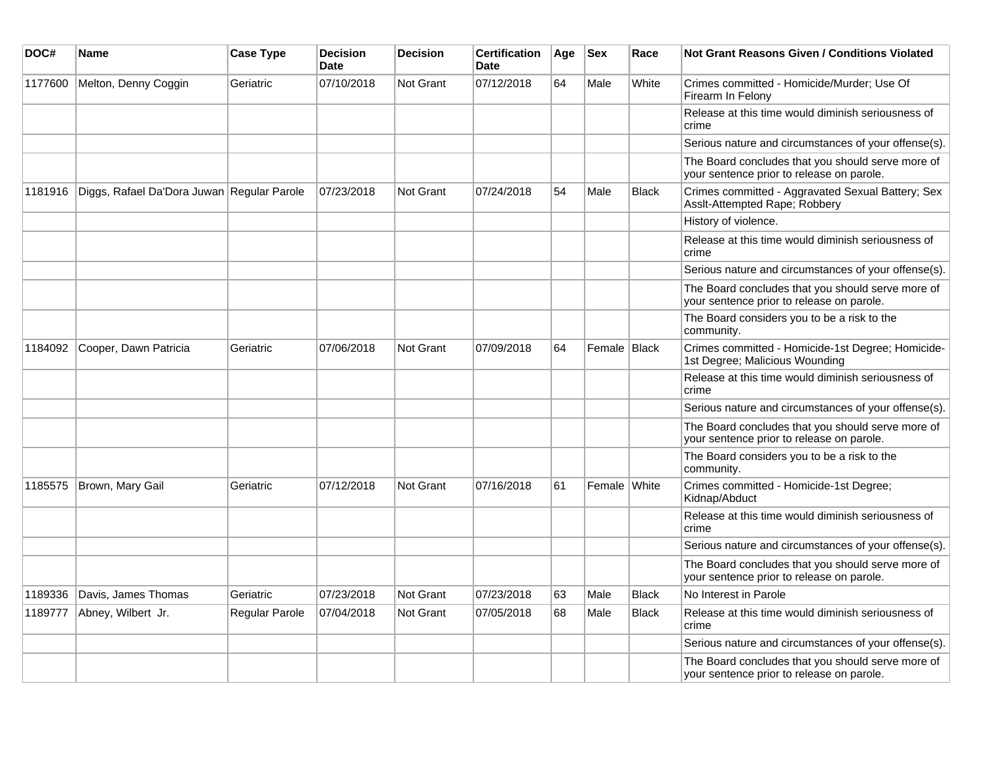| DOC#    | Name                                       | <b>Case Type</b> | <b>Decision</b><br><b>Date</b> | <b>Decision</b> | <b>Certification</b><br><b>Date</b> | Age | <b>Sex</b>   | Race         | Not Grant Reasons Given / Conditions Violated                                                  |
|---------|--------------------------------------------|------------------|--------------------------------|-----------------|-------------------------------------|-----|--------------|--------------|------------------------------------------------------------------------------------------------|
| 1177600 | Melton, Denny Coggin                       | Geriatric        | 07/10/2018                     | Not Grant       | 07/12/2018                          | 64  | Male         | White        | Crimes committed - Homicide/Murder; Use Of<br>Firearm In Felony                                |
|         |                                            |                  |                                |                 |                                     |     |              |              | Release at this time would diminish seriousness of<br>crime                                    |
|         |                                            |                  |                                |                 |                                     |     |              |              | Serious nature and circumstances of your offense(s).                                           |
|         |                                            |                  |                                |                 |                                     |     |              |              | The Board concludes that you should serve more of<br>your sentence prior to release on parole. |
| 1181916 | Diggs, Rafael Da'Dora Juwan Regular Parole |                  | 07/23/2018                     | Not Grant       | 07/24/2018                          | 54  | Male         | <b>Black</b> | Crimes committed - Aggravated Sexual Battery; Sex<br>Assit-Attempted Rape; Robbery             |
|         |                                            |                  |                                |                 |                                     |     |              |              | History of violence.                                                                           |
|         |                                            |                  |                                |                 |                                     |     |              |              | Release at this time would diminish seriousness of<br>crime                                    |
|         |                                            |                  |                                |                 |                                     |     |              |              | Serious nature and circumstances of your offense(s).                                           |
|         |                                            |                  |                                |                 |                                     |     |              |              | The Board concludes that you should serve more of<br>your sentence prior to release on parole. |
|         |                                            |                  |                                |                 |                                     |     |              |              | The Board considers you to be a risk to the<br>community.                                      |
| 1184092 | Cooper, Dawn Patricia                      | Geriatric        | 07/06/2018                     | Not Grant       | 07/09/2018                          | 64  | Female Black |              | Crimes committed - Homicide-1st Degree; Homicide-<br>1st Degree; Malicious Wounding            |
|         |                                            |                  |                                |                 |                                     |     |              |              | Release at this time would diminish seriousness of<br>crime                                    |
|         |                                            |                  |                                |                 |                                     |     |              |              | Serious nature and circumstances of your offense(s).                                           |
|         |                                            |                  |                                |                 |                                     |     |              |              | The Board concludes that you should serve more of<br>your sentence prior to release on parole. |
|         |                                            |                  |                                |                 |                                     |     |              |              | The Board considers you to be a risk to the<br>community.                                      |
| 1185575 | Brown, Mary Gail                           | Geriatric        | 07/12/2018                     | Not Grant       | 07/16/2018                          | 61  | Female White |              | Crimes committed - Homicide-1st Degree;<br>Kidnap/Abduct                                       |
|         |                                            |                  |                                |                 |                                     |     |              |              | Release at this time would diminish seriousness of<br>crime                                    |
|         |                                            |                  |                                |                 |                                     |     |              |              | Serious nature and circumstances of your offense(s).                                           |
|         |                                            |                  |                                |                 |                                     |     |              |              | The Board concludes that you should serve more of<br>your sentence prior to release on parole. |
| 1189336 | Davis, James Thomas                        | Geriatric        | 07/23/2018                     | Not Grant       | 07/23/2018                          | 63  | Male         | <b>Black</b> | No Interest in Parole                                                                          |
| 1189777 | Abney, Wilbert Jr.                         | Regular Parole   | 07/04/2018                     | Not Grant       | 07/05/2018                          | 68  | Male         | <b>Black</b> | Release at this time would diminish seriousness of<br>crime                                    |
|         |                                            |                  |                                |                 |                                     |     |              |              | Serious nature and circumstances of your offense(s).                                           |
|         |                                            |                  |                                |                 |                                     |     |              |              | The Board concludes that you should serve more of<br>your sentence prior to release on parole. |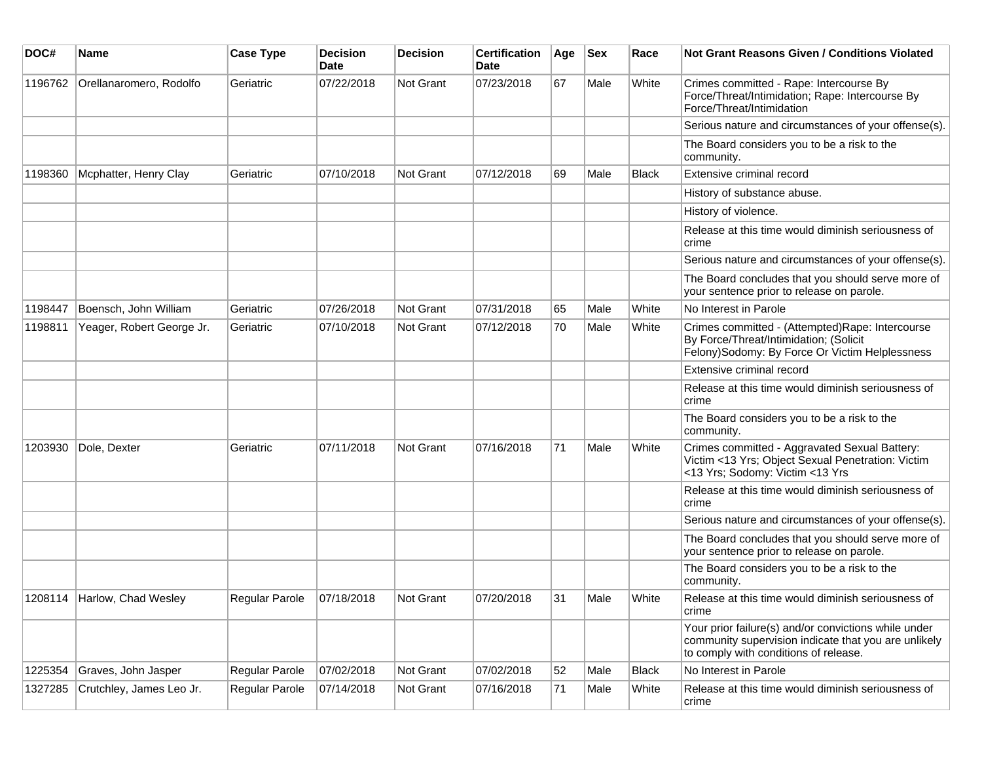| DOC#    | <b>Name</b>                 | <b>Case Type</b> | <b>Decision</b><br><b>Date</b> | <b>Decision</b>  | <b>Certification</b><br>Date | Age | <b>Sex</b> | Race         | <b>Not Grant Reasons Given / Conditions Violated</b>                                                                                                  |
|---------|-----------------------------|------------------|--------------------------------|------------------|------------------------------|-----|------------|--------------|-------------------------------------------------------------------------------------------------------------------------------------------------------|
| 1196762 | Orellanaromero, Rodolfo     | Geriatric        | 07/22/2018                     | Not Grant        | 07/23/2018                   | 67  | Male       | White        | Crimes committed - Rape: Intercourse By<br>Force/Threat/Intimidation; Rape: Intercourse By<br>Force/Threat/Intimidation                               |
|         |                             |                  |                                |                  |                              |     |            |              | Serious nature and circumstances of your offense(s).                                                                                                  |
|         |                             |                  |                                |                  |                              |     |            |              | The Board considers you to be a risk to the<br>community.                                                                                             |
| 1198360 | Mcphatter, Henry Clay       | Geriatric        | 07/10/2018                     | Not Grant        | 07/12/2018                   | 69  | Male       | <b>Black</b> | Extensive criminal record                                                                                                                             |
|         |                             |                  |                                |                  |                              |     |            |              | History of substance abuse.                                                                                                                           |
|         |                             |                  |                                |                  |                              |     |            |              | History of violence.                                                                                                                                  |
|         |                             |                  |                                |                  |                              |     |            |              | Release at this time would diminish seriousness of<br>crime                                                                                           |
|         |                             |                  |                                |                  |                              |     |            |              | Serious nature and circumstances of your offense(s).                                                                                                  |
|         |                             |                  |                                |                  |                              |     |            |              | The Board concludes that you should serve more of<br>your sentence prior to release on parole.                                                        |
| 1198447 | Boensch, John William       | Geriatric        | 07/26/2018                     | Not Grant        | 07/31/2018                   | 65  | Male       | White        | No Interest in Parole                                                                                                                                 |
| 1198811 | Yeager, Robert George Jr.   | Geriatric        | 07/10/2018                     | <b>Not Grant</b> | 07/12/2018                   | 70  | Male       | White        | Crimes committed - (Attempted)Rape: Intercourse<br>By Force/Threat/Intimidation; (Solicit<br>Felony)Sodomy: By Force Or Victim Helplessness           |
|         |                             |                  |                                |                  |                              |     |            |              | Extensive criminal record                                                                                                                             |
|         |                             |                  |                                |                  |                              |     |            |              | Release at this time would diminish seriousness of<br>crime                                                                                           |
|         |                             |                  |                                |                  |                              |     |            |              | The Board considers you to be a risk to the<br>community.                                                                                             |
| 1203930 | Dole, Dexter                | Geriatric        | 07/11/2018                     | Not Grant        | 07/16/2018                   | 71  | Male       | White        | Crimes committed - Aggravated Sexual Battery:<br>Victim <13 Yrs; Object Sexual Penetration: Victim<br><13 Yrs; Sodomy: Victim <13 Yrs                 |
|         |                             |                  |                                |                  |                              |     |            |              | Release at this time would diminish seriousness of<br>crime                                                                                           |
|         |                             |                  |                                |                  |                              |     |            |              | Serious nature and circumstances of your offense(s).                                                                                                  |
|         |                             |                  |                                |                  |                              |     |            |              | The Board concludes that you should serve more of<br>your sentence prior to release on parole.                                                        |
|         |                             |                  |                                |                  |                              |     |            |              | The Board considers you to be a risk to the<br>community.                                                                                             |
|         | 1208114 Harlow, Chad Wesley | Regular Parole   | 07/18/2018                     | Not Grant        | 07/20/2018                   | 31  | Male       | White        | Release at this time would diminish seriousness of<br>crime                                                                                           |
|         |                             |                  |                                |                  |                              |     |            |              | Your prior failure(s) and/or convictions while under<br>community supervision indicate that you are unlikely<br>to comply with conditions of release. |
| 1225354 | Graves, John Jasper         | Regular Parole   | 07/02/2018                     | Not Grant        | 07/02/2018                   | 52  | Male       | <b>Black</b> | No Interest in Parole                                                                                                                                 |
| 1327285 | Crutchley, James Leo Jr.    | Regular Parole   | 07/14/2018                     | Not Grant        | 07/16/2018                   | 71  | Male       | White        | Release at this time would diminish seriousness of<br>crime                                                                                           |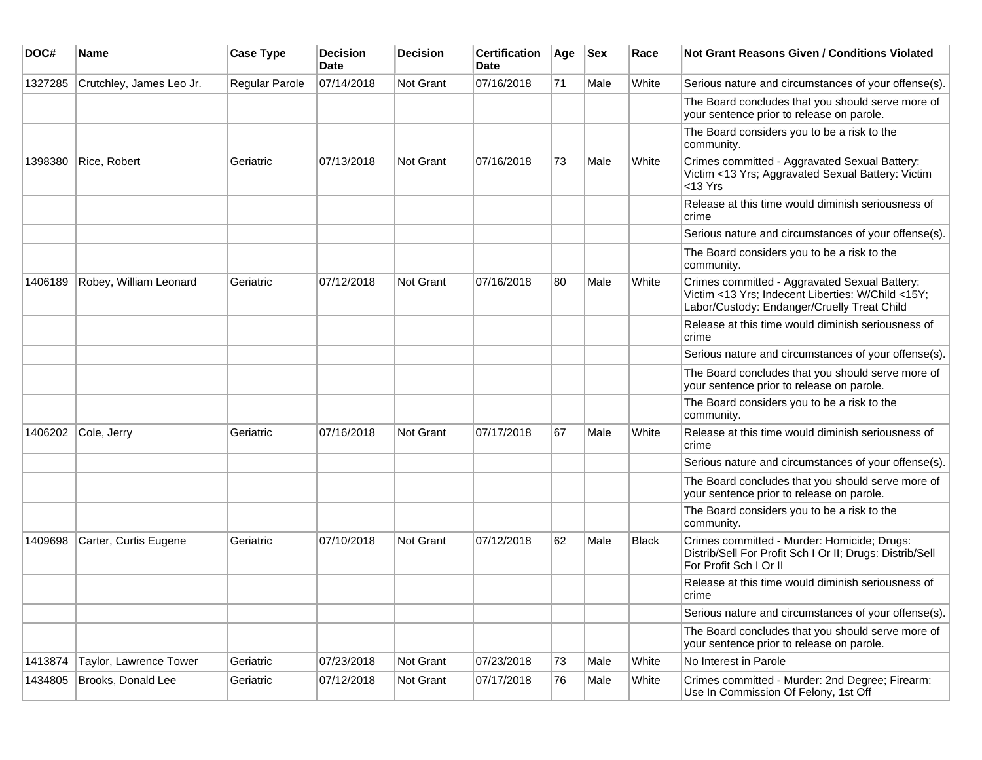| DOC#    | Name                     | <b>Case Type</b> | <b>Decision</b><br><b>Date</b> | <b>Decision</b> | <b>Certification</b><br><b>Date</b> | Age | <b>Sex</b> | Race  | <b>Not Grant Reasons Given / Conditions Violated</b>                                                                                              |
|---------|--------------------------|------------------|--------------------------------|-----------------|-------------------------------------|-----|------------|-------|---------------------------------------------------------------------------------------------------------------------------------------------------|
| 1327285 | Crutchley, James Leo Jr. | Regular Parole   | 07/14/2018                     | Not Grant       | 07/16/2018                          | 71  | Male       | White | Serious nature and circumstances of your offense(s).                                                                                              |
|         |                          |                  |                                |                 |                                     |     |            |       | The Board concludes that you should serve more of<br>your sentence prior to release on parole.                                                    |
|         |                          |                  |                                |                 |                                     |     |            |       | The Board considers you to be a risk to the<br>community.                                                                                         |
| 1398380 | Rice, Robert             | Geriatric        | 07/13/2018                     | Not Grant       | 07/16/2018                          | 73  | Male       | White | Crimes committed - Aggravated Sexual Battery:<br>Victim <13 Yrs; Aggravated Sexual Battery: Victim<br>$<$ 13 Yrs                                  |
|         |                          |                  |                                |                 |                                     |     |            |       | Release at this time would diminish seriousness of<br>crime                                                                                       |
|         |                          |                  |                                |                 |                                     |     |            |       | Serious nature and circumstances of your offense(s).                                                                                              |
|         |                          |                  |                                |                 |                                     |     |            |       | The Board considers you to be a risk to the<br>community.                                                                                         |
| 1406189 | Robey, William Leonard   | Geriatric        | 07/12/2018                     | Not Grant       | 07/16/2018                          | 80  | Male       | White | Crimes committed - Aggravated Sexual Battery:<br>Victim <13 Yrs; Indecent Liberties: W/Child <15Y;<br>Labor/Custody: Endanger/Cruelly Treat Child |
|         |                          |                  |                                |                 |                                     |     |            |       | Release at this time would diminish seriousness of<br>crime                                                                                       |
|         |                          |                  |                                |                 |                                     |     |            |       | Serious nature and circumstances of your offense(s).                                                                                              |
|         |                          |                  |                                |                 |                                     |     |            |       | The Board concludes that you should serve more of<br>your sentence prior to release on parole.                                                    |
|         |                          |                  |                                |                 |                                     |     |            |       | The Board considers you to be a risk to the<br>community.                                                                                         |
| 1406202 | Cole, Jerry              | Geriatric        | 07/16/2018                     | Not Grant       | 07/17/2018                          | 67  | Male       | White | Release at this time would diminish seriousness of<br>crime                                                                                       |
|         |                          |                  |                                |                 |                                     |     |            |       | Serious nature and circumstances of your offense(s).                                                                                              |
|         |                          |                  |                                |                 |                                     |     |            |       | The Board concludes that you should serve more of<br>your sentence prior to release on parole.                                                    |
|         |                          |                  |                                |                 |                                     |     |            |       | The Board considers you to be a risk to the<br>community.                                                                                         |
| 1409698 | Carter, Curtis Eugene    | Geriatric        | 07/10/2018                     | Not Grant       | 07/12/2018                          | 62  | Male       | Black | Crimes committed - Murder: Homicide; Drugs:<br>Distrib/Sell For Profit Sch I Or II; Drugs: Distrib/Sell<br>For Profit Sch I Or II                 |
|         |                          |                  |                                |                 |                                     |     |            |       | Release at this time would diminish seriousness of<br>crime                                                                                       |
|         |                          |                  |                                |                 |                                     |     |            |       | Serious nature and circumstances of your offense(s).                                                                                              |
|         |                          |                  |                                |                 |                                     |     |            |       | The Board concludes that you should serve more of<br>your sentence prior to release on parole.                                                    |
| 1413874 | Taylor, Lawrence Tower   | Geriatric        | 07/23/2018                     | Not Grant       | 07/23/2018                          | 73  | Male       | White | No Interest in Parole                                                                                                                             |
| 1434805 | Brooks, Donald Lee       | Geriatric        | 07/12/2018                     | Not Grant       | 07/17/2018                          | 76  | Male       | White | Crimes committed - Murder: 2nd Degree; Firearm:<br>Use In Commission Of Felony, 1st Off                                                           |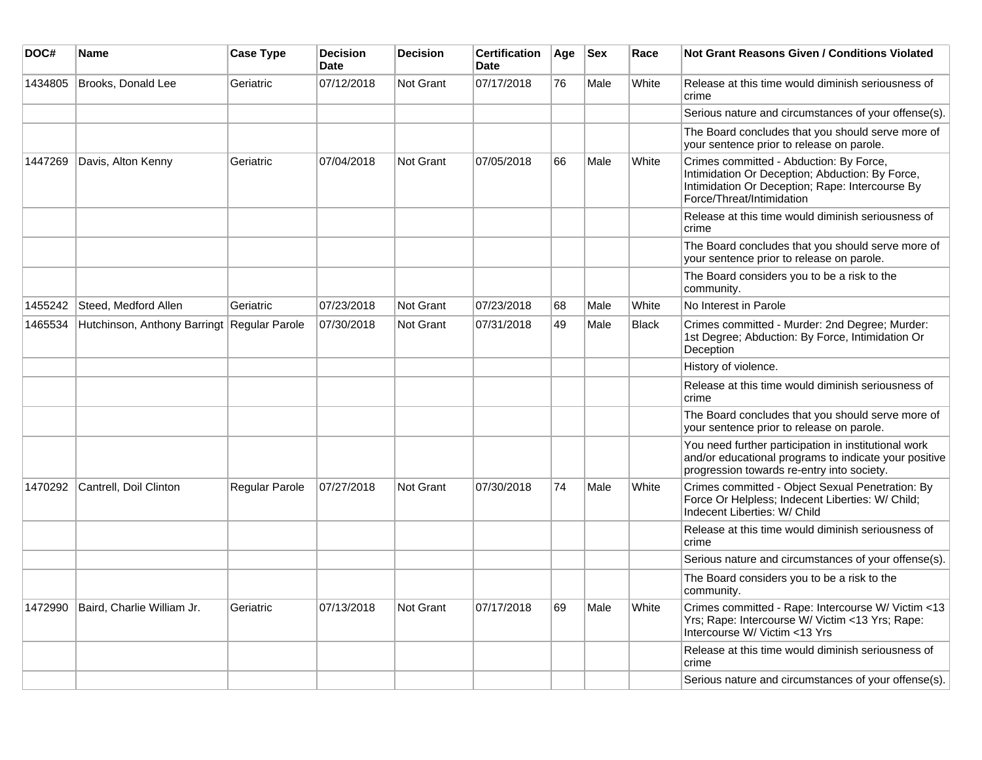| DOC#    | Name                                        | <b>Case Type</b>      | <b>Decision</b><br><b>Date</b> | <b>Decision</b>  | <b>Certification</b><br><b>Date</b> | Age | <b>Sex</b> | Race         | <b>Not Grant Reasons Given / Conditions Violated</b>                                                                                                                       |
|---------|---------------------------------------------|-----------------------|--------------------------------|------------------|-------------------------------------|-----|------------|--------------|----------------------------------------------------------------------------------------------------------------------------------------------------------------------------|
| 1434805 | Brooks, Donald Lee                          | Geriatric             | 07/12/2018                     | Not Grant        | 07/17/2018                          | 76  | Male       | White        | Release at this time would diminish seriousness of<br>crime                                                                                                                |
|         |                                             |                       |                                |                  |                                     |     |            |              | Serious nature and circumstances of your offense(s).                                                                                                                       |
|         |                                             |                       |                                |                  |                                     |     |            |              | The Board concludes that you should serve more of<br>your sentence prior to release on parole.                                                                             |
| 1447269 | Davis, Alton Kenny                          | Geriatric             | 07/04/2018                     | Not Grant        | 07/05/2018                          | 66  | Male       | White        | Crimes committed - Abduction: By Force,<br>Intimidation Or Deception; Abduction: By Force,<br>Intimidation Or Deception; Rape: Intercourse By<br>Force/Threat/Intimidation |
|         |                                             |                       |                                |                  |                                     |     |            |              | Release at this time would diminish seriousness of<br>crime                                                                                                                |
|         |                                             |                       |                                |                  |                                     |     |            |              | The Board concludes that you should serve more of<br>your sentence prior to release on parole.                                                                             |
|         |                                             |                       |                                |                  |                                     |     |            |              | The Board considers you to be a risk to the<br>community.                                                                                                                  |
| 1455242 | Steed, Medford Allen                        | Geriatric             | 07/23/2018                     | Not Grant        | 07/23/2018                          | 68  | Male       | White        | No Interest in Parole                                                                                                                                                      |
| 1465534 | Hutchinson, Anthony Barringt Regular Parole |                       | 07/30/2018                     | <b>Not Grant</b> | 07/31/2018                          | 49  | Male       | <b>Black</b> | Crimes committed - Murder: 2nd Degree; Murder:<br>1st Degree; Abduction: By Force, Intimidation Or<br>Deception                                                            |
|         |                                             |                       |                                |                  |                                     |     |            |              | History of violence.                                                                                                                                                       |
|         |                                             |                       |                                |                  |                                     |     |            |              | Release at this time would diminish seriousness of<br>crime                                                                                                                |
|         |                                             |                       |                                |                  |                                     |     |            |              | The Board concludes that you should serve more of<br>your sentence prior to release on parole.                                                                             |
|         |                                             |                       |                                |                  |                                     |     |            |              | You need further participation in institutional work<br>and/or educational programs to indicate your positive<br>progression towards re-entry into society.                |
| 1470292 | Cantrell, Doil Clinton                      | <b>Regular Parole</b> | 07/27/2018                     | Not Grant        | 07/30/2018                          | 74  | Male       | White        | Crimes committed - Object Sexual Penetration: By<br>Force Or Helpless; Indecent Liberties: W/ Child;<br>Indecent Liberties: W/ Child                                       |
|         |                                             |                       |                                |                  |                                     |     |            |              | Release at this time would diminish seriousness of<br>crime                                                                                                                |
|         |                                             |                       |                                |                  |                                     |     |            |              | Serious nature and circumstances of your offense(s).                                                                                                                       |
|         |                                             |                       |                                |                  |                                     |     |            |              | The Board considers you to be a risk to the<br>community.                                                                                                                  |
| 1472990 | Baird, Charlie William Jr.                  | Geriatric             | 07/13/2018                     | <b>Not Grant</b> | 07/17/2018                          | 69  | Male       | White        | Crimes committed - Rape: Intercourse W/ Victim <13<br>Yrs; Rape: Intercourse W/ Victim <13 Yrs; Rape:<br>Intercourse W/ Victim <13 Yrs                                     |
|         |                                             |                       |                                |                  |                                     |     |            |              | Release at this time would diminish seriousness of<br>crime                                                                                                                |
|         |                                             |                       |                                |                  |                                     |     |            |              | Serious nature and circumstances of your offense(s).                                                                                                                       |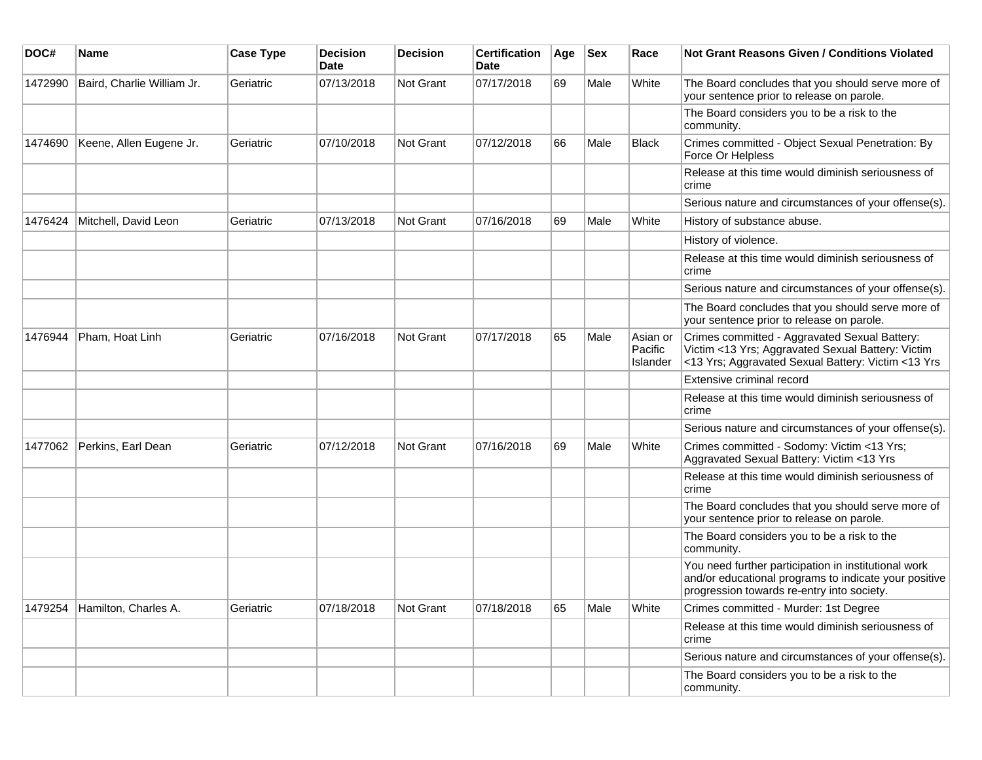| DOC#    | <b>Name</b>                  | <b>Case Type</b> | <b>Decision</b><br><b>Date</b> | <b>Decision</b> | <b>Certification</b><br>Date | Age | <b>Sex</b> | Race                            | Not Grant Reasons Given / Conditions Violated                                                                                                               |
|---------|------------------------------|------------------|--------------------------------|-----------------|------------------------------|-----|------------|---------------------------------|-------------------------------------------------------------------------------------------------------------------------------------------------------------|
| 1472990 | Baird, Charlie William Jr.   | Geriatric        | 07/13/2018                     | Not Grant       | 07/17/2018                   | 69  | Male       | White                           | The Board concludes that you should serve more of<br>your sentence prior to release on parole.                                                              |
|         |                              |                  |                                |                 |                              |     |            |                                 | The Board considers you to be a risk to the<br>community.                                                                                                   |
| 1474690 | Keene, Allen Eugene Jr.      | Geriatric        | 07/10/2018                     | Not Grant       | 07/12/2018                   | 66  | Male       | <b>Black</b>                    | Crimes committed - Object Sexual Penetration: By<br>Force Or Helpless                                                                                       |
|         |                              |                  |                                |                 |                              |     |            |                                 | Release at this time would diminish seriousness of<br>crime                                                                                                 |
|         |                              |                  |                                |                 |                              |     |            |                                 | Serious nature and circumstances of your offense(s).                                                                                                        |
| 1476424 | Mitchell, David Leon         | Geriatric        | 07/13/2018                     | Not Grant       | 07/16/2018                   | 69  | Male       | White                           | History of substance abuse.                                                                                                                                 |
|         |                              |                  |                                |                 |                              |     |            |                                 | History of violence.                                                                                                                                        |
|         |                              |                  |                                |                 |                              |     |            |                                 | Release at this time would diminish seriousness of<br>crime                                                                                                 |
|         |                              |                  |                                |                 |                              |     |            |                                 | Serious nature and circumstances of your offense(s).                                                                                                        |
|         |                              |                  |                                |                 |                              |     |            |                                 | The Board concludes that you should serve more of<br>your sentence prior to release on parole.                                                              |
| 1476944 | Pham, Hoat Linh              | Geriatric        | 07/16/2018                     | Not Grant       | 07/17/2018                   | 65  | Male       | Asian or<br>Pacific<br>Islander | Crimes committed - Aggravated Sexual Battery:<br>Victim <13 Yrs; Aggravated Sexual Battery: Victim<br><13 Yrs; Aggravated Sexual Battery: Victim <13 Yrs    |
|         |                              |                  |                                |                 |                              |     |            |                                 | Extensive criminal record                                                                                                                                   |
|         |                              |                  |                                |                 |                              |     |            |                                 | Release at this time would diminish seriousness of<br>crime                                                                                                 |
|         |                              |                  |                                |                 |                              |     |            |                                 | Serious nature and circumstances of your offense(s).                                                                                                        |
| 1477062 | Perkins, Earl Dean           | Geriatric        | 07/12/2018                     | Not Grant       | 07/16/2018                   | 69  | Male       | White                           | Crimes committed - Sodomy: Victim <13 Yrs;<br>Aggravated Sexual Battery: Victim <13 Yrs                                                                     |
|         |                              |                  |                                |                 |                              |     |            |                                 | Release at this time would diminish seriousness of<br>crime                                                                                                 |
|         |                              |                  |                                |                 |                              |     |            |                                 | The Board concludes that you should serve more of<br>your sentence prior to release on parole.                                                              |
|         |                              |                  |                                |                 |                              |     |            |                                 | The Board considers you to be a risk to the<br>community.                                                                                                   |
|         |                              |                  |                                |                 |                              |     |            |                                 | You need further participation in institutional work<br>and/or educational programs to indicate your positive<br>progression towards re-entry into society. |
|         | 1479254 Hamilton, Charles A. | Geriatric        | 07/18/2018                     | Not Grant       | 07/18/2018                   | 65  | Male       | White                           | Crimes committed - Murder: 1st Degree                                                                                                                       |
|         |                              |                  |                                |                 |                              |     |            |                                 | Release at this time would diminish seriousness of<br>crime                                                                                                 |
|         |                              |                  |                                |                 |                              |     |            |                                 | Serious nature and circumstances of your offense(s).                                                                                                        |
|         |                              |                  |                                |                 |                              |     |            |                                 | The Board considers you to be a risk to the<br>community.                                                                                                   |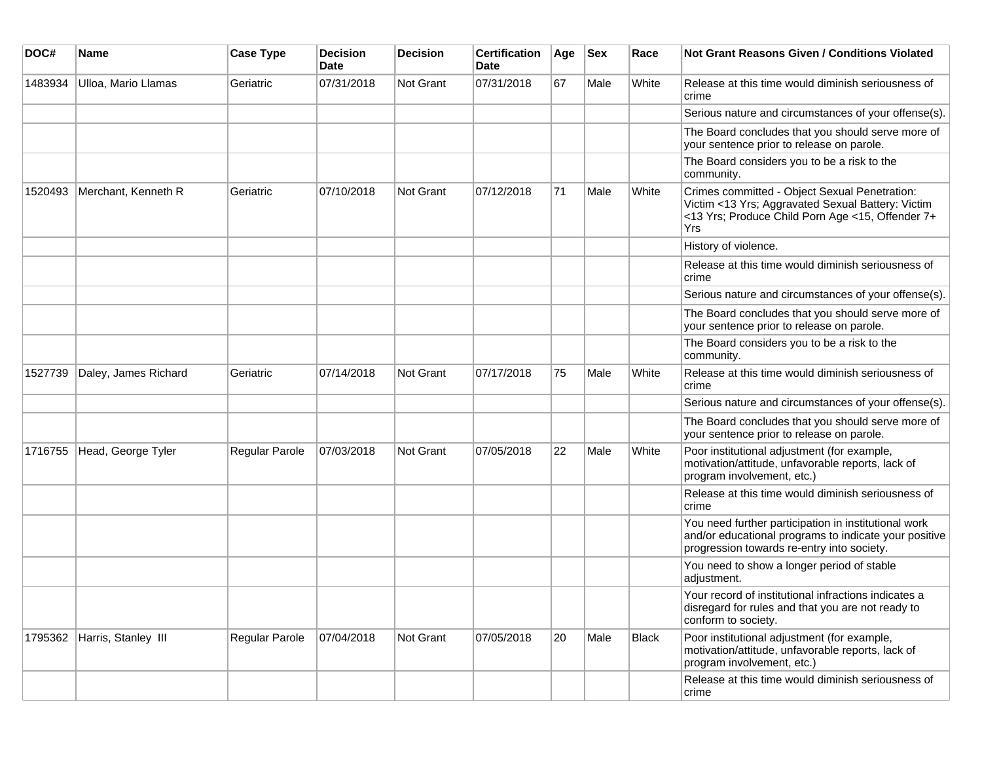| DOC#    | <b>Name</b>                 | <b>Case Type</b> | <b>Decision</b><br><b>Date</b> | <b>Decision</b>  | <b>Certification</b><br>Date | Age | <b>Sex</b> | Race  | <b>Not Grant Reasons Given / Conditions Violated</b>                                                                                                                 |
|---------|-----------------------------|------------------|--------------------------------|------------------|------------------------------|-----|------------|-------|----------------------------------------------------------------------------------------------------------------------------------------------------------------------|
| 1483934 | Ulloa, Mario Llamas         | Geriatric        | 07/31/2018                     | Not Grant        | 07/31/2018                   | 67  | Male       | White | Release at this time would diminish seriousness of<br>crime                                                                                                          |
|         |                             |                  |                                |                  |                              |     |            |       | Serious nature and circumstances of your offense(s).                                                                                                                 |
|         |                             |                  |                                |                  |                              |     |            |       | The Board concludes that you should serve more of<br>your sentence prior to release on parole.                                                                       |
|         |                             |                  |                                |                  |                              |     |            |       | The Board considers you to be a risk to the<br>community.                                                                                                            |
| 1520493 | Merchant, Kenneth R         | Geriatric        | 07/10/2018                     | <b>Not Grant</b> | 07/12/2018                   | 71  | Male       | White | Crimes committed - Object Sexual Penetration:<br>Victim <13 Yrs; Aggravated Sexual Battery: Victim<br><13 Yrs; Produce Child Porn Age <15, Offender 7+<br><b>Yrs</b> |
|         |                             |                  |                                |                  |                              |     |            |       | History of violence.                                                                                                                                                 |
|         |                             |                  |                                |                  |                              |     |            |       | Release at this time would diminish seriousness of<br>crime                                                                                                          |
|         |                             |                  |                                |                  |                              |     |            |       | Serious nature and circumstances of your offense(s).                                                                                                                 |
|         |                             |                  |                                |                  |                              |     |            |       | The Board concludes that you should serve more of<br>your sentence prior to release on parole.                                                                       |
|         |                             |                  |                                |                  |                              |     |            |       | The Board considers you to be a risk to the<br>community.                                                                                                            |
| 1527739 | Daley, James Richard        | Geriatric        | 07/14/2018                     | Not Grant        | 07/17/2018                   | 75  | Male       | White | Release at this time would diminish seriousness of<br>crime                                                                                                          |
|         |                             |                  |                                |                  |                              |     |            |       | Serious nature and circumstances of your offense(s).                                                                                                                 |
|         |                             |                  |                                |                  |                              |     |            |       | The Board concludes that you should serve more of<br>your sentence prior to release on parole.                                                                       |
| 1716755 | Head, George Tyler          | Regular Parole   | 07/03/2018                     | <b>Not Grant</b> | 07/05/2018                   | 22  | Male       | White | Poor institutional adjustment (for example,<br>motivation/attitude, unfavorable reports, lack of<br>program involvement, etc.)                                       |
|         |                             |                  |                                |                  |                              |     |            |       | Release at this time would diminish seriousness of<br>crime                                                                                                          |
|         |                             |                  |                                |                  |                              |     |            |       | You need further participation in institutional work<br>and/or educational programs to indicate your positive<br>progression towards re-entry into society.          |
|         |                             |                  |                                |                  |                              |     |            |       | You need to show a longer period of stable<br>adjustment.                                                                                                            |
|         |                             |                  |                                |                  |                              |     |            |       | Your record of institutional infractions indicates a<br>disregard for rules and that you are not ready to<br>conform to society.                                     |
|         | 1795362 Harris, Stanley III | Regular Parole   | 07/04/2018                     | Not Grant        | 07/05/2018                   | 20  | Male       | Black | Poor institutional adjustment (for example,<br>motivation/attitude, unfavorable reports, lack of<br>program involvement, etc.)                                       |
|         |                             |                  |                                |                  |                              |     |            |       | Release at this time would diminish seriousness of<br>crime                                                                                                          |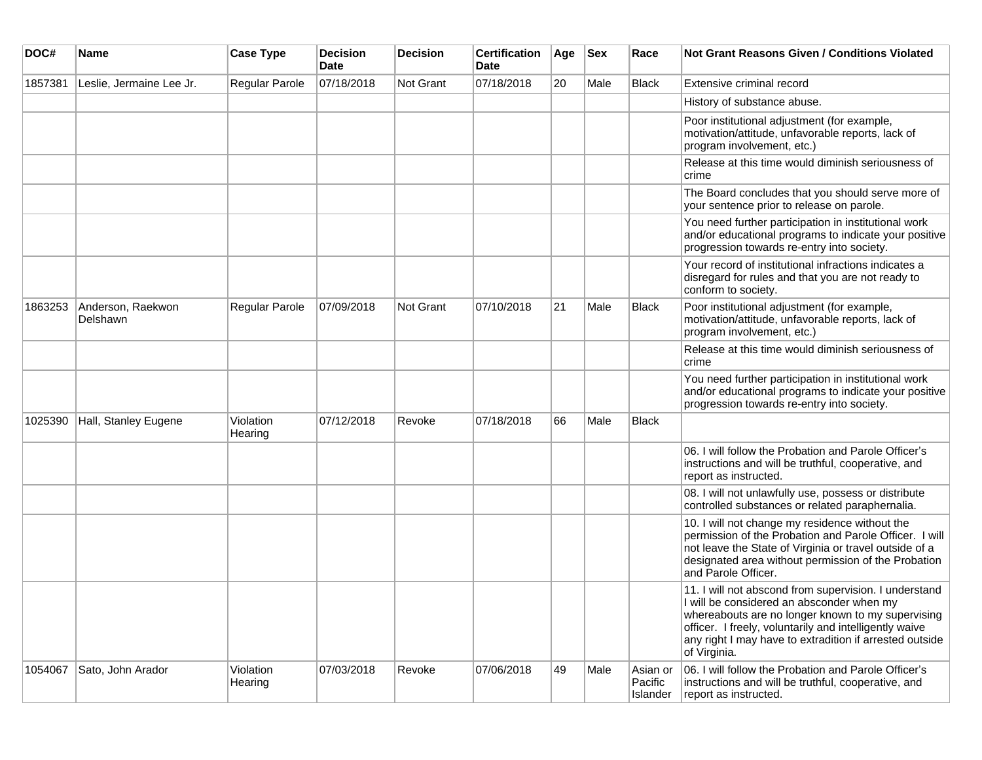| DOC#    | <b>Name</b>                          | <b>Case Type</b>     | <b>Decision</b><br><b>Date</b> | <b>Decision</b>  | <b>Certification</b><br><b>Date</b> | Age | <b>Sex</b> | Race                            | <b>Not Grant Reasons Given / Conditions Violated</b>                                                                                                                                                                                                                                         |
|---------|--------------------------------------|----------------------|--------------------------------|------------------|-------------------------------------|-----|------------|---------------------------------|----------------------------------------------------------------------------------------------------------------------------------------------------------------------------------------------------------------------------------------------------------------------------------------------|
| 1857381 | Leslie, Jermaine Lee Jr.             | Regular Parole       | 07/18/2018                     | Not Grant        | 07/18/2018                          | 20  | Male       | Black                           | Extensive criminal record                                                                                                                                                                                                                                                                    |
|         |                                      |                      |                                |                  |                                     |     |            |                                 | History of substance abuse.                                                                                                                                                                                                                                                                  |
|         |                                      |                      |                                |                  |                                     |     |            |                                 | Poor institutional adjustment (for example,<br>motivation/attitude, unfavorable reports, lack of<br>program involvement, etc.)                                                                                                                                                               |
|         |                                      |                      |                                |                  |                                     |     |            |                                 | Release at this time would diminish seriousness of<br>crime                                                                                                                                                                                                                                  |
|         |                                      |                      |                                |                  |                                     |     |            |                                 | The Board concludes that you should serve more of<br>your sentence prior to release on parole.                                                                                                                                                                                               |
|         |                                      |                      |                                |                  |                                     |     |            |                                 | You need further participation in institutional work<br>and/or educational programs to indicate your positive<br>progression towards re-entry into society.                                                                                                                                  |
|         |                                      |                      |                                |                  |                                     |     |            |                                 | Your record of institutional infractions indicates a<br>disregard for rules and that you are not ready to<br>conform to society.                                                                                                                                                             |
| 1863253 | Anderson, Raekwon<br><b>Delshawn</b> | Regular Parole       | 07/09/2018                     | <b>Not Grant</b> | 07/10/2018                          | 21  | Male       | Black                           | Poor institutional adjustment (for example,<br>motivation/attitude, unfavorable reports, lack of<br>program involvement, etc.)                                                                                                                                                               |
|         |                                      |                      |                                |                  |                                     |     |            |                                 | Release at this time would diminish seriousness of<br>crime                                                                                                                                                                                                                                  |
|         |                                      |                      |                                |                  |                                     |     |            |                                 | You need further participation in institutional work<br>and/or educational programs to indicate your positive<br>progression towards re-entry into society.                                                                                                                                  |
| 1025390 | Hall, Stanley Eugene                 | Violation<br>Hearing | 07/12/2018                     | Revoke           | 07/18/2018                          | 66  | Male       | Black                           |                                                                                                                                                                                                                                                                                              |
|         |                                      |                      |                                |                  |                                     |     |            |                                 | 06. I will follow the Probation and Parole Officer's<br>instructions and will be truthful, cooperative, and<br>report as instructed.                                                                                                                                                         |
|         |                                      |                      |                                |                  |                                     |     |            |                                 | 08. I will not unlawfully use, possess or distribute<br>controlled substances or related paraphernalia.                                                                                                                                                                                      |
|         |                                      |                      |                                |                  |                                     |     |            |                                 | 10. I will not change my residence without the<br>permission of the Probation and Parole Officer. I will<br>not leave the State of Virginia or travel outside of a<br>designated area without permission of the Probation<br>and Parole Officer.                                             |
|         |                                      |                      |                                |                  |                                     |     |            |                                 | 11. I will not abscond from supervision. I understand<br>I will be considered an absconder when my<br>whereabouts are no longer known to my supervising<br>officer. I freely, voluntarily and intelligently waive<br>any right I may have to extradition if arrested outside<br>of Virginia. |
| 1054067 | Sato, John Arador                    | Violation<br>Hearing | 07/03/2018                     | Revoke           | 07/06/2018                          | 49  | Male       | Asian or<br>Pacific<br>Islander | 06. I will follow the Probation and Parole Officer's<br>instructions and will be truthful, cooperative, and<br>report as instructed.                                                                                                                                                         |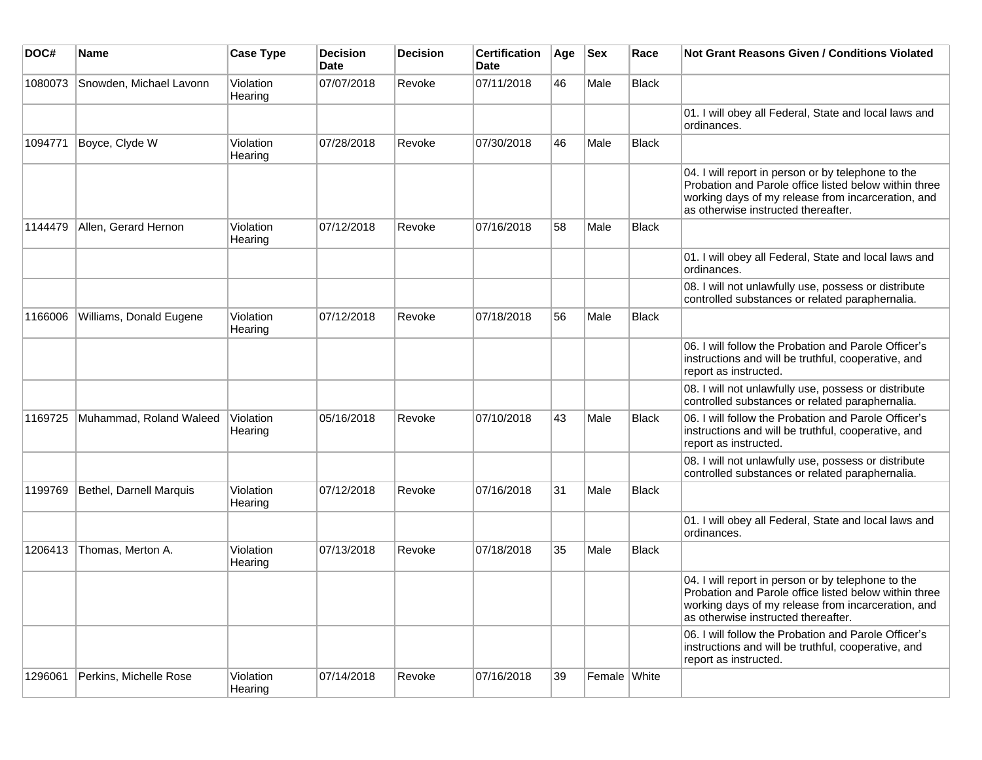| DOC#    | Name                    | <b>Case Type</b>     | <b>Decision</b><br><b>Date</b> | <b>Decision</b> | <b>Certification</b><br>Date | Age | <b>Sex</b>   | Race         | <b>Not Grant Reasons Given / Conditions Violated</b>                                                                                                                                                     |
|---------|-------------------------|----------------------|--------------------------------|-----------------|------------------------------|-----|--------------|--------------|----------------------------------------------------------------------------------------------------------------------------------------------------------------------------------------------------------|
| 1080073 | Snowden, Michael Lavonn | Violation<br>Hearing | 07/07/2018                     | Revoke          | 07/11/2018                   | 46  | Male         | Black        |                                                                                                                                                                                                          |
|         |                         |                      |                                |                 |                              |     |              |              | 01. I will obey all Federal, State and local laws and<br>ordinances.                                                                                                                                     |
| 1094771 | Boyce, Clyde W          | Violation<br>Hearing | 07/28/2018                     | Revoke          | 07/30/2018                   | 46  | Male         | Black        |                                                                                                                                                                                                          |
|         |                         |                      |                                |                 |                              |     |              |              | 04. I will report in person or by telephone to the<br>Probation and Parole office listed below within three<br>working days of my release from incarceration, and<br>as otherwise instructed thereafter. |
| 1144479 | Allen, Gerard Hernon    | Violation<br>Hearing | 07/12/2018                     | Revoke          | 07/16/2018                   | 58  | Male         | Black        |                                                                                                                                                                                                          |
|         |                         |                      |                                |                 |                              |     |              |              | 01. I will obey all Federal, State and local laws and<br>ordinances.                                                                                                                                     |
|         |                         |                      |                                |                 |                              |     |              |              | 08. I will not unlawfully use, possess or distribute<br>controlled substances or related paraphernalia.                                                                                                  |
| 1166006 | Williams, Donald Eugene | Violation<br>Hearing | 07/12/2018                     | Revoke          | 07/18/2018                   | 56  | Male         | Black        |                                                                                                                                                                                                          |
|         |                         |                      |                                |                 |                              |     |              |              | 06. I will follow the Probation and Parole Officer's<br>instructions and will be truthful, cooperative, and<br>report as instructed.                                                                     |
|         |                         |                      |                                |                 |                              |     |              |              | 08. I will not unlawfully use, possess or distribute<br>controlled substances or related paraphernalia.                                                                                                  |
| 1169725 | Muhammad, Roland Waleed | Violation<br>Hearing | 05/16/2018                     | Revoke          | 07/10/2018                   | 43  | Male         | <b>Black</b> | 06. I will follow the Probation and Parole Officer's<br>instructions and will be truthful, cooperative, and<br>report as instructed.                                                                     |
|         |                         |                      |                                |                 |                              |     |              |              | 08. I will not unlawfully use, possess or distribute<br>controlled substances or related paraphernalia.                                                                                                  |
| 1199769 | Bethel, Darnell Marquis | Violation<br>Hearing | 07/12/2018                     | Revoke          | 07/16/2018                   | 31  | Male         | Black        |                                                                                                                                                                                                          |
|         |                         |                      |                                |                 |                              |     |              |              | 01. I will obey all Federal, State and local laws and<br>ordinances.                                                                                                                                     |
| 1206413 | Thomas, Merton A.       | Violation<br>Hearing | 07/13/2018                     | Revoke          | 07/18/2018                   | 35  | Male         | Black        |                                                                                                                                                                                                          |
|         |                         |                      |                                |                 |                              |     |              |              | 04. I will report in person or by telephone to the<br>Probation and Parole office listed below within three<br>working days of my release from incarceration, and<br>as otherwise instructed thereafter. |
|         |                         |                      |                                |                 |                              |     |              |              | 06. I will follow the Probation and Parole Officer's<br>instructions and will be truthful, cooperative, and<br>report as instructed.                                                                     |
| 1296061 | Perkins, Michelle Rose  | Violation<br>Hearing | 07/14/2018                     | Revoke          | 07/16/2018                   | 39  | Female White |              |                                                                                                                                                                                                          |